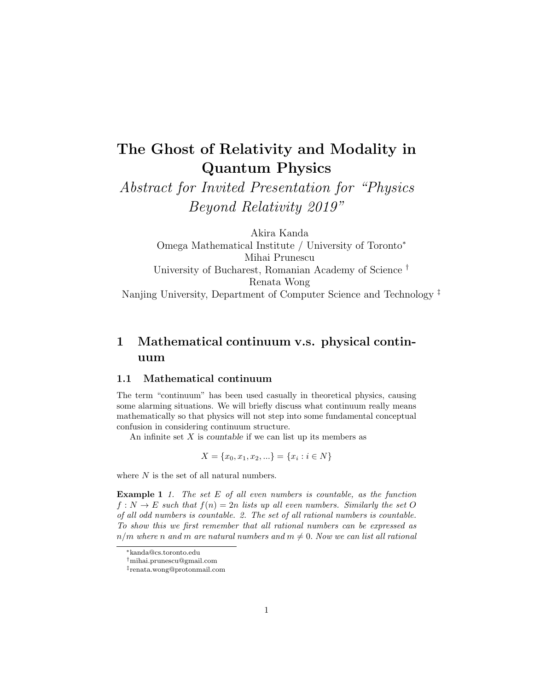# The Ghost of Relativity and Modality in Quantum Physics

Abstract for Invited Presentation for "Physics Beyond Relativity 2019"

Akira Kanda Omega Mathematical Institute / University of Toronto<sup>∗</sup> Mihai Prunescu University of Bucharest, Romanian Academy of Science † Renata Wong Nanjing University, Department of Computer Science and Technology ‡

# 1 Mathematical continuum v.s. physical continuum

# 1.1 Mathematical continuum

The term "continuum" has been used casually in theoretical physics, causing some alarming situations. We will briefly discuss what continuum really means mathematically so that physics will not step into some fundamental conceptual confusion in considering continuum structure.

An infinite set  $X$  is countable if we can list up its members as

$$
X = \{x_0, x_1, x_2, \ldots\} = \{x_i : i \in N\}
$$

where  $N$  is the set of all natural numbers.

**Example 1** 1. The set  $E$  of all even numbers is countable, as the function  $f: N \to E$  such that  $f(n) = 2n$  lists up all even numbers. Similarly the set O of all odd numbers is countable. 2. The set of all rational numbers is countable. To show this we first remember that all rational numbers can be expressed as  $n/m$  where n and m are natural numbers and  $m \neq 0$ . Now we can list all rational

<sup>∗</sup>kanda@cs.toronto.edu

<sup>†</sup>mihai.prunescu@gmail.com

<sup>‡</sup> renata.wong@protonmail.com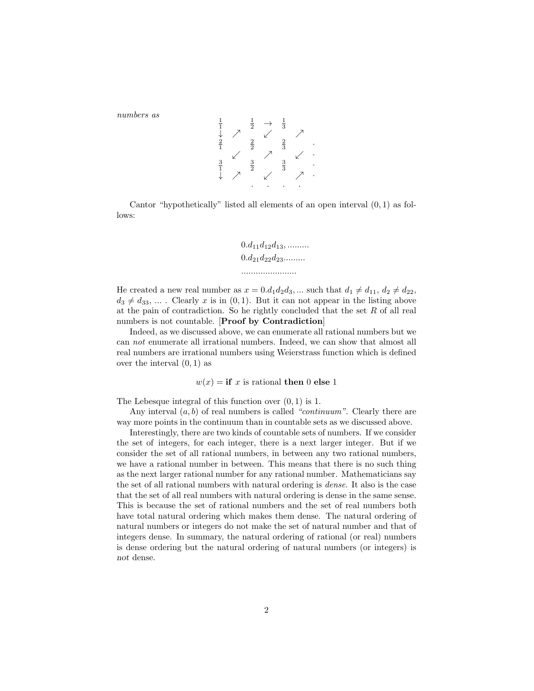numbers as

$$
\begin{array}{ccccccccc}\n\frac{1}{1} & & \frac{1}{2} & \rightarrow & \frac{1}{3} \\
\downarrow & & \nearrow & & \swarrow & & \nearrow \\
\frac{2}{1} & & \swarrow & & \frac{2}{3} & \swarrow \\
\frac{3}{1} & & \swarrow & & \swarrow & & \nearrow \\
\downarrow & & & \nearrow & & & \swarrow\n\end{array}
$$

1

Cantor "hypothetically" listed all elements of an open interval (0, 1) as follows:

$$
0.d_{11}d_{12}d_{13}, \dots
$$
  
 $0.d_{21}d_{22}d_{23}...$   
 $...$ 

He created a new real number as  $x = 0.d_1d_2d_3, ...$  such that  $d_1 \neq d_{11}, d_2 \neq d_{22}$ ,  $d_3 \neq d_{33}$ , ... . Clearly x is in  $(0, 1)$ . But it can not appear in the listing above at the pain of contradiction. So he rightly concluded that the set  $R$  of all real numbers is not countable. [Proof by Contradiction]

Indeed, as we discussed above, we can enumerate all rational numbers but we can not enumerate all irrational numbers. Indeed, we can show that almost all real numbers are irrational numbers using Weierstrass function which is defined over the interval  $(0, 1)$  as

 $w(x) =$  if x is rational then 0 else 1

The Lebesque integral of this function over  $(0, 1)$  is 1.

Any interval  $(a, b)$  of real numbers is called "continuum". Clearly there are way more points in the continuum than in countable sets as we discussed above.

Interestingly, there are two kinds of countable sets of numbers. If we consider the set of integers, for each integer, there is a next larger integer. But if we consider the set of all rational numbers, in between any two rational numbers, we have a rational number in between. This means that there is no such thing as the next larger rational number for any rational number. Mathematicians say the set of all rational numbers with natural ordering is dense. It also is the case that the set of all real numbers with natural ordering is dense in the same sense. This is because the set of rational numbers and the set of real numbers both have total natural ordering which makes them dense. The natural ordering of natural numbers or integers do not make the set of natural number and that of integers dense. In summary, the natural ordering of rational (or real) numbers is dense ordering but the natural ordering of natural numbers (or integers) is not dense.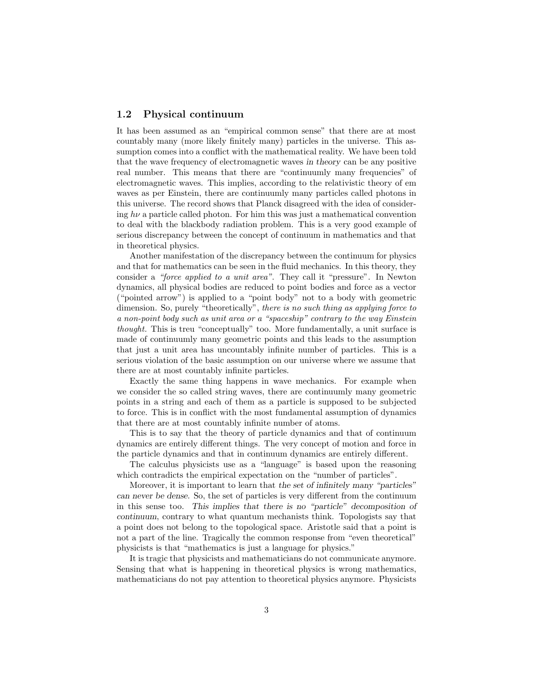# 1.2 Physical continuum

It has been assumed as an "empirical common sense" that there are at most countably many (more likely finitely many) particles in the universe. This assumption comes into a conflict with the mathematical reality. We have been told that the wave frequency of electromagnetic waves in theory can be any positive real number. This means that there are "continuumly many frequencies" of electromagnetic waves. This implies, according to the relativistic theory of em waves as per Einstein, there are continuumly many particles called photons in this universe. The record shows that Planck disagreed with the idea of considering  $h\nu$  a particle called photon. For him this was just a mathematical convention to deal with the blackbody radiation problem. This is a very good example of serious discrepancy between the concept of continuum in mathematics and that in theoretical physics.

Another manifestation of the discrepancy between the continuum for physics and that for mathematics can be seen in the fluid mechanics. In this theory, they consider a "force applied to a unit area". They call it "pressure". In Newton dynamics, all physical bodies are reduced to point bodies and force as a vector ("pointed arrow") is applied to a "point body" not to a body with geometric dimension. So, purely "theoretically", there is no such thing as applying force to a non-point body such as unit area or a "spaceship" contrary to the way Einstein thought. This is treu "conceptually" too. More fundamentally, a unit surface is made of continuumly many geometric points and this leads to the assumption that just a unit area has uncountably infinite number of particles. This is a serious violation of the basic assumption on our universe where we assume that there are at most countably infinite particles.

Exactly the same thing happens in wave mechanics. For example when we consider the so called string waves, there are continuumly many geometric points in a string and each of them as a particle is supposed to be subjected to force. This is in conflict with the most fundamental assumption of dynamics that there are at most countably infinite number of atoms.

This is to say that the theory of particle dynamics and that of continuum dynamics are entirely different things. The very concept of motion and force in the particle dynamics and that in continuum dynamics are entirely different.

The calculus physicists use as a "language" is based upon the reasoning which contradicts the empirical expectation on the "number of particles".

Moreover, it is important to learn that the set of infinitely many "particles" can never be dense. So, the set of particles is very different from the continuum in this sense too. This implies that there is no "particle" decomposition of continuum, contrary to what quantum mechanists think. Topologists say that a point does not belong to the topological space. Aristotle said that a point is not a part of the line. Tragically the common response from "even theoretical" physicists is that "mathematics is just a language for physics."

It is tragic that physicists and mathematicians do not communicate anymore. Sensing that what is happening in theoretical physics is wrong mathematics, mathematicians do not pay attention to theoretical physics anymore. Physicists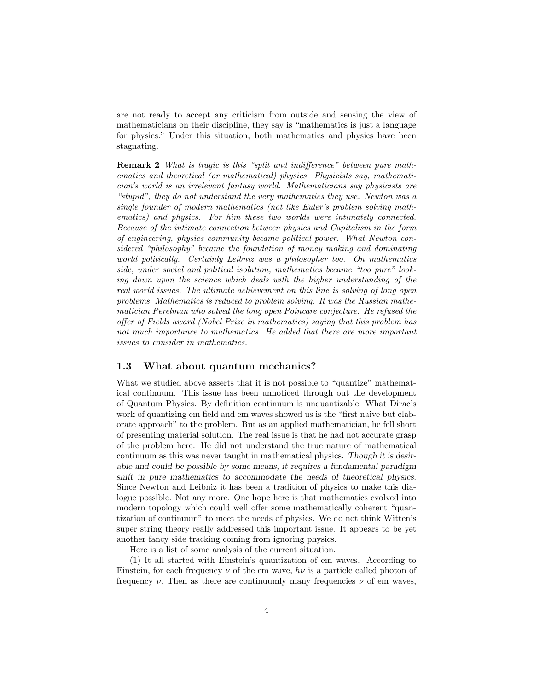are not ready to accept any criticism from outside and sensing the view of mathematicians on their discipline, they say is "mathematics is just a language for physics." Under this situation, both mathematics and physics have been stagnating.

Remark 2 What is tragic is this "split and indifference" between pure mathematics and theoretical (or mathematical) physics. Physicists say, mathematician's world is an irrelevant fantasy world. Mathematicians say physicists are "stupid", they do not understand the very mathematics they use. Newton was a single founder of modern mathematics (not like Euler's problem solving mathematics) and physics. For him these two worlds were intimately connected. Because of the intimate connection between physics and Capitalism in the form of engineering, physics community became political power. What Newton considered "philosophy" became the foundation of money making and dominating world politically. Certainly Leibniz was a philosopher too. On mathematics side, under social and political isolation, mathematics became "too pure" looking down upon the science which deals with the higher understanding of the real world issues. The ultimate achievement on this line is solving of long open problems Mathematics is reduced to problem solving. It was the Russian mathematician Perelman who solved the long open Poincare conjecture. He refused the offer of Fields award (Nobel Prize in mathematics) saying that this problem has not much importance to mathematics. He added that there are more important issues to consider in mathematics.

# 1.3 What about quantum mechanics?

What we studied above asserts that it is not possible to "quantize" mathematical continuum. This issue has been unnoticed through out the development of Quantum Physics. By definition continuum is unquantizable What Dirac's work of quantizing em field and em waves showed us is the "first naive but elaborate approach" to the problem. But as an applied mathematician, he fell short of presenting material solution. The real issue is that he had not accurate grasp of the problem here. He did not understand the true nature of mathematical continuum as this was never taught in mathematical physics. Though it is desirable and could be possible by some means, it requires a fundamental paradigm shift in pure mathematics to accommodate the needs of theoretical physics. Since Newton and Leibniz it has been a tradition of physics to make this dialogue possible. Not any more. One hope here is that mathematics evolved into modern topology which could well offer some mathematically coherent "quantization of continuum" to meet the needs of physics. We do not think Witten's super string theory really addressed this important issue. It appears to be yet another fancy side tracking coming from ignoring physics.

Here is a list of some analysis of the current situation.

(1) It all started with Einstein's quantization of em waves. According to Einstein, for each frequency  $\nu$  of the em wave,  $h\nu$  is a particle called photon of frequency  $\nu$ . Then as there are continuumly many frequencies  $\nu$  of em waves,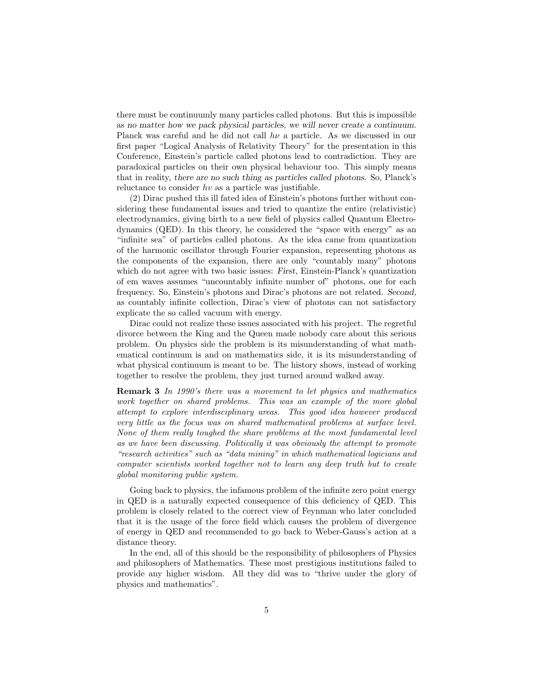there must be continuumly many particles called photons. But this is impossible as no matter how we pack physical particles, we will never create a continuum. Planck was careful and he did not call  $h\nu$  a particle. As we discussed in our first paper "Logical Analysis of Relativity Theory" for the presentation in this Conference, Einstein's particle called photons lead to contradiction. They are paradoxical particles on their own physical behaviour too. This simply means that in reality, there are no such thing as particles called photons. So, Planck's reluctance to consider hv as a particle was justifiable.

(2) Dirac pushed this ill fated idea of Einstein's photons further without considering these fundamental issues and tried to quantize the entire (relativistic) electrodynamics, giving birth to a new field of physics called Quantum Electrodynamics (QED). In this theory, he considered the "space with energy" as an "infinite sea" of particles called photons. As the idea came from quantization of the harmonic oscillator through Fourier expansion, representing photons as the components of the expansion, there are only "countably many" photons which do not agree with two basic issues: First, Einstein-Planck's quantization of em waves assumes "uncountably infinite number of" photons, one for each frequency. So, Einstein's photons and Dirac's photons are not related. Second, as countably infinite collection, Dirac's view of photons can not satisfactory explicate the so called vacuum with energy.

Dirac could not realize these issues associated with his project. The regretful divorce between the King and the Queen made nobody care about this serious problem. On physics side the problem is its misunderstanding of what mathematical continuum is and on mathematics side, it is its misunderstanding of what physical continuum is meant to be. The history shows, instead of working together to resolve the problem, they just turned around walked away.

Remark 3 In 1990's there was a movement to let physics and mathematics work together on shared problems. This was an example of the more global attempt to explore interdisciplinary areas. This good idea however produced very little as the focus was on shared mathematical problems at surface level. None of them really toughed the share problems at the most fundamental level as we have been discussing. Politically it was obviously the attempt to promote "research activities" such as "data mining" in which mathematical logicians and computer scientists worked together not to learn any deep truth but to create global monitoring public system.

Going back to physics, the infamous problem of the infinite zero point energy in QED is a naturally expected consequence of this deficiency of QED. This problem is closely related to the correct view of Feynman who later concluded that it is the usage of the force field which causes the problem of divergence of energy in QED and recommended to go back to Weber-Gauss's action at a distance theory.

In the end, all of this should be the responsibility of philosophers of Physics and philosophers of Mathematics. These most prestigious institutions failed to provide any higher wisdom. All they did was to "thrive under the glory of physics and mathematics".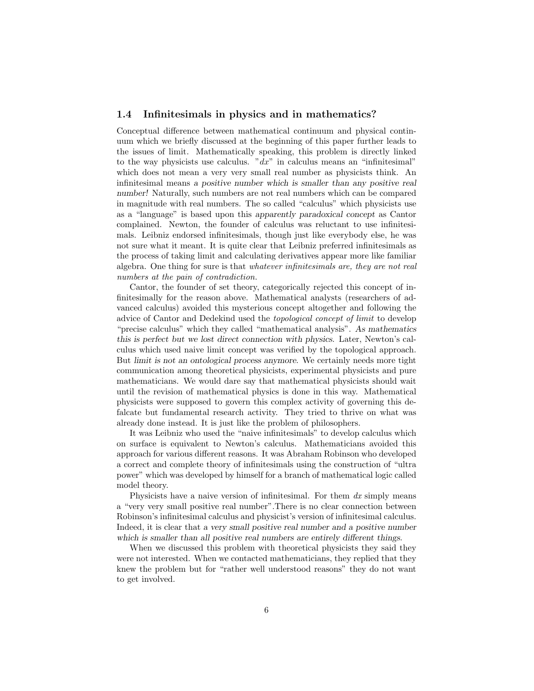### 1.4 Infinitesimals in physics and in mathematics?

Conceptual difference between mathematical continuum and physical continuum which we briefly discussed at the beginning of this paper further leads to the issues of limit. Mathematically speaking, this problem is directly linked to the way physicists use calculus. " $dx$ " in calculus means an "infinitesimal" which does not mean a very very small real number as physicists think. An infinitesimal means a positive number which is smaller than any positive real number! Naturally, such numbers are not real numbers which can be compared in magnitude with real numbers. The so called "calculus" which physicists use as a "language" is based upon this apparently paradoxical concept as Cantor complained. Newton, the founder of calculus was reluctant to use infinitesimals. Leibniz endorsed infinitesimals, though just like everybody else, he was not sure what it meant. It is quite clear that Leibniz preferred infinitesimals as the process of taking limit and calculating derivatives appear more like familiar algebra. One thing for sure is that whatever infinitesimals are, they are not real numbers at the pain of contradiction.

Cantor, the founder of set theory, categorically rejected this concept of infinitesimally for the reason above. Mathematical analysts (researchers of advanced calculus) avoided this mysterious concept altogether and following the advice of Cantor and Dedekind used the topological concept of limit to develop "precise calculus" which they called "mathematical analysis". As mathematics this is perfect but we lost direct connection with physics. Later, Newton's calculus which used naive limit concept was verified by the topological approach. But limit is not an ontological process anymore. We certainly needs more tight communication among theoretical physicists, experimental physicists and pure mathematicians. We would dare say that mathematical physicists should wait until the revision of mathematical physics is done in this way. Mathematical physicists were supposed to govern this complex activity of governing this defalcate but fundamental research activity. They tried to thrive on what was already done instead. It is just like the problem of philosophers.

It was Leibniz who used the "naive infinitesimals" to develop calculus which on surface is equivalent to Newton's calculus. Mathematicians avoided this approach for various different reasons. It was Abraham Robinson who developed a correct and complete theory of infinitesimals using the construction of "ultra power" which was developed by himself for a branch of mathematical logic called model theory.

Physicists have a naive version of infinitesimal. For them  $dx$  simply means a "very very small positive real number".There is no clear connection between Robinson's infinitesimal calculus and physicist's version of infinitesimal calculus. Indeed, it is clear that a very small positive real number and a positive number which is smaller than all positive real numbers are entirely different things.

When we discussed this problem with theoretical physicists they said they were not interested. When we contacted mathematicians, they replied that they knew the problem but for "rather well understood reasons" they do not want to get involved.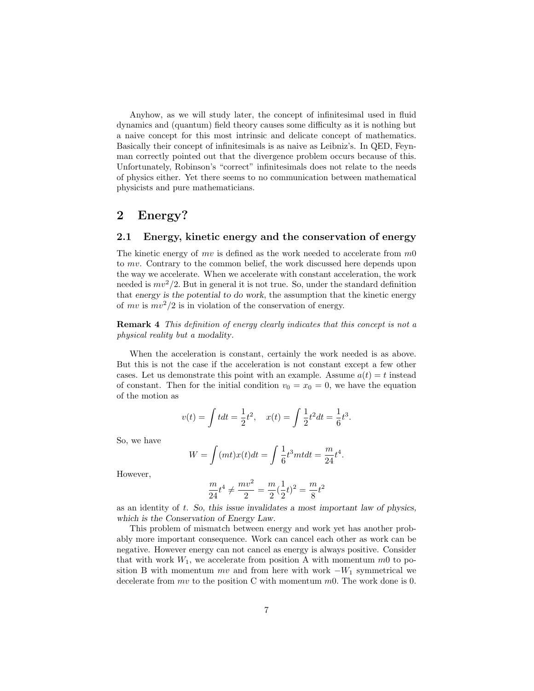Anyhow, as we will study later, the concept of infinitesimal used in fluid dynamics and (quantum) field theory causes some difficulty as it is nothing but a naive concept for this most intrinsic and delicate concept of mathematics. Basically their concept of infinitesimals is as naive as Leibniz's. In QED, Feynman correctly pointed out that the divergence problem occurs because of this. Unfortunately, Robinson's "correct" infinitesimals does not relate to the needs of physics either. Yet there seems to no communication between mathematical physicists and pure mathematicians.

# 2 Energy?

# 2.1 Energy, kinetic energy and the conservation of energy

The kinetic energy of  $mv$  is defined as the work needed to accelerate from  $m0$ to mv. Contrary to the common belief, the work discussed here depends upon the way we accelerate. When we accelerate with constant acceleration, the work needed is  $mv^2/2$ . But in general it is not true. So, under the standard definition that energy is the potential to do work, the assumption that the kinetic energy of  $mv$  is  $mv^2/2$  is in violation of the conservation of energy.

Remark 4 This definition of energy clearly indicates that this concept is not a physical reality but a modality.

When the acceleration is constant, certainly the work needed is as above. But this is not the case if the acceleration is not constant except a few other cases. Let us demonstrate this point with an example. Assume  $a(t) = t$  instead of constant. Then for the initial condition  $v_0 = x_0 = 0$ , we have the equation of the motion as

$$
v(t) = \int t dt = \frac{1}{2}t^2
$$
,  $x(t) = \int \frac{1}{2}t^2 dt = \frac{1}{6}t^3$ .

So, we have

$$
W = \int (mt)x(t)dt = \int \frac{1}{6}t^3m t dt = \frac{m}{24}t^4.
$$

However,

$$
\frac{m}{24}t^4 \neq \frac{mv^2}{2} = \frac{m}{2}(\frac{1}{2}t)^2 = \frac{m}{8}t^2
$$

as an identity of t. So, this issue invalidates a most important law of physics, which is the Conservation of Energy Law.

This problem of mismatch between energy and work yet has another probably more important consequence. Work can cancel each other as work can be negative. However energy can not cancel as energy is always positive. Consider that with work  $W_1$ , we accelerate from position A with momentum  $m0$  to position B with momentum  $mv$  and from here with work  $-W_1$  symmetrical we decelerate from  $mv$  to the position C with momentum  $m0$ . The work done is 0.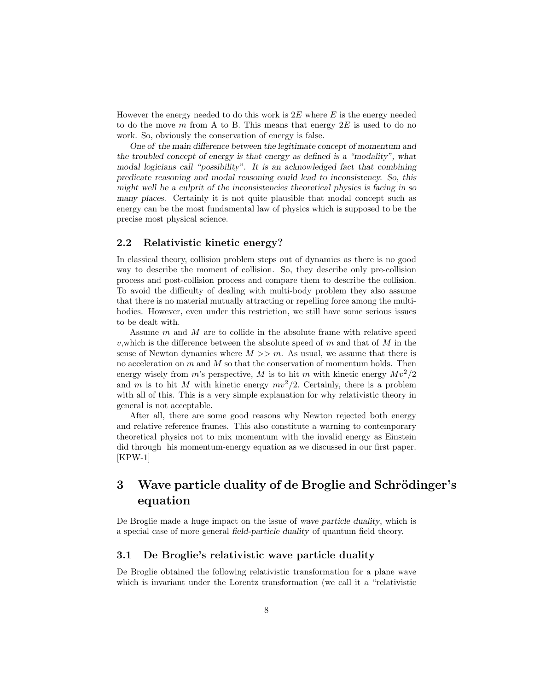However the energy needed to do this work is  $2E$  where E is the energy needed to do the move  $m$  from A to B. This means that energy  $2E$  is used to do no work. So, obviously the conservation of energy is false.

One of the main difference between the legitimate concept of momentum and the troubled concept of energy is that energy as defined is a "modality", what modal logicians call "possibility". It is an acknowledged fact that combining predicate reasoning and modal reasoning could lead to inconsistency. So, this might well be a culprit of the inconsistencies theoretical physics is facing in so many places. Certainly it is not quite plausible that modal concept such as energy can be the most fundamental law of physics which is supposed to be the precise most physical science.

# 2.2 Relativistic kinetic energy?

In classical theory, collision problem steps out of dynamics as there is no good way to describe the moment of collision. So, they describe only pre-collision process and post-collision process and compare them to describe the collision. To avoid the difficulty of dealing with multi-body problem they also assume that there is no material mutually attracting or repelling force among the multibodies. However, even under this restriction, we still have some serious issues to be dealt with.

Assume m and M are to collide in the absolute frame with relative speed v, which is the difference between the absolute speed of m and that of M in the sense of Newton dynamics where  $M \gg m$ . As usual, we assume that there is no acceleration on  $m$  and  $M$  so that the conservation of momentum holds. Then energy wisely from m's perspective, M is to hit m with kinetic energy  $Mv^2/2$ and m is to hit M with kinetic energy  $mv^2/2$ . Certainly, there is a problem with all of this. This is a very simple explanation for why relativistic theory in general is not acceptable.

After all, there are some good reasons why Newton rejected both energy and relative reference frames. This also constitute a warning to contemporary theoretical physics not to mix momentum with the invalid energy as Einstein did through his momentum-energy equation as we discussed in our first paper. [KPW-1]

# 3 Wave particle duality of de Broglie and Schrödinger's equation

De Broglie made a huge impact on the issue of wave particle duality, which is a special case of more general field-particle duality of quantum field theory.

# 3.1 De Broglie's relativistic wave particle duality

De Broglie obtained the following relativistic transformation for a plane wave which is invariant under the Lorentz transformation (we call it a "relativistic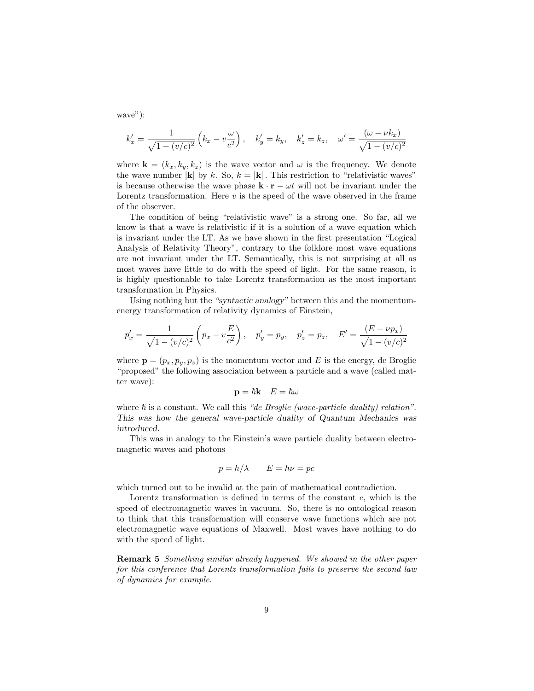wave"):

$$
k'_x = \frac{1}{\sqrt{1 - (v/c)^2}} \left( k_x - v \frac{\omega}{c^2} \right), \quad k'_y = k_y, \quad k'_z = k_z, \quad \omega' = \frac{(\omega - \nu k_x)}{\sqrt{1 - (v/c)^2}}
$$

where  $\mathbf{k} = (k_x, k_y, k_z)$  is the wave vector and  $\omega$  is the frequency. We denote the wave number |k| by k. So,  $k = |\mathbf{k}|$ . This restriction to "relativistic waves" is because otherwise the wave phase  $\mathbf{k} \cdot \mathbf{r} - \omega t$  will not be invariant under the Lorentz transformation. Here  $v$  is the speed of the wave observed in the frame of the observer.

The condition of being "relativistic wave" is a strong one. So far, all we know is that a wave is relativistic if it is a solution of a wave equation which is invariant under the LT. As we have shown in the first presentation "Logical Analysis of Relativity Theory", contrary to the folklore most wave equations are not invariant under the LT. Semantically, this is not surprising at all as most waves have little to do with the speed of light. For the same reason, it is highly questionable to take Lorentz transformation as the most important transformation in Physics.

Using nothing but the "syntactic analogy" between this and the momentumenergy transformation of relativity dynamics of Einstein,

$$
p'_x = \frac{1}{\sqrt{1 - (v/c)^2}} \left( p_x - v \frac{E}{c^2} \right), \quad p'_y = p_y, \quad p'_z = p_z, \quad E' = \frac{(E - \nu p_x)}{\sqrt{1 - (v/c)^2}}
$$

where  $\mathbf{p} = (p_x, p_y, p_z)$  is the momentum vector and E is the energy, de Broglie "proposed" the following association between a particle and a wave (called matter wave):

$$
\mathbf{p} = \hbar \mathbf{k} \quad E = \hbar \omega
$$

where  $\hbar$  is a constant. We call this "de Broglie (wave-particle duality) relation". This was how the general wave-particle duality of Quantum Mechanics was introduced.

This was in analogy to the Einstein's wave particle duality between electromagnetic waves and photons

$$
p = h/\lambda \qquad E = h\nu = pc
$$

which turned out to be invalid at the pain of mathematical contradiction.

Lorentz transformation is defined in terms of the constant  $c$ , which is the speed of electromagnetic waves in vacuum. So, there is no ontological reason to think that this transformation will conserve wave functions which are not electromagnetic wave equations of Maxwell. Most waves have nothing to do with the speed of light.

Remark 5 Something similar already happened. We showed in the other paper for this conference that Lorentz transformation fails to preserve the second law of dynamics for example.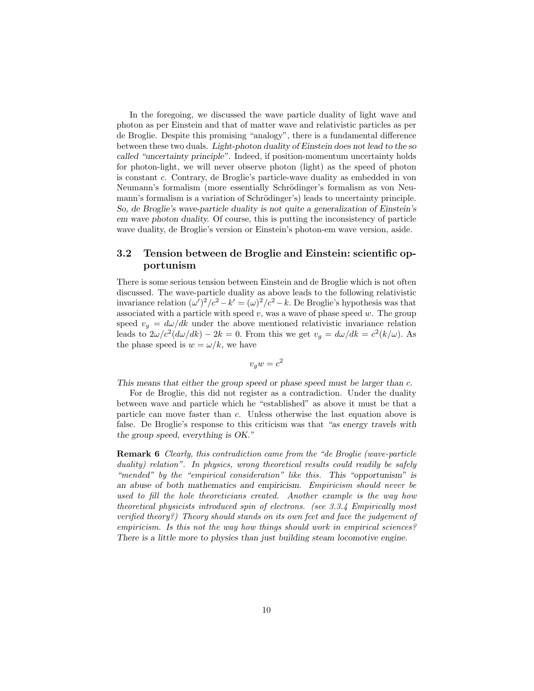In the foregoing, we discussed the wave particle duality of light wave and photon as per Einstein and that of matter wave and relativistic particles as per de Broglie. Despite this promising "analogy", there is a fundamental difference between these two duals. Light-photon duality of Einstein does not lead to the so called "uncertainty principle". Indeed, if position-momentum uncertainty holds for photon-light, we will never observe photon (light) as the speed of photon is constant c. Contrary, de Broglie's particle-wave duality as embedded in von Neumann's formalism (more essentially Schrödinger's formalism as von Neumann's formalism is a variation of Schrödinger's) leads to uncertainty principle. So, de Broglie's wave-particle duality is not quite a generalization of Einstein's em wave photon duality. Of course, this is putting the inconsistency of particle wave duality, de Broglie's version or Einstein's photon-em wave version, aside.

# 3.2 Tension between de Broglie and Einstein: scientific opportunism

There is some serious tension between Einstein and de Broglie which is not often discussed. The wave-particle duality as above leads to the following relativistic invariance relation  $(\omega')^2/c^2 - k' = (\omega)^2/c^2 - k$ . De Broglie's hypothesis was that associated with a particle with speed  $v$ , was a wave of phase speed  $w$ . The group speed  $v_q = d\omega/dk$  under the above mentioned relativistic invariance relation leads to  $2\omega/c^2(d\omega/dk) - 2k = 0$ . From this we get  $v_g = d\omega/dk = c^2(k/\omega)$ . As the phase speed is  $w = \omega/k$ , we have

$$
v_g w = c^2
$$

This means that either the group speed or phase speed must be larger than c.

For de Broglie, this did not register as a contradiction. Under the duality between wave and particle which he "established" as above it must be that a particle can move faster than c. Unless otherwise the last equation above is false. De Broglie's response to this criticism was that "as energy travels with the group speed, everything is OK."

Remark 6 Clearly, this contradiction came from the "de Broglie (wave-particle duality) relation". In physics, wrong theoretical results could readily be safely "mended" by the "empirical consideration" like this. This "opportunism" is an abuse of both mathematics and empiricism. Empiricism should never be used to fill the hole theoreticians created. Another example is the way how theoretical physicists introduced spin of electrons. (see 3.3.4 Empirically most verified theory?) Theory should stands on its own feet and face the judgement of empiricism. Is this not the way how things should work in empirical sciences? There is a little more to physics than just building steam locomotive engine.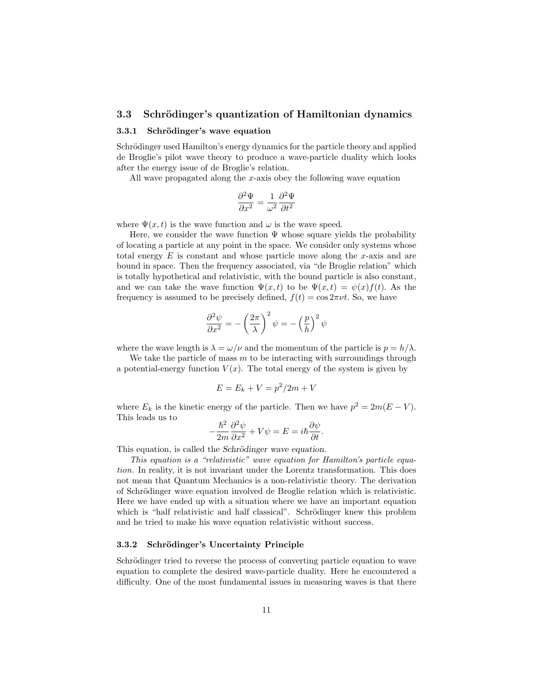### 3.3 Schrödinger's quantization of Hamiltonian dynamics

#### 3.3.1 Schrödinger's wave equation

Schrödinger used Hamilton's energy dynamics for the particle theory and applied de Broglie's pilot wave theory to produce a wave-particle duality which looks after the energy issue of de Broglie's relation.

All wave propagated along the x-axis obey the following wave equation

$$
\frac{\partial^2 \Psi}{\partial x^2} = \frac{1}{\omega^2} \frac{\partial^2 \Psi}{\partial t^2}
$$

where  $\Psi(x, t)$  is the wave function and  $\omega$  is the wave speed.

Here, we consider the wave function  $\Psi$  whose square yields the probability of locating a particle at any point in the space. We consider only systems whose total energy  $E$  is constant and whose particle move along the x-axis and are bound in space. Then the frequency associated, via "de Broglie relation" which is totally hypothetical and relativistic, with the bound particle is also constant, and we can take the wave function  $\Psi(x,t)$  to be  $\Psi(x,t) = \psi(x)f(t)$ . As the frequency is assumed to be precisely defined,  $f(t) = \cos 2\pi \nu t$ . So, we have

$$
\frac{\partial^2 \psi}{\partial x^2} = -\left(\frac{2\pi}{\lambda}\right)^2 \psi = -\left(\frac{p}{h}\right)^2 \psi
$$

where the wave length is  $\lambda = \omega/\nu$  and the momentum of the particle is  $p = h/\lambda$ .

We take the particle of mass  $m$  to be interacting with surroundings through a potential-energy function  $V(x)$ . The total energy of the system is given by

$$
E = E_k + V = p^2/2m + V
$$

where  $E_k$  is the kinetic energy of the particle. Then we have  $p^2 = 2m(E - V)$ . This leads us to

$$
-\frac{\hbar^2}{2m}\frac{\partial^2\psi}{\partial x^2} + V\psi = E = i\hbar\frac{\partial\psi}{\partial t}.
$$

This equation, is called the Schrödinger wave equation.

This equation is a "relativistic" wave equation for Hamilton's particle equation. In reality, it is not invariant under the Lorentz transformation. This does not mean that Quantum Mechanics is a non-relativistic theory. The derivation of Schrödinger wave equation involved de Broglie relation which is relativistic. Here we have ended up with a situation where we have an important equation which is "half relativistic and half classical". Schrödinger knew this problem and he tried to make his wave equation relativistic without success.

### 3.3.2 Schrödinger's Uncertainty Principle

Schrödinger tried to reverse the process of converting particle equation to wave equation to complete the desired wave-particle duality. Here he encountered a difficulty. One of the most fundamental issues in measuring waves is that there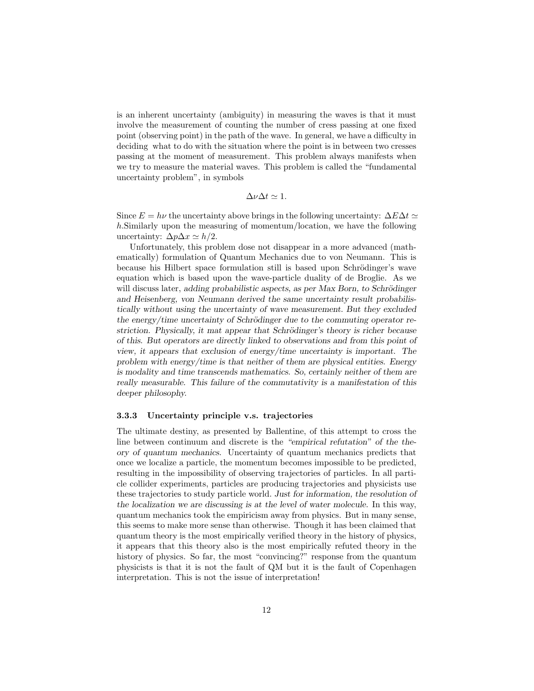is an inherent uncertainty (ambiguity) in measuring the waves is that it must involve the measurement of counting the number of cress passing at one fixed point (observing point) in the path of the wave. In general, we have a difficulty in deciding what to do with the situation where the point is in between two cresses passing at the moment of measurement. This problem always manifests when we try to measure the material waves. This problem is called the "fundamental uncertainty problem", in symbols

 $\Delta \nu \Delta t \simeq 1.$ 

Since  $E = h\nu$  the uncertainty above brings in the following uncertainty:  $\Delta E \Delta t \simeq$ h.Similarly upon the measuring of momentum/location, we have the following uncertainty:  $\Delta p \Delta x \simeq h/2$ .

Unfortunately, this problem dose not disappear in a more advanced (mathematically) formulation of Quantum Mechanics due to von Neumann. This is because his Hilbert space formulation still is based upon Schrödinger's wave equation which is based upon the wave-particle duality of de Broglie. As we will discuss later, adding probabilistic aspects, as per Max Born, to Schrödinger and Heisenberg, von Neumann derived the same uncertainty result probabilistically without using the uncertainty of wave measurement. But they excluded the energy/time uncertainty of Schrödinger due to the commuting operator restriction. Physically, it mat appear that Schrödinger's theory is richer because of this. But operators are directly linked to observations and from this point of view, it appears that exclusion of energy/time uncertainty is important. The problem with energy/time is that neither of them are physical entities. Energy is modality and time transcends mathematics. So, certainly neither of them are really measurable. This failure of the commutativity is a manifestation of this deeper philosophy.

#### 3.3.3 Uncertainty principle v.s. trajectories

The ultimate destiny, as presented by Ballentine, of this attempt to cross the line between continuum and discrete is the "empirical refutation" of the theory of quantum mechanics. Uncertainty of quantum mechanics predicts that once we localize a particle, the momentum becomes impossible to be predicted, resulting in the impossibility of observing trajectories of particles. In all particle collider experiments, particles are producing trajectories and physicists use these trajectories to study particle world. Just for information, the resolution of the localization we are discussing is at the level of water molecule. In this way, quantum mechanics took the empiricism away from physics. But in many sense, this seems to make more sense than otherwise. Though it has been claimed that quantum theory is the most empirically verified theory in the history of physics, it appears that this theory also is the most empirically refuted theory in the history of physics. So far, the most "convincing?" response from the quantum physicists is that it is not the fault of QM but it is the fault of Copenhagen interpretation. This is not the issue of interpretation!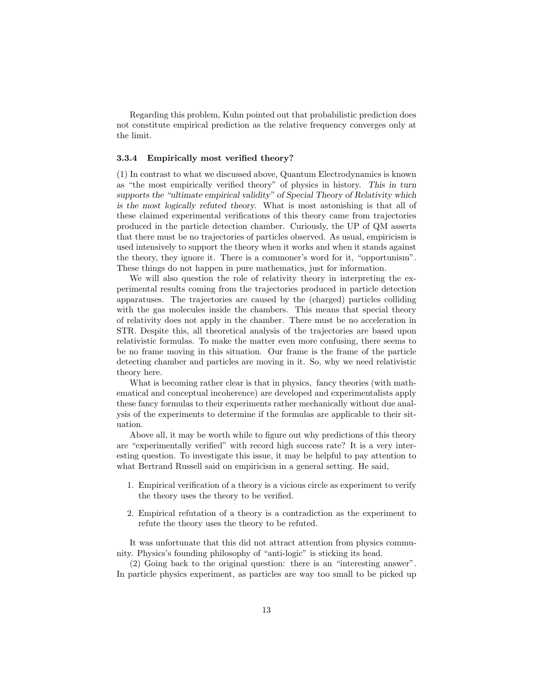Regarding this problem, Kuhn pointed out that probabilistic prediction does not constitute empirical prediction as the relative frequency converges only at the limit.

#### 3.3.4 Empirically most verified theory?

(1) In contrast to what we discussed above, Quantum Electrodynamics is known as "the most empirically verified theory" of physics in history. This in turn supports the "ultimate empirical validity" of Special Theory of Relativity which is the most logically refuted theory. What is most astonishing is that all of these claimed experimental verifications of this theory came from trajectories produced in the particle detection chamber. Curiously, the UP of QM asserts that there must be no trajectories of particles observed. As usual, empiricism is used intensively to support the theory when it works and when it stands against the theory, they ignore it. There is a commoner's word for it, "opportunism". These things do not happen in pure mathematics, just for information.

We will also question the role of relativity theory in interpreting the experimental results coming from the trajectories produced in particle detection apparatuses. The trajectories are caused by the (charged) particles colliding with the gas molecules inside the chambers. This means that special theory of relativity does not apply in the chamber. There must be no acceleration in STR. Despite this, all theoretical analysis of the trajectories are based upon relativistic formulas. To make the matter even more confusing, there seems to be no frame moving in this situation. Our frame is the frame of the particle detecting chamber and particles are moving in it. So, why we need relativistic theory here.

What is becoming rather clear is that in physics, fancy theories (with mathematical and conceptual incoherence) are developed and experimentalists apply these fancy formulas to their experiments rather mechanically without due analysis of the experiments to determine if the formulas are applicable to their situation.

Above all, it may be worth while to figure out why predictions of this theory are "experimentally verified" with record high success rate? It is a very interesting question. To investigate this issue, it may be helpful to pay attention to what Bertrand Russell said on empiricism in a general setting. He said,

- 1. Empirical verification of a theory is a vicious circle as experiment to verify the theory uses the theory to be verified.
- 2. Empirical refutation of a theory is a contradiction as the experiment to refute the theory uses the theory to be refuted.

It was unfortunate that this did not attract attention from physics community. Physics's founding philosophy of "anti-logic" is sticking its head.

(2) Going back to the original question: there is an "interesting answer". In particle physics experiment, as particles are way too small to be picked up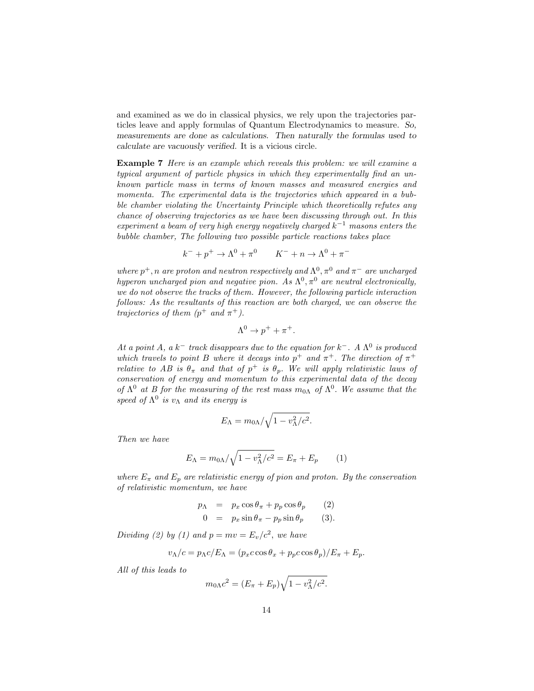and examined as we do in classical physics, we rely upon the trajectories particles leave and apply formulas of Quantum Electrodynamics to measure. So, measurements are done as calculations. Then naturally the formulas used to calculate are vacuously verified. It is a vicious circle.

Example 7 Here is an example which reveals this problem: we will examine a typical argument of particle physics in which they experimentally find an unknown particle mass in terms of known masses and measured energies and momenta. The experimental data is the trajectories which appeared in a bubble chamber violating the Uncertainty Principle which theoretically refutes any chance of observing trajectories as we have been discussing through out. In this experiment a beam of very high energy negatively charged  $k^{-1}$  masons enters the bubble chamber, The following two possible particle reactions takes place

$$
k^- + p^+ \to \Lambda^0 + \pi^0
$$
  $K^- + n \to \Lambda^0 + \pi^-$ 

where  $p^+$ , n are proton and neutron respectively and  $\Lambda^0$ ,  $\pi^0$  and  $\pi^-$  are uncharged hyperon uncharged pion and negative pion. As  $\Lambda^0$ ,  $\pi^0$  are neutral electronically, we do not observe the tracks of them. However, the following particle interaction follows: As the resultants of this reaction are both charged, we can observe the trajectories of them  $(p^+$  and  $\pi^+$ ).

$$
\Lambda^0 \to p^+ + \pi^+.
$$

At a point A, a  $k^-$  track disappears due to the equation for  $k^-$ . A  $\Lambda^0$  is produced which travels to point B where it decays into  $p^+$  and  $\pi^+$ . The direction of  $\pi^+$ relative to AB is  $\theta_{\pi}$  and that of  $p^{+}$  is  $\theta_{p}$ . We will apply relativistic laws of conservation of energy and momentum to this experimental data of the decay of  $\Lambda^0$  at B for the measuring of the rest mass  $m_{0\Lambda}$  of  $\Lambda^0$ . We assume that the speed of  $\Lambda^0$  is  $v_\Lambda$  and its energy is

$$
E_{\Lambda} = m_{0\Lambda}/\sqrt{1 - v_{\Lambda}^2/c^2}.
$$

Then we have

$$
E_{\Lambda} = m_{0\Lambda} / \sqrt{1 - v_{\Lambda}^2 / c^2} = E_{\pi} + E_p \qquad (1)
$$

where  $E_{\pi}$  and  $E_p$  are relativistic energy of pion and proton. By the conservation of relativistic momentum, we have

$$
p_{\Lambda} = p_x \cos \theta_{\pi} + p_p \cos \theta_p \qquad (2)
$$
  

$$
0 = p_x \sin \theta_{\pi} - p_p \sin \theta_p \qquad (3).
$$

Dividing (2) by (1) and  $p = mv = E_v/c^2$ , we have

$$
v_{\Lambda}/c = p_{\Lambda}c/E_{\Lambda} = (p_x c \cos \theta_x + p_p c \cos \theta_p)/E_{\pi} + E_p.
$$

All of this leads to

$$
m_{0\Lambda}c^2 = (E_{\pi} + E_p)\sqrt{1 - v_{\Lambda}^2/c^2}.
$$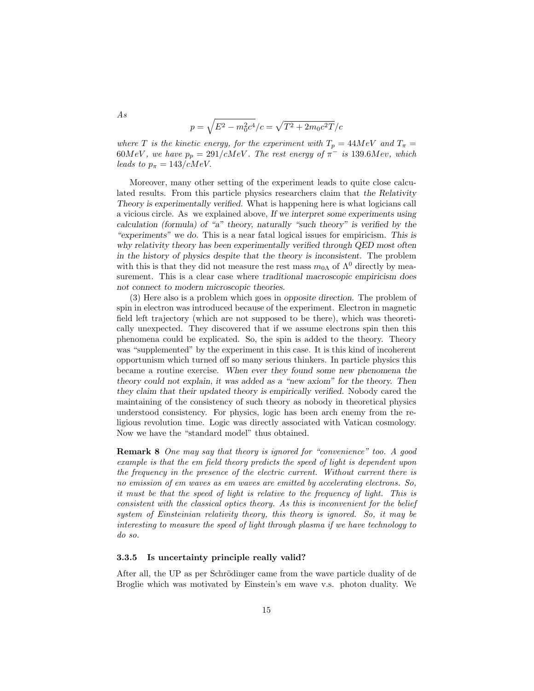$$
p=\sqrt{E^2-m_0^2c^4}/c=\sqrt{T^2+2m_0c^2T}/c
$$

where T is the kinetic energy, for the experiment with  $T_p = 44 MeV$  and  $T_\pi =$ 60MeV, we have  $p_p = 291/cMeV$ . The rest energy of  $\pi^-$  is 139.6Mev, which leads to  $p_{\pi} = 143/cMeV$ .

Moreover, many other setting of the experiment leads to quite close calculated results. From this particle physics researchers claim that the Relativity Theory is experimentally verified. What is happening here is what logicians call a vicious circle. As we explained above, If we interpret some experiments using calculation (formula) of "a" theory, naturally "such theory" is verified by the "experiments" we do. This is a near fatal logical issues for empiricism. This is why relativity theory has been experimentally verified through QED most often in the history of physics despite that the theory is inconsistent. The problem with this is that they did not measure the rest mass  $m_{0\Lambda}$  of  $\Lambda^0$  directly by measurement. This is a clear case where traditional macroscopic empiricism does not connect to modern microscopic theories.

(3) Here also is a problem which goes in opposite direction. The problem of spin in electron was introduced because of the experiment. Electron in magnetic field left trajectory (which are not supposed to be there), which was theoretically unexpected. They discovered that if we assume electrons spin then this phenomena could be explicated. So, the spin is added to the theory. Theory was "supplemented" by the experiment in this case. It is this kind of incoherent opportunism which turned off so many serious thinkers. In particle physics this became a routine exercise. When ever they found some new phenomena the theory could not explain, it was added as a "new axiom" for the theory. Then they claim that their updated theory is empirically verified. Nobody cared the maintaining of the consistency of such theory as nobody in theoretical physics understood consistency. For physics, logic has been arch enemy from the religious revolution time. Logic was directly associated with Vatican cosmology. Now we have the "standard model" thus obtained.

Remark 8 One may say that theory is ignored for "convenience" too. A good example is that the em field theory predicts the speed of light is dependent upon the frequency in the presence of the electric current. Without current there is no emission of em waves as em waves are emitted by accelerating electrons. So, it must be that the speed of light is relative to the frequency of light. This is consistent with the classical optics theory. As this is inconvenient for the belief system of Einsteinian relativity theory, this theory is ignored. So, it may be interesting to measure the speed of light through plasma if we have technology to do so.

#### 3.3.5 Is uncertainty principle really valid?

After all, the UP as per Schrödinger came from the wave particle duality of de Broglie which was motivated by Einstein's em wave v.s. photon duality. We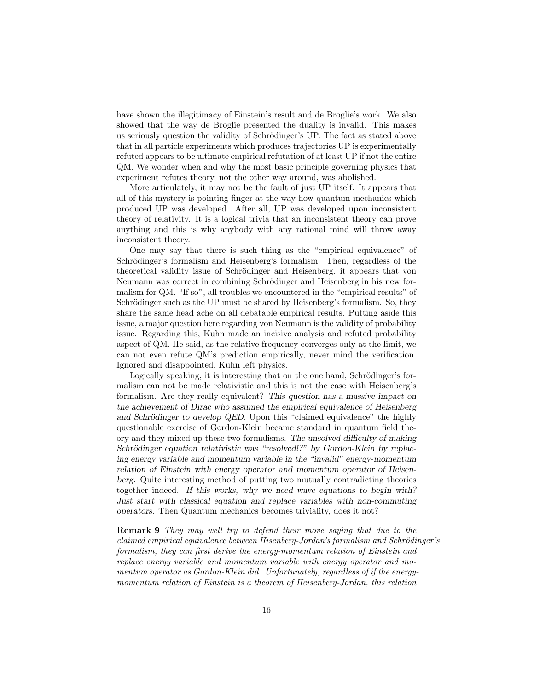have shown the illegitimacy of Einstein's result and de Broglie's work. We also showed that the way de Broglie presented the duality is invalid. This makes us seriously question the validity of Schrödinger's UP. The fact as stated above that in all particle experiments which produces trajectories UP is experimentally refuted appears to be ultimate empirical refutation of at least UP if not the entire QM. We wonder when and why the most basic principle governing physics that experiment refutes theory, not the other way around, was abolished.

More articulately, it may not be the fault of just UP itself. It appears that all of this mystery is pointing finger at the way how quantum mechanics which produced UP was developed. After all, UP was developed upon inconsistent theory of relativity. It is a logical trivia that an inconsistent theory can prove anything and this is why anybody with any rational mind will throw away inconsistent theory.

One may say that there is such thing as the "empirical equivalence" of Schrödinger's formalism and Heisenberg's formalism. Then, regardless of the theoretical validity issue of Schrödinger and Heisenberg, it appears that von Neumann was correct in combining Schrödinger and Heisenberg in his new formalism for QM. "If so", all troubles we encountered in the "empirical results" of Schrödinger such as the UP must be shared by Heisenberg's formalism. So, they share the same head ache on all debatable empirical results. Putting aside this issue, a major question here regarding von Neumann is the validity of probability issue. Regarding this, Kuhn made an incisive analysis and refuted probability aspect of QM. He said, as the relative frequency converges only at the limit, we can not even refute QM's prediction empirically, never mind the verification. Ignored and disappointed, Kuhn left physics.

Logically speaking, it is interesting that on the one hand, Schrödinger's formalism can not be made relativistic and this is not the case with Heisenberg's formalism. Are they really equivalent? This question has a massive impact on the achievement of Dirac who assumed the empirical equivalence of Heisenberg and Schrödinger to develop QED. Upon this "claimed equivalence" the highly questionable exercise of Gordon-Klein became standard in quantum field theory and they mixed up these two formalisms. The unsolved difficulty of making Schrödinger equation relativistic was "resolved!?" by Gordon-Klein by replacing energy variable and momentum variable in the "invalid" energy-momentum relation of Einstein with energy operator and momentum operator of Heisenberg. Quite interesting method of putting two mutually contradicting theories together indeed. If this works, why we need wave equations to begin with? Just start with classical equation and replace variables with non-commuting operators. Then Quantum mechanics becomes triviality, does it not?

Remark 9 They may well try to defend their move saying that due to the claimed empirical equivalence between Hisenberg-Jordan's formalism and Schrödinger's formalism, they can first derive the energy-momentum relation of Einstein and replace energy variable and momentum variable with energy operator and momentum operator as Gordon-Klein did. Unfortunately, regardless of if the energymomentum relation of Einstein is a theorem of Heisenberg-Jordan, this relation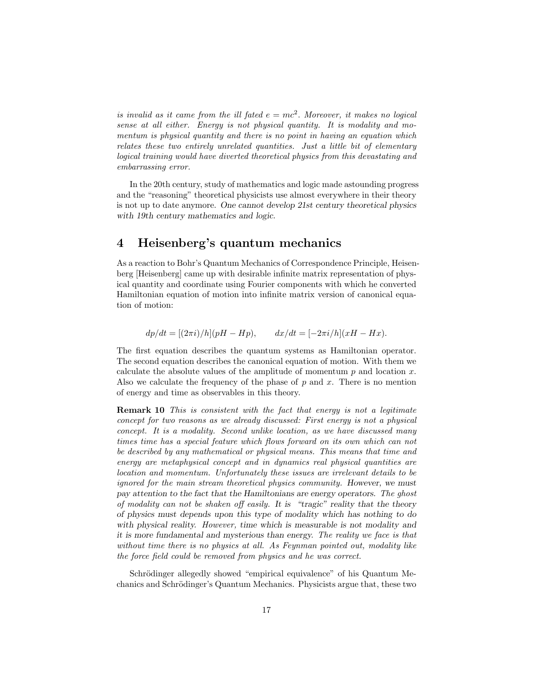is invalid as it came from the ill fated  $e = mc^2$ . Moreover, it makes no logical sense at all either. Energy is not physical quantity. It is modality and momentum is physical quantity and there is no point in having an equation which relates these two entirely unrelated quantities. Just a little bit of elementary logical training would have diverted theoretical physics from this devastating and embarrassing error.

In the 20th century, study of mathematics and logic made astounding progress and the "reasoning" theoretical physicists use almost everywhere in their theory is not up to date anymore. One cannot develop 21st century theoretical physics with 19th century mathematics and logic.

# 4 Heisenberg's quantum mechanics

As a reaction to Bohr's Quantum Mechanics of Correspondence Principle, Heisenberg [Heisenberg] came up with desirable infinite matrix representation of physical quantity and coordinate using Fourier components with which he converted Hamiltonian equation of motion into infinite matrix version of canonical equation of motion:

$$
dp/dt = [(2\pi i)/h](pH - Hp), \qquad dx/dt = [-2\pi i/h](xH - Hx).
$$

The first equation describes the quantum systems as Hamiltonian operator. The second equation describes the canonical equation of motion. With them we calculate the absolute values of the amplitude of momentum  $p$  and location  $x$ . Also we calculate the frequency of the phase of  $p$  and  $x$ . There is no mention of energy and time as observables in this theory.

Remark 10 This is consistent with the fact that energy is not a legitimate concept for two reasons as we already discussed: First energy is not a physical concept. It is a modality. Second unlike location, as we have discussed many times time has a special feature which flows forward on its own which can not be described by any mathematical or physical means. This means that time and energy are metaphysical concept and in dynamics real physical quantities are location and momentum. Unfortunately these issues are irrelevant details to be ignored for the main stream theoretical physics community. However, we must pay attention to the fact that the Hamiltonians are energy operators. The ghost of modality can not be shaken off easily. It is "tragic" reality that the theory of physics must depends upon this type of modality which has nothing to do with physical reality. However, time which is measurable is not modality and it is more fundamental and mysterious than energy. The reality we face is that without time there is no physics at all. As Feynman pointed out, modality like the force field could be removed from physics and he was correct.

Schrödinger allegedly showed "empirical equivalence" of his Quantum Mechanics and Schrödinger's Quantum Mechanics. Physicists argue that, these two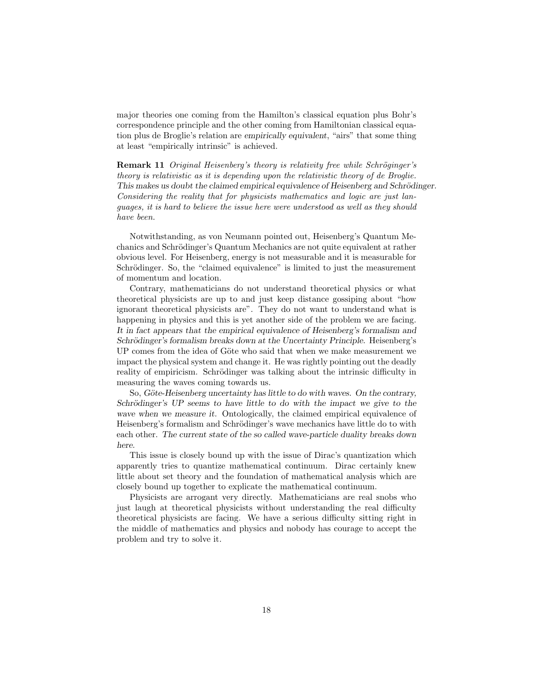major theories one coming from the Hamilton's classical equation plus Bohr's correspondence principle and the other coming from Hamiltonian classical equation plus de Broglie's relation are empirically equivalent, "airs" that some thing at least "empirically intrinsic" is achieved.

**Remark 11** Original Heisenberg's theory is relativity free while Schröginger's theory is relativistic as it is depending upon the relativistic theory of de Broglie. This makes us doubt the claimed empirical equivalence of Heisenberg and Schrödinger. Considering the reality that for physicists mathematics and logic are just languages, it is hard to believe the issue here were understood as well as they should have been.

Notwithstanding, as von Neumann pointed out, Heisenberg's Quantum Mechanics and Schrödinger's Quantum Mechanics are not quite equivalent at rather obvious level. For Heisenberg, energy is not measurable and it is measurable for Schrödinger. So, the "claimed equivalence" is limited to just the measurement of momentum and location.

Contrary, mathematicians do not understand theoretical physics or what theoretical physicists are up to and just keep distance gossiping about "how ignorant theoretical physicists are". They do not want to understand what is happening in physics and this is yet another side of the problem we are facing. It in fact appears that the empirical equivalence of Heisenberg's formalism and Schrödinger's formalism breaks down at the Uncertainty Principle. Heisenberg's UP comes from the idea of Göte who said that when we make measurement we impact the physical system and change it. He was rightly pointing out the deadly reality of empiricism. Schrödinger was talking about the intrinsic difficulty in measuring the waves coming towards us.

So, Göte-Heisenberg uncertainty has little to do with waves. On the contrary, Schrödinger's UP seems to have little to do with the impact we give to the wave when we measure it. Ontologically, the claimed empirical equivalence of Heisenberg's formalism and Schrödinger's wave mechanics have little do to with each other. The current state of the so called wave-particle duality breaks down here.

This issue is closely bound up with the issue of Dirac's quantization which apparently tries to quantize mathematical continuum. Dirac certainly knew little about set theory and the foundation of mathematical analysis which are closely bound up together to explicate the mathematical continuum.

Physicists are arrogant very directly. Mathematicians are real snobs who just laugh at theoretical physicists without understanding the real difficulty theoretical physicists are facing. We have a serious difficulty sitting right in the middle of mathematics and physics and nobody has courage to accept the problem and try to solve it.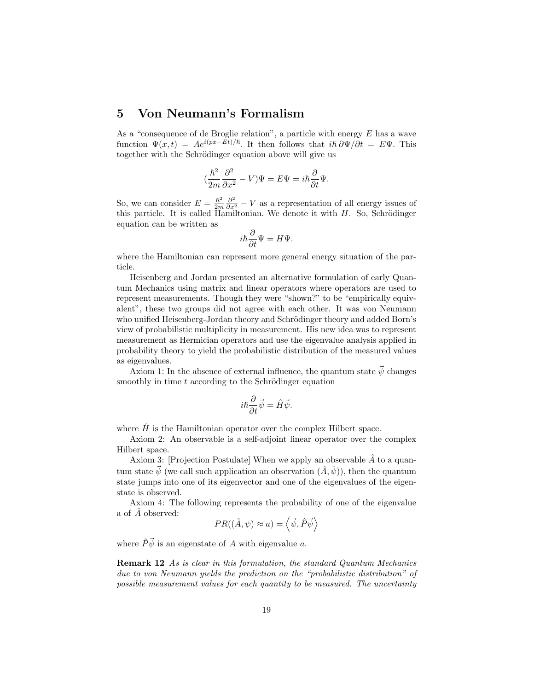# 5 Von Neumann's Formalism

As a "consequence of de Broglie relation", a particle with energy  $E$  has a wave function  $\Psi(x,t) = Ae^{i(px - \tilde{Et})/\hbar}$ . It then follows that  $i\hbar \frac{\partial \Psi}{\partial t} = E \Psi$ . This together with the Schrödinger equation above will give us

$$
(\frac{\hbar^2}{2m}\frac{\partial^2}{\partial x^2}-V)\Psi=E\Psi=i\hbar\frac{\partial}{\partial t}\Psi.
$$

So, we can consider  $E = \frac{\hbar^2}{2m}$  $\frac{\hbar^2}{2m} \frac{\partial^2}{\partial x^2} - V$  as a representation of all energy issues of this particle. It is called Hamiltonian. We denote it with  $H$ . So, Schrödinger equation can be written as

$$
i\hbar\frac{\partial}{\partial t}\Psi = H\Psi.
$$

where the Hamiltonian can represent more general energy situation of the particle.

Heisenberg and Jordan presented an alternative formulation of early Quantum Mechanics using matrix and linear operators where operators are used to represent measurements. Though they were "shown?" to be "empirically equivalent", these two groups did not agree with each other. It was von Neumann who unified Heisenberg-Jordan theory and Schrödinger theory and added Born's view of probabilistic multiplicity in measurement. His new idea was to represent measurement as Hermician operators and use the eigenvalue analysis applied in probability theory to yield the probabilistic distribution of the measured values as eigenvalues.

Axiom 1: In the absence of external influence, the quantum state  $\vec{\psi}$  changes smoothly in time  $t$  according to the Schrödinger equation

$$
i\hbar\frac{\partial}{\partial t}\vec{\psi} = \hat{H}\vec{\psi}.
$$

where  $\hat{H}$  is the Hamiltonian operator over the complex Hilbert space.

Axiom 2: An observable is a self-adjoint linear operator over the complex Hilbert space.

Axiom 3: [Projection Postulate] When we apply an observable  $\hat{A}$  to a quantum state  $\vec{\psi}$  (we call such application an observation  $(\hat{A}, \hat{\psi})$ ), then the quantum state jumps into one of its eigenvector and one of the eigenvalues of the eigenstate is observed.

Axiom 4: The following represents the probability of one of the eigenvalue a of  $\overline{A}$  observed:

$$
PR((\hat{A}, \psi) \approx a) = \langle \vec{\psi}, \hat{P}\vec{\psi} \rangle
$$

where  $\hat{P}\vec{\psi}$  is an eigenstate of A with eigenvalue a.

Remark 12 As is clear in this formulation, the standard Quantum Mechanics due to von Neumann yields the prediction on the "probabilistic distribution" of possible measurement values for each quantity to be measured. The uncertainty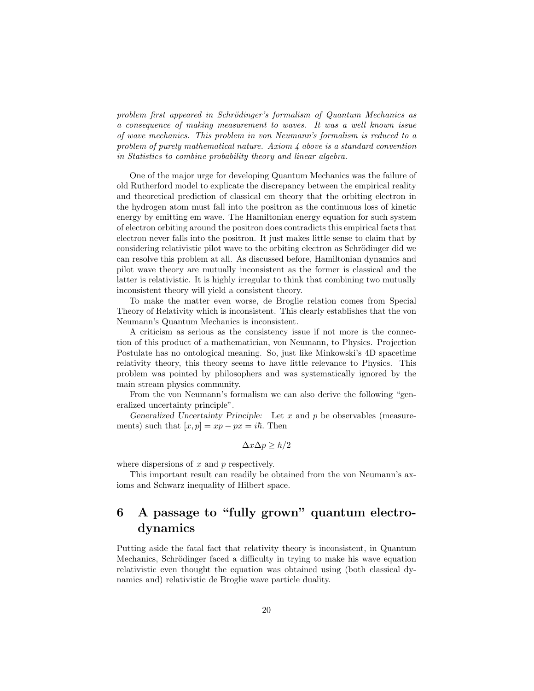problem first appeared in Schrödinger's formalism of Quantum Mechanics as a consequence of making measurement to waves. It was a well known issue of wave mechanics. This problem in von Neumann's formalism is reduced to a problem of purely mathematical nature. Axiom 4 above is a standard convention in Statistics to combine probability theory and linear algebra.

One of the major urge for developing Quantum Mechanics was the failure of old Rutherford model to explicate the discrepancy between the empirical reality and theoretical prediction of classical em theory that the orbiting electron in the hydrogen atom must fall into the positron as the continuous loss of kinetic energy by emitting em wave. The Hamiltonian energy equation for such system of electron orbiting around the positron does contradicts this empirical facts that electron never falls into the positron. It just makes little sense to claim that by considering relativistic pilot wave to the orbiting electron as Schrödinger did we can resolve this problem at all. As discussed before, Hamiltonian dynamics and pilot wave theory are mutually inconsistent as the former is classical and the latter is relativistic. It is highly irregular to think that combining two mutually inconsistent theory will yield a consistent theory.

To make the matter even worse, de Broglie relation comes from Special Theory of Relativity which is inconsistent. This clearly establishes that the von Neumann's Quantum Mechanics is inconsistent.

A criticism as serious as the consistency issue if not more is the connection of this product of a mathematician, von Neumann, to Physics. Projection Postulate has no ontological meaning. So, just like Minkowski's 4D spacetime relativity theory, this theory seems to have little relevance to Physics. This problem was pointed by philosophers and was systematically ignored by the main stream physics community.

From the von Neumann's formalism we can also derive the following "generalized uncertainty principle".

Generalized Uncertainty Principle: Let  $x$  and  $p$  be observables (measurements) such that  $[x, p] = xp - px = i\hbar$ . Then

$$
\Delta x \Delta p \geq \hbar/2
$$

where dispersions of  $x$  and  $p$  respectively.

This important result can readily be obtained from the von Neumann's axioms and Schwarz inequality of Hilbert space.

# 6 A passage to "fully grown" quantum electrodynamics

Putting aside the fatal fact that relativity theory is inconsistent, in Quantum Mechanics, Schrödinger faced a difficulty in trying to make his wave equation relativistic even thought the equation was obtained using (both classical dynamics and) relativistic de Broglie wave particle duality.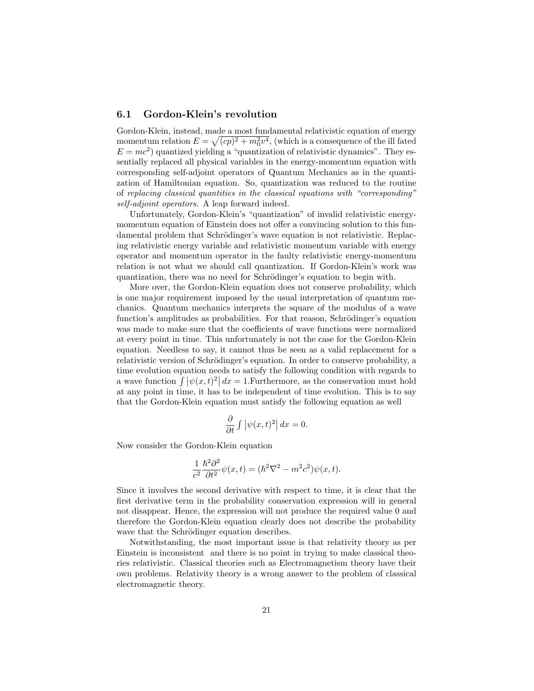### 6.1 Gordon-Klein's revolution

Gordon-Klein, instead, made a most fundamental relativistic equation of energy momentum relation  $E = \sqrt{(cp)^2 + m_0^2 v^4}$ , (which is a consequence of the ill fated  $E = mc^2$ ) quantized yielding a "quantization of relativistic dynamics". They essentially replaced all physical variables in the energy-momentum equation with corresponding self-adjoint operators of Quantum Mechanics as in the quantization of Hamiltonian equation. So, quantization was reduced to the routine of replacing classical quantities in the classical equations with "corresponding" self-adjoint operators. A leap forward indeed.

Unfortunately, Gordon-Klein's "quantization" of invalid relativistic energymomentum equation of Einstein does not offer a convincing solution to this fundamental problem that Schrödinger's wave equation is not relativistic. Replacing relativistic energy variable and relativistic momentum variable with energy operator and momentum operator in the faulty relativistic energy-momentum relation is not what we should call quantization. If Gordon-Klein's work was quantization, there was no need for Schrödinger's equation to begin with.

More over, the Gordon-Klein equation does not conserve probability, which is one major requirement imposed by the usual interpretation of quantum mechanics. Quantum mechanics interprets the square of the modulus of a wave function's amplitudes as probabilities. For that reason, Schrödinger's equation was made to make sure that the coefficients of wave functions were normalized at every point in time. This unfortunately is not the case for the Gordon-Klein equation. Needless to say, it cannot thus be seen as a valid replacement for a relativistic version of Schrödinger's equation. In order to conserve probability, a time evolution equation needs to satisfy the following condition with regards to a wave function  $\int |\psi(x, t)|^2 dx = 1$ . Furthermore, as the conservation must hold at any point in time, it has to be independent of time evolution. This is to say that the Gordon-Klein equation must satisfy the following equation as well

$$
\frac{\partial}{\partial t} \int \left| \psi(x, t)^2 \right| dx = 0.
$$

Now consider the Gordon-Klein equation

$$
\frac{1}{c^2} \frac{\hbar^2 \partial^2}{\partial t^2} \psi(x, t) = (\hbar^2 \nabla^2 - m^2 c^2) \psi(x, t).
$$

Since it involves the second derivative with respect to time, it is clear that the first derivative term in the probability conservation expression will in general not disappear. Hence, the expression will not produce the required value 0 and therefore the Gordon-Klein equation clearly does not describe the probability wave that the Schrödinger equation describes.

Notwithstanding, the most important issue is that relativity theory as per Einstein is inconsistent and there is no point in trying to make classical theories relativistic. Classical theories such as Electromagnetism theory have their own problems. Relativity theory is a wrong answer to the problem of classical electromagnetic theory.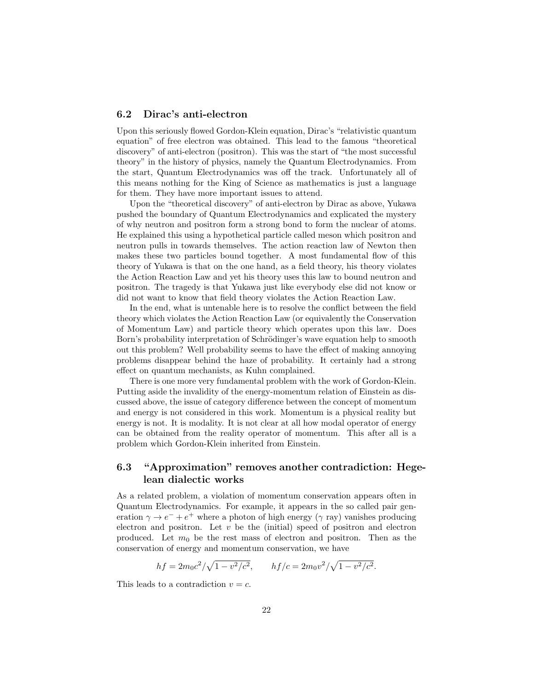# 6.2 Dirac's anti-electron

Upon this seriously flowed Gordon-Klein equation, Dirac's "relativistic quantum equation" of free electron was obtained. This lead to the famous "theoretical discovery" of anti-electron (positron). This was the start of "the most successful theory" in the history of physics, namely the Quantum Electrodynamics. From the start, Quantum Electrodynamics was off the track. Unfortunately all of this means nothing for the King of Science as mathematics is just a language for them. They have more important issues to attend.

Upon the "theoretical discovery" of anti-electron by Dirac as above, Yukawa pushed the boundary of Quantum Electrodynamics and explicated the mystery of why neutron and positron form a strong bond to form the nuclear of atoms. He explained this using a hypothetical particle called meson which positron and neutron pulls in towards themselves. The action reaction law of Newton then makes these two particles bound together. A most fundamental flow of this theory of Yukawa is that on the one hand, as a field theory, his theory violates the Action Reaction Law and yet his theory uses this law to bound neutron and positron. The tragedy is that Yukawa just like everybody else did not know or did not want to know that field theory violates the Action Reaction Law.

In the end, what is untenable here is to resolve the conflict between the field theory which violates the Action Reaction Law (or equivalently the Conservation of Momentum Law) and particle theory which operates upon this law. Does Born's probability interpretation of Schrödinger's wave equation help to smooth out this problem? Well probability seems to have the effect of making annoying problems disappear behind the haze of probability. It certainly had a strong effect on quantum mechanists, as Kuhn complained.

There is one more very fundamental problem with the work of Gordon-Klein. Putting aside the invalidity of the energy-momentum relation of Einstein as discussed above, the issue of category difference between the concept of momentum and energy is not considered in this work. Momentum is a physical reality but energy is not. It is modality. It is not clear at all how modal operator of energy can be obtained from the reality operator of momentum. This after all is a problem which Gordon-Klein inherited from Einstein.

# 6.3 "Approximation" removes another contradiction: Hegelean dialectic works

As a related problem, a violation of momentum conservation appears often in Quantum Electrodynamics. For example, it appears in the so called pair generation  $\gamma \to e^- + e^+$  where a photon of high energy ( $\gamma$  ray) vanishes producing electron and positron. Let  $v$  be the (initial) speed of positron and electron produced. Let  $m_0$  be the rest mass of electron and positron. Then as the conservation of energy and momentum conservation, we have

$$
hf = 2m_0c^2/\sqrt{1 - v^2/c^2}
$$
,  $hf/c = 2m_0v^2/\sqrt{1 - v^2/c^2}$ .

This leads to a contradiction  $v = c$ .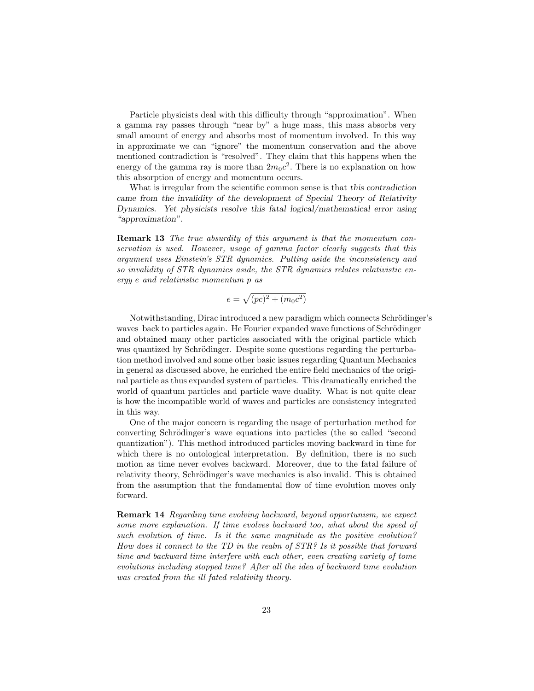Particle physicists deal with this difficulty through "approximation". When a gamma ray passes through "near by" a huge mass, this mass absorbs very small amount of energy and absorbs most of momentum involved. In this way in approximate we can "ignore" the momentum conservation and the above mentioned contradiction is "resolved". They claim that this happens when the energy of the gamma ray is more than  $2m_0c^2$ . There is no explanation on how this absorption of energy and momentum occurs.

What is irregular from the scientific common sense is that this contradiction came from the invalidity of the development of Special Theory of Relativity Dynamics. Yet physicists resolve this fatal logical/mathematical error using "approximation".

Remark 13 The true absurdity of this argument is that the momentum conservation is used. However, usage of gamma factor clearly suggests that this argument uses Einstein's STR dynamics. Putting aside the inconsistency and so invalidity of STR dynamics aside, the STR dynamics relates relativistic energy e and relativistic momentum p as

$$
e = \sqrt{(pc)^2 + (m_0 c^2)}
$$

Notwithstanding, Dirac introduced a new paradigm which connects Schrödinger's waves back to particles again. He Fourier expanded wave functions of Schrödinger and obtained many other particles associated with the original particle which was quantized by Schrödinger. Despite some questions regarding the perturbation method involved and some other basic issues regarding Quantum Mechanics in general as discussed above, he enriched the entire field mechanics of the original particle as thus expanded system of particles. This dramatically enriched the world of quantum particles and particle wave duality. What is not quite clear is how the incompatible world of waves and particles are consistency integrated in this way.

One of the major concern is regarding the usage of perturbation method for converting Schrödinger's wave equations into particles (the so called "second quantization"). This method introduced particles moving backward in time for which there is no ontological interpretation. By definition, there is no such motion as time never evolves backward. Moreover, due to the fatal failure of relativity theory, Schrödinger's wave mechanics is also invalid. This is obtained from the assumption that the fundamental flow of time evolution moves only forward.

Remark 14 Regarding time evolving backward, beyond opportunism, we expect some more explanation. If time evolves backward too, what about the speed of such evolution of time. Is it the same magnitude as the positive evolution? How does it connect to the TD in the realm of STR? Is it possible that forward time and backward time interfere with each other, even creating variety of tome evolutions including stopped time? After all the idea of backward time evolution was created from the ill fated relativity theory.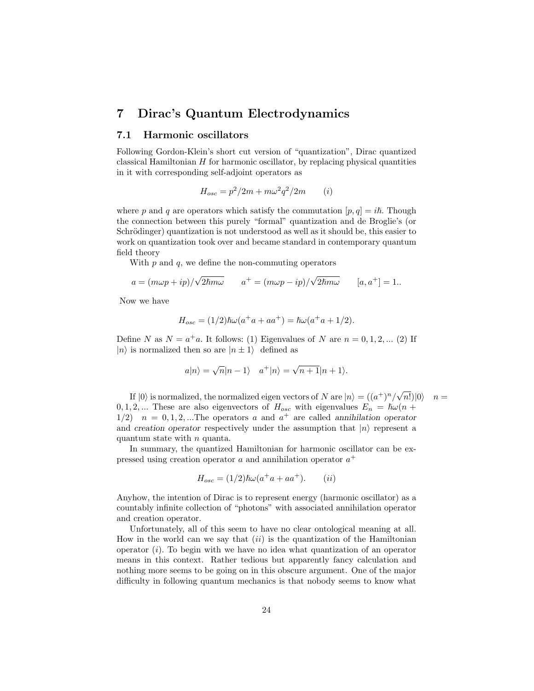# 7 Dirac's Quantum Electrodynamics

# 7.1 Harmonic oscillators

Following Gordon-Klein's short cut version of "quantization", Dirac quantized classical Hamiltonian  $H$  for harmonic oscillator, by replacing physical quantities in it with corresponding self-adjoint operators as

$$
H_{osc} = p^2/2m + m\omega^2 q^2/2m \qquad (i)
$$

where p and q are operators which satisfy the commutation  $[p, q] = i\hbar$ . Though the connection between this purely "formal" quantization and de Broglie's (or Schrödinger) quantization is not understood as well as it should be, this easier to work on quantization took over and became standard in contemporary quantum field theory

With  $p$  and  $q$ , we define the non-commuting operators

$$
a = (m\omega p + ip) / \sqrt{2\hbar m\omega} \qquad a^+ = (m\omega p - ip) / \sqrt{2\hbar m\omega} \qquad [a, a^+] = 1.
$$

Now we have

$$
H_{osc} = (1/2)\hbar\omega(a^+a + aa^+) = \hbar\omega(a^+a + 1/2).
$$

Define N as  $N = a^+a$ . It follows: (1) Eigenvalues of N are  $n = 0, 1, 2, ...$  (2) If  $|n\rangle$  is normalized then so are  $|n \pm 1\rangle$  defined as

$$
a|n\rangle = \sqrt{n}|n-1\rangle \quad a^+|n\rangle = \sqrt{n+1}|n+1\rangle.
$$

If  $|0\rangle$  is normalized, the normalized eigen vectors of N are  $|n\rangle = ((a^+)^n/\sqrt{2})$  $n!$ |0 $n =$  $0, 1, 2, \dots$  These are also eigenvectors of  $H_{osc}$  with eigenvalues  $E_n = \hbar \omega (n +$  $1/2$   $n = 0, 1, 2, ...$  The operators a and  $a^+$  are called annihilation operator and creation operator respectively under the assumption that  $|n\rangle$  represent a quantum state with  $n$  quanta.

In summary, the quantized Hamiltonian for harmonic oscillator can be expressed using creation operator  $a$  and annihilation operator  $a^+$ 

$$
H_{osc} = (1/2)\hbar\omega(a^+a + aa^+).
$$
 (ii)

Anyhow, the intention of Dirac is to represent energy (harmonic oscillator) as a countably infinite collection of "photons" with associated annihilation operator and creation operator.

Unfortunately, all of this seem to have no clear ontological meaning at all. How in the world can we say that  $(ii)$  is the quantization of the Hamiltonian operator  $(i)$ . To begin with we have no idea what quantization of an operator means in this context. Rather tedious but apparently fancy calculation and nothing more seems to be going on in this obscure argument. One of the major difficulty in following quantum mechanics is that nobody seems to know what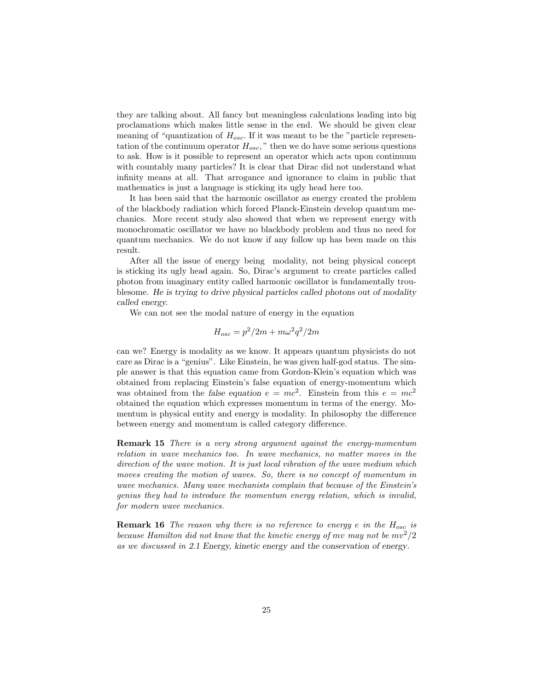they are talking about. All fancy but meaningless calculations leading into big proclamations which makes little sense in the end. We should be given clear meaning of "quantization of  $H_{osc}$ . If it was meant to be the "particle representation of the continuum operator  $H_{osc}$ ," then we do have some serious questions to ask. How is it possible to represent an operator which acts upon continuum with countably many particles? It is clear that Dirac did not understand what infinity means at all. That arrogance and ignorance to claim in public that mathematics is just a language is sticking its ugly head here too.

It has been said that the harmonic oscillator as energy created the problem of the blackbody radiation which forced Planck-Einstein develop quantum mechanics. More recent study also showed that when we represent energy with monochromatic oscillator we have no blackbody problem and thus no need for quantum mechanics. We do not know if any follow up has been made on this result.

After all the issue of energy being modality, not being physical concept is sticking its ugly head again. So, Dirac's argument to create particles called photon from imaginary entity called harmonic oscillator is fundamentally troublesome. He is trying to drive physical particles called photons out of modality called energy.

We can not see the modal nature of energy in the equation

$$
H_{osc} = p^2/2m + m\omega^2 q^2/2m
$$

can we? Energy is modality as we know. It appears quantum physicists do not care as Dirac is a "genius". Like Einstein, he was given half-god status. The simple answer is that this equation came from Gordon-Klein's equation which was obtained from replacing Einstein's false equation of energy-momentum which was obtained from the false equation  $e = mc^2$ . Einstein from this  $e = mc^2$ obtained the equation which expresses momentum in terms of the energy. Momentum is physical entity and energy is modality. In philosophy the difference between energy and momentum is called category difference.

Remark 15 There is a very strong argument against the energy-momentum relation in wave mechanics too. In wave mechanics, no matter moves in the direction of the wave motion. It is just local vibration of the wave medium which moves creating the motion of waves. So, there is no concept of momentum in wave mechanics. Many wave mechanists complain that because of the Einstein's genius they had to introduce the momentum energy relation, which is invalid, for modern wave mechanics.

**Remark 16** The reason why there is no reference to energy e in the  $H_{osc}$  is because Hamilton did not know that the kinetic energy of  $mv$  may not be  $mv^2/2$ as we discussed in 2.1 Energy, kinetic energy and the conservation of energy.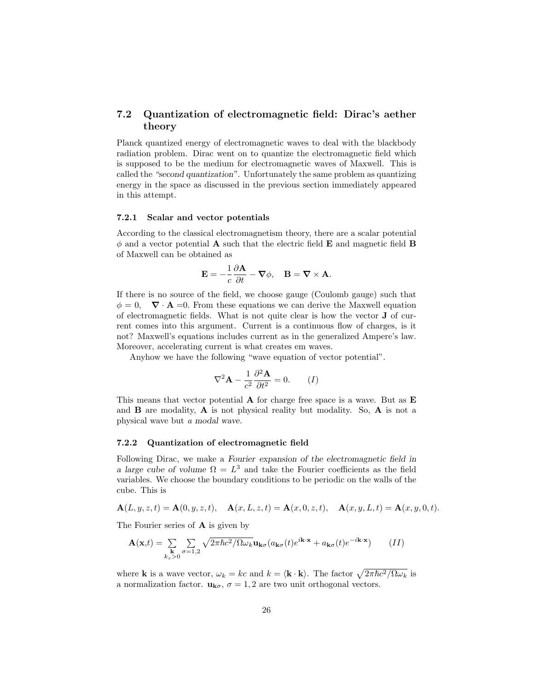# 7.2 Quantization of electromagnetic field: Dirac's aether theory

Planck quantized energy of electromagnetic waves to deal with the blackbody radiation problem. Dirac went on to quantize the electromagnetic field which is supposed to be the medium for electromagnetic waves of Maxwell. This is called the "second quantization". Unfortunately the same problem as quantizing energy in the space as discussed in the previous section immediately appeared in this attempt.

#### 7.2.1 Scalar and vector potentials

According to the classical electromagnetism theory, there are a scalar potential  $\phi$  and a vector potential **A** such that the electric field **E** and magnetic field **B** of Maxwell can be obtained as

$$
\mathbf{E} = -\frac{1}{c} \frac{\partial \mathbf{A}}{\partial t} - \mathbf{\nabla} \phi, \quad \mathbf{B} = \mathbf{\nabla} \times \mathbf{A}.
$$

If there is no source of the field, we choose gauge (Coulomb gauge) such that  $\phi = 0$ ,  $\nabla \cdot \mathbf{A} = 0$ . From these equations we can derive the Maxwell equation of electromagnetic fields. What is not quite clear is how the vector J of current comes into this argument. Current is a continuous flow of charges, is it not? Maxwell's equations includes current as in the generalized Ampere's law. Moreover, accelerating current is what creates em waves.

Anyhow we have the following "wave equation of vector potential".

$$
\nabla^2 \mathbf{A} - \frac{1}{c^2} \frac{\partial^2 \mathbf{A}}{\partial t^2} = 0. \qquad (I)
$$

This means that vector potential  $\bf{A}$  for charge free space is a wave. But as  $\bf{E}$ and  $\bf{B}$  are modality,  $\bf{A}$  is not physical reality but modality. So,  $\bf{A}$  is not a physical wave but a modal wave.

#### 7.2.2 Quantization of electromagnetic field

Following Dirac, we make a Fourier expansion of the electromagnetic field in a large cube of volume  $\Omega = L^3$  and take the Fourier coefficients as the field variables. We choose the boundary conditions to be periodic on the walls of the cube. This is

$$
A(L, y, z, t) = A(0, y, z, t), \quad A(x, L, z, t) = A(x, 0, z, t), \quad A(x, y, L, t) = A(x, y, 0, t).
$$

The Fourier series of A is given by

$$
\mathbf{A}(\mathbf{x},t) = \sum_{\substack{\mathbf{k} \\ k_z > 0}} \sum_{\sigma=1,2} \sqrt{2\pi\hbar c^2 / \Omega \omega_k} \mathbf{u}_{\mathbf{k}\sigma} (a_{\mathbf{k}\sigma}(t) e^{i\mathbf{k}\cdot\mathbf{x}} + a_{\mathbf{k}\sigma}(t) e^{-i\mathbf{k}\cdot\mathbf{x}})
$$
 (II)

where **k** is a wave vector,  $\omega_k = kc$  and  $k = \langle \mathbf{k} \cdot \mathbf{k} \rangle$ . The factor  $\sqrt{2\pi\hbar c^2/\Omega \omega_k}$  is a normalization factor.  $\mathbf{u}_{\mathbf{k}\sigma}$ ,  $\sigma = 1, 2$  are two unit orthogonal vectors.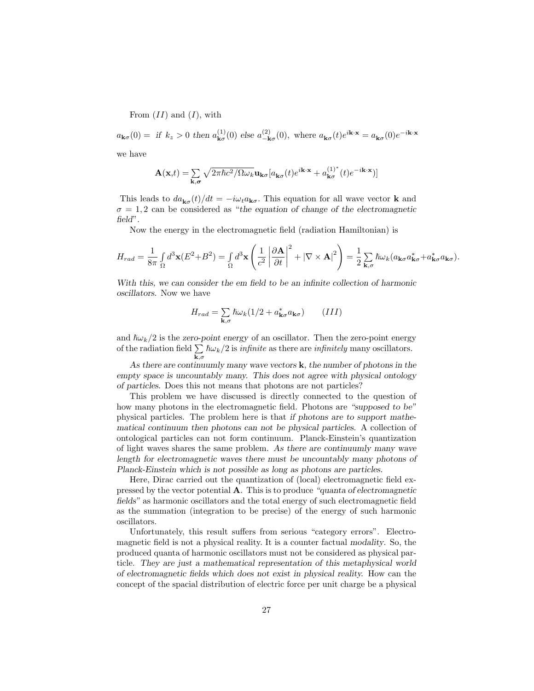From  $(II)$  and  $(I)$ , with

 $a_{\mathbf{k}\sigma}(0) = \text{if } k_z > 0 \text{ then } a_{\mathbf{k}\sigma}^{(1)}$  $_{\mathbf{k}\sigma}^{(1)}(0)$  else  $a_{-\mathbf{k}}^{(2)}$  $\mu_{-\mathbf{k}\sigma}^{(2)}(0)$ , where  $a_{\mathbf{k}\sigma}(t)e^{i\mathbf{k}\cdot\mathbf{x}} = a_{\mathbf{k}\sigma}(0)e^{-i\mathbf{k}\cdot\mathbf{x}}$ we have

$$
\mathbf{A}(\mathbf{x},t) = \sum_{\mathbf{k},\sigma} \sqrt{2\pi\hbar c^2/\Omega \omega_k} \mathbf{u}_{\mathbf{k}\sigma} [a_{\mathbf{k}\sigma}(t)e^{i\mathbf{k}\cdot\mathbf{x}} + a_{\mathbf{k}\sigma}^{(1)^*}(t)e^{-i\mathbf{k}\cdot\mathbf{x}}]
$$

This leads to  $da_{\mathbf{k}\sigma}(t)/dt = -i\omega_t a_{\mathbf{k}\sigma}$ . This equation for all wave vector **k** and  $\sigma = 1, 2$  can be considered as "the equation of change of the electromagnetic field".

Now the energy in the electromagnetic field (radiation Hamiltonian) is

$$
H_{rad} = \frac{1}{8\pi} \int_{\Omega} d^3 \mathbf{x} (E^2 + B^2) = \int_{\Omega} d^3 \mathbf{x} \left( \frac{1}{c^2} \left| \frac{\partial \mathbf{A}}{\partial t} \right|^2 + \left| \nabla \times \mathbf{A} \right|^2 \right) = \frac{1}{2} \sum_{\mathbf{k},\sigma} \hbar \omega_k (a_{\mathbf{k}\sigma} a_{\mathbf{k}\sigma}^* + a_{\mathbf{k}\sigma}^* a_{\mathbf{k}\sigma}).
$$

With this, we can consider the em field to be an infinite collection of harmonic oscillators. Now we have

$$
H_{rad} = \sum_{\mathbf{k},\sigma} \hbar \omega_k (1/2 + a_{\mathbf{k}\sigma}^* a_{\mathbf{k}\sigma}) \qquad (III)
$$

and  $\hbar\omega_k/2$  is the zero-point energy of an oscillator. Then the zero-point energy of the radiation field  $\Sigma$  $\sum_{\mathbf{k},\sigma} \hbar \omega_k/2$  is *infinite* as there are *infinitely* many oscillators.

As there are continuumly many wave vectors  $\bf{k}$ , the number of photons in the empty space is uncountably many. This does not agree with physical ontology of particles. Does this not means that photons are not particles?

This problem we have discussed is directly connected to the question of how many photons in the electromagnetic field. Photons are "supposed to be" physical particles. The problem here is that if photons are to support mathematical continuum then photons can not be physical particles. A collection of ontological particles can not form continuum. Planck-Einstein's quantization of light waves shares the same problem. As there are continuumly many wave length for electromagnetic waves there must be uncountably many photons of Planck-Einstein which is not possible as long as photons are particles.

Here, Dirac carried out the quantization of (local) electromagnetic field expressed by the vector potential A. This is to produce "quanta of electromagnetic fields" as harmonic oscillators and the total energy of such electromagnetic field as the summation (integration to be precise) of the energy of such harmonic oscillators.

Unfortunately, this result suffers from serious "category errors". Electromagnetic field is not a physical reality. It is a counter factual modality. So, the produced quanta of harmonic oscillators must not be considered as physical particle. They are just a mathematical representation of this metaphysical world of electromagnetic fields which does not exist in physical reality. How can the concept of the spacial distribution of electric force per unit charge be a physical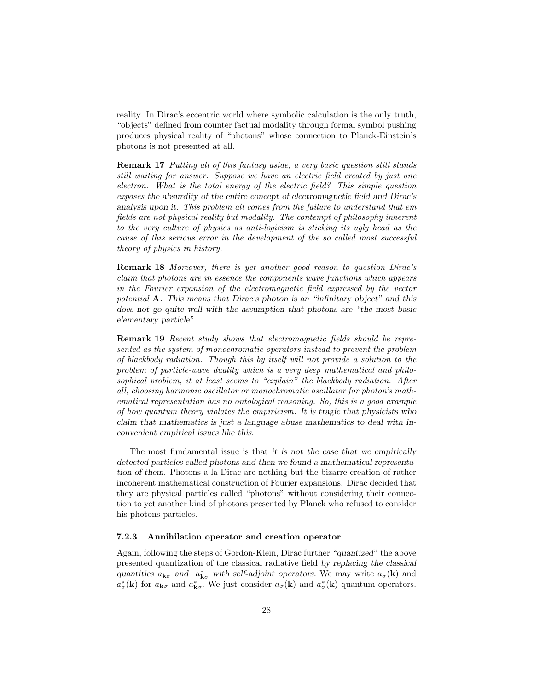reality. In Dirac's eccentric world where symbolic calculation is the only truth, "objects" defined from counter factual modality through formal symbol pushing produces physical reality of "photons" whose connection to Planck-Einstein's photons is not presented at all.

Remark 17 Putting all of this fantasy aside, a very basic question still stands still waiting for answer. Suppose we have an electric field created by just one electron. What is the total energy of the electric field? This simple question exposes the absurdity of the entire concept of electromagnetic field and Dirac's analysis upon it. This problem all comes from the failure to understand that em fields are not physical reality but modality. The contempt of philosophy inherent to the very culture of physics as anti-logicism is sticking its ugly head as the cause of this serious error in the development of the so called most successful theory of physics in history.

Remark 18 Moreover, there is yet another good reason to question Dirac's claim that photons are in essence the components wave functions which appears in the Fourier expansion of the electromagnetic field expressed by the vector potential A. This means that Dirac's photon is an "infinitary object" and this does not go quite well with the assumption that photons are "the most basic elementary particle".

Remark 19 Recent study shows that electromagnetic fields should be represented as the system of monochromatic operators instead to prevent the problem of blackbody radiation. Though this by itself will not provide a solution to the problem of particle-wave duality which is a very deep mathematical and philosophical problem, it at least seems to "explain" the blackbody radiation. After all, choosing harmonic oscillator or monochromatic oscillator for photon's mathematical representation has no ontological reasoning. So, this is a good example of how quantum theory violates the empiricism. It is tragic that physicists who claim that mathematics is just a language abuse mathematics to deal with inconvenient empirical issues like this.

The most fundamental issue is that *it is not the case that we empirically* detected particles called photons and then we found a mathematical representation of them. Photons a la Dirac are nothing but the bizarre creation of rather incoherent mathematical construction of Fourier expansions. Dirac decided that they are physical particles called "photons" without considering their connection to yet another kind of photons presented by Planck who refused to consider his photons particles.

#### 7.2.3 Annihilation operator and creation operator

Again, following the steps of Gordon-Klein, Dirac further "quantized" the above presented quantization of the classical radiative field by replacing the classical quantities  $a_{\mathbf{k}\sigma}$  and  $a_{\mathbf{k}\sigma}^*$  with self-adjoint operators. We may write  $a_{\sigma}(\mathbf{k})$  and  $a^*_{\sigma}(\mathbf{k})$  for  $a_{\mathbf{k}\sigma}$  and  $a^*_{\mathbf{k}\sigma}$ . We just consider  $a_{\sigma}(\mathbf{k})$  and  $a^*_{\sigma}(\mathbf{k})$  quantum operators.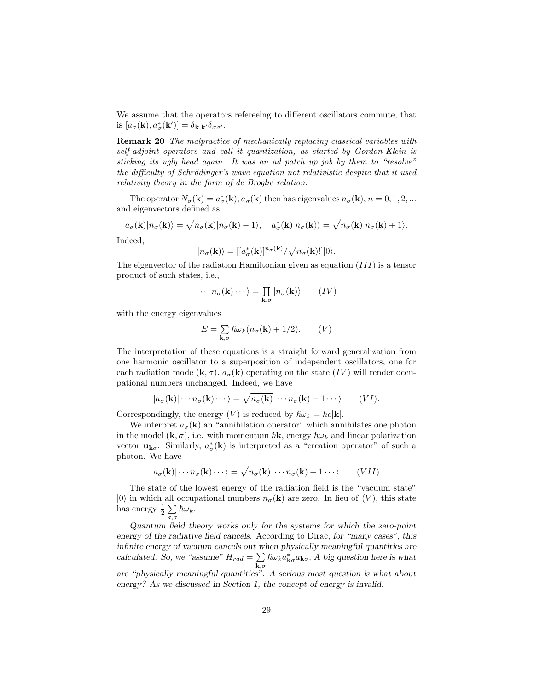We assume that the operators refereeing to different oscillators commute, that is  $[a_{\sigma}(\mathbf{k}), a_{\sigma}^*(\mathbf{k}')] = \delta_{\mathbf{k},\mathbf{k}'}\delta_{\sigma\sigma'}$ .

Remark 20 The malpractice of mechanically replacing classical variables with self-adjoint operators and call it quantization, as started by Gordon-Klein is sticking its ugly head again. It was an ad patch up job by them to "resolve" the difficulty of Schrödinger's wave equation not relativistic despite that it used relativity theory in the form of de Broglie relation.

The operator  $N_{\sigma}(\mathbf{k}) = a_{\sigma}^{*}(\mathbf{k}), a_{\sigma}(\mathbf{k})$  then has eigenvalues  $n_{\sigma}(\mathbf{k}), n = 0, 1, 2, ...$ and eigenvectors defined as

$$
a_{\sigma}(\mathbf{k})|n_{\sigma}(\mathbf{k})\rangle = \sqrt{n_{\sigma}(\mathbf{k})}|n_{\sigma}(\mathbf{k})-1\rangle, \quad a_{\sigma}^{*}(\mathbf{k})|n_{\sigma}(\mathbf{k})\rangle = \sqrt{n_{\sigma}(\mathbf{k})}|n_{\sigma}(\mathbf{k})+1\rangle.
$$

Indeed,

$$
|n_{\sigma}(\mathbf{k})\rangle=[[a^*_{\sigma}(\mathbf{k})]^{n_{\sigma}(\mathbf{k})}/\sqrt{n_{\sigma}(\mathbf{k})!}]|0\rangle.
$$

The eigenvector of the radiation Hamiltonian given as equation  $(III)$  is a tensor product of such states, i.e.,

$$
|\cdots n_{\sigma}(\mathbf{k})\cdots\rangle = \prod_{\mathbf{k},\sigma} |n_{\sigma}(\mathbf{k})\rangle \qquad (IV)
$$

with the energy eigenvalues

$$
E = \sum_{\mathbf{k},\sigma} \hbar \omega_k (n_\sigma(\mathbf{k}) + 1/2). \qquad (V)
$$

The interpretation of these equations is a straight forward generalization from one harmonic oscillator to a superposition of independent oscillators, one for each radiation mode  $(\mathbf{k}, \sigma)$ .  $a_{\sigma}(\mathbf{k})$  operating on the state  $(IV)$  will render occupational numbers unchanged. Indeed, we have

$$
|a_{\sigma}(\mathbf{k})|\cdots n_{\sigma}(\mathbf{k})\cdots\rangle = \sqrt{n_{\sigma}(\mathbf{k})}|\cdots n_{\sigma}(\mathbf{k})-1\cdots\rangle \qquad (VI).
$$

Correspondingly, the energy  $(V)$  is reduced by  $\hbar\omega_k = hc|\mathbf{k}|$ .

We interpret  $a_{\sigma}(\mathbf{k})$  an "annihilation operator" which annihilates one photon in the model  $({\bf k}, \sigma)$ , i.e. with momentum  $\hbar {\bf k}$ , energy  $\hbar \omega_k$  and linear polarization vector  $\mathbf{u}_{\mathbf{k}\sigma}$ . Similarly,  $a^*_{\sigma}(\mathbf{k})$  is interpreted as a "creation operator" of such a photon. We have

$$
|a_{\sigma}(\mathbf{k})| \cdots n_{\sigma}(\mathbf{k}) \cdots \rangle = \sqrt{n_{\sigma}(\mathbf{k})} | \cdots n_{\sigma}(\mathbf{k}) + 1 \cdots \rangle \qquad (VII).
$$

The state of the lowest energy of the radiation field is the "vacuum state"  $|0\rangle$  in which all occupational numbers  $n_{\sigma}(\mathbf{k})$  are zero. In lieu of  $(V)$ , this state has energy  $\frac{1}{2} \sum$  $\sum_{\mathbf{k},\sigma}\hslash\omega_k$ .

Quantum field theory works only for the systems for which the zero-point energy of the radiative field cancels. According to Dirac, for "many cases", this infinite energy of vacuum cancels out when physically meaningful quantities are calculated. So, we "assume"  $H_{rad} = \sum$  $\sum_{\mathbf{k},\sigma} \hbar \omega_k a_{\mathbf{k}\sigma}^* a_{\mathbf{k}\sigma}$ . A big question here is what

are "physically meaningful quantities". A serious most question is what about energy? As we discussed in Section 1, the concept of energy is invalid.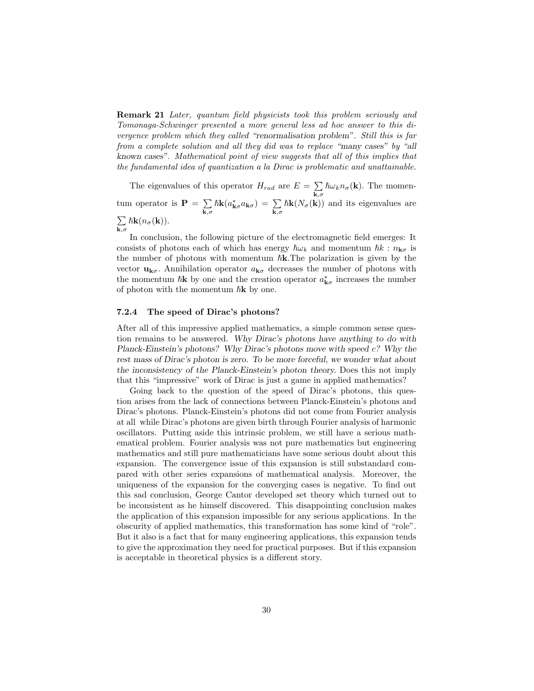Remark 21 Later, quantum field physicists took this problem seriously and Tomonaga-Schwinger presented a more general less ad hoc answer to this divergence problem which they called "renormalisation problem". Still this is far from a complete solution and all they did was to replace "many cases" by "all known cases". Mathematical point of view suggests that all of this implies that the fundamental idea of quantization a la Dirac is problematic and unattainable.

The eigenvalues of this operator  $H_{rad}$  are  $E = \sum$  $\sum_{\mathbf{k},\sigma} \hbar \omega_k n_{\sigma}(\mathbf{k})$ . The momentum operator is  $\mathbf{P} = \sum$  $\mathbf{k},\sigma$  $\hbar \mathbf{k}(a^*_{\mathbf{k}\sigma} a_{\mathbf{k}\sigma}) = \sum_{\mathbf{k},\sigma} \hbar \mathbf{k}(N_{\sigma}(\mathbf{k}))$  and its eigenvalues are P  $\sum_{\mathbf{k},\sigma}\hbar\mathbf{k}(n_{\sigma}(\mathbf{k})).$ 

In conclusion, the following picture of the electromagnetic field emerges: It consists of photons each of which has energy  $\hbar\omega_k$  and momentum  $\hbar k : n_{\mathbf{k}\sigma}$  is the number of photons with momentum  $\hbar$ **k**. The polarization is given by the vector  $\mathbf{u}_{\mathbf{k}\sigma}$ . Annihilation operator  $a_{\mathbf{k}\sigma}$  decreases the number of photons with the momentum  $\hbar$ **k** by one and the creation operator  $a^*_{\mathbf{k}\sigma}$  increases the number of photon with the momentum  $\hbar$ **k** by one.

#### 7.2.4 The speed of Dirac's photons?

After all of this impressive applied mathematics, a simple common sense question remains to be answered. Why Dirac's photons have anything to do with Planck-Einstein's photons? Why Dirac's photons move with speed c? Why the rest mass of Dirac's photon is zero. To be more forceful, we wonder what about the inconsistency of the Planck-Einstein's photon theory. Does this not imply that this "impressive" work of Dirac is just a game in applied mathematics?

Going back to the question of the speed of Dirac's photons, this question arises from the lack of connections between Planck-Einstein's photons and Dirac's photons. Planck-Einstein's photons did not come from Fourier analysis at all while Dirac's photons are given birth through Fourier analysis of harmonic oscillators. Putting aside this intrinsic problem, we still have a serious mathematical problem. Fourier analysis was not pure mathematics but engineering mathematics and still pure mathematicians have some serious doubt about this expansion. The convergence issue of this expansion is still substandard compared with other series expansions of mathematical analysis. Moreover, the uniqueness of the expansion for the converging cases is negative. To find out this sad conclusion, George Cantor developed set theory which turned out to be inconsistent as he himself discovered. This disappointing conclusion makes the application of this expansion impossible for any serious applications. In the obscurity of applied mathematics, this transformation has some kind of "role". But it also is a fact that for many engineering applications, this expansion tends to give the approximation they need for practical purposes. But if this expansion is acceptable in theoretical physics is a different story.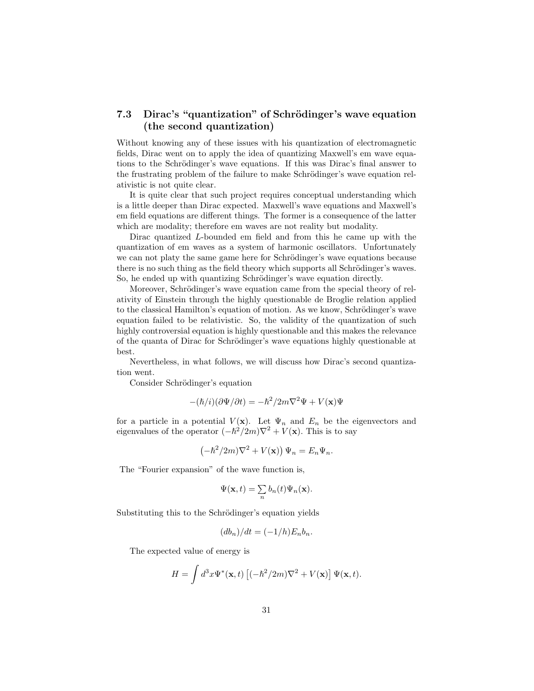# 7.3 Dirac's "quantization" of Schrödinger's wave equation (the second quantization)

Without knowing any of these issues with his quantization of electromagnetic fields, Dirac went on to apply the idea of quantizing Maxwell's em wave equations to the Schrödinger's wave equations. If this was Dirac's final answer to the frustrating problem of the failure to make Schrödinger's wave equation relativistic is not quite clear.

It is quite clear that such project requires conceptual understanding which is a little deeper than Dirac expected. Maxwell's wave equations and Maxwell's em field equations are different things. The former is a consequence of the latter which are modality; therefore em waves are not reality but modality.

Dirac quantized L-bounded em field and from this he came up with the quantization of em waves as a system of harmonic oscillators. Unfortunately we can not platy the same game here for Schrödinger's wave equations because there is no such thing as the field theory which supports all Schrödinger's waves. So, he ended up with quantizing Schrödinger's wave equation directly.

Moreover, Schrödinger's wave equation came from the special theory of relativity of Einstein through the highly questionable de Broglie relation applied to the classical Hamilton's equation of motion. As we know, Schrödinger's wave equation failed to be relativistic. So, the validity of the quantization of such highly controversial equation is highly questionable and this makes the relevance of the quanta of Dirac for Schrödinger's wave equations highly questionable at best.

Nevertheless, in what follows, we will discuss how Dirac's second quantization went.

Consider Schrödinger's equation

$$
-(\hslash/i)(\partial\Psi/\partial t) = -\hslash^2/2m\nabla^2\Psi + V(\mathbf{x})\Psi
$$

for a particle in a potential  $V(\mathbf{x})$ . Let  $\Psi_n$  and  $E_n$  be the eigenvectors and eigenvalues of the operator  $(-\hbar^2/2m)\nabla^2 + V(\mathbf{x})$ . This is to say

$$
\left(-\hbar^2/2m\right)\nabla^2 + V(\mathbf{x})\right)\Psi_n = E_n\Psi_n.
$$

The "Fourier expansion" of the wave function is,

$$
\Psi(\mathbf{x},t)=\sum_n b_n(t)\Psi_n(\mathbf{x}).
$$

Substituting this to the Schrödinger's equation yields

$$
(db_n)/dt = (-1/h)E_n b_n.
$$

The expected value of energy is

$$
H = \int d^3x \Psi^*(\mathbf{x}, t) \left[ (-\hbar^2/2m)\nabla^2 + V(\mathbf{x}) \right] \Psi(\mathbf{x}, t).
$$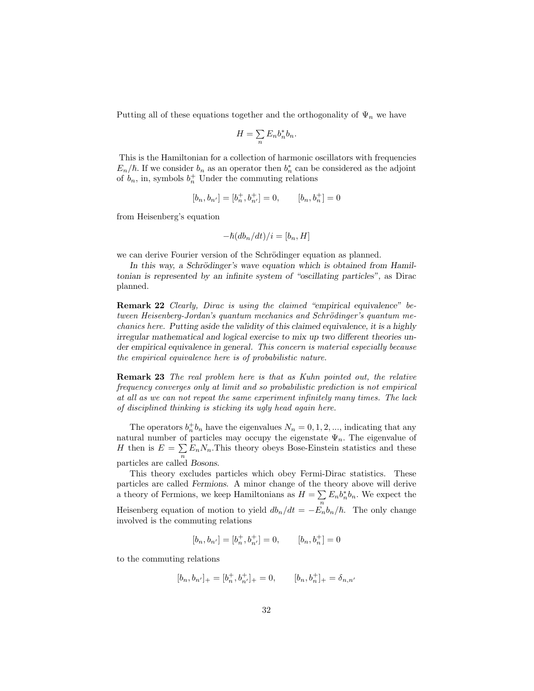Putting all of these equations together and the orthogonality of  $\Psi_n$  we have

$$
H = \sum_{n} E_n b_n^* b_n.
$$

This is the Hamiltonian for a collection of harmonic oscillators with frequencies  $E_n/\hbar$ . If we consider  $b_n$  as an operator then  $b_n^*$  can be considered as the adjoint of  $b_n$ , in, symbols  $b_n^+$  Under the commuting relations

$$
[b_n, b_{n'}] = [b_n^+, b_{n'}^+] = 0, \qquad [b_n, b_n^+] = 0
$$

from Heisenberg's equation

$$
-\hslash (db_n/dt)/i = [b_n, H]
$$

we can derive Fourier version of the Schrödinger equation as planned.

In this way, a Schrödinger's wave equation which is obtained from Hamiltonian is represented by an infinite system of "oscillating particles", as Dirac planned.

Remark 22 Clearly, Dirac is using the claimed "empirical equivalence" between Heisenberg-Jordan's quantum mechanics and Schrödinger's quantum mechanics here. Putting aside the validity of this claimed equivalence, it is a highly irregular mathematical and logical exercise to mix up two different theories under empirical equivalence in general. This concern is material especially because the empirical equivalence here is of probabilistic nature.

Remark 23 The real problem here is that as Kuhn pointed out, the relative frequency converges only at limit and so probabilistic prediction is not empirical at all as we can not repeat the same experiment infinitely many times. The lack of disciplined thinking is sticking its ugly head again here.

The operators  $b_n^+b_n$  have the eigenvalues  $N_n = 0, 1, 2, \dots$ , indicating that any natural number of particles may occupy the eigenstate  $\Psi_n$ . The eigenvalue of H then is  $E = \sum E_n N_n$ . This theory obeys Bose-Einstein statistics and these n particles are called Bosons.

This theory excludes particles which obey Fermi-Dirac statistics. These particles are called Fermions. A minor change of the theory above will derive a theory of Fermions, we keep Hamiltonians as  $H = \sum$  $\sum_{n} E_n b_n^* b_n$ . We expect the Heisenberg equation of motion to yield  $db_n/dt = -E_n b_n/\hbar$ . The only change involved is the commuting relations

$$
[b_n, b_{n'}] = [b_n^+, b_{n'}^+] = 0, \qquad [b_n, b_n^+] = 0
$$

to the commuting relations

$$
[b_n, b_{n'}]_+ = [b_n^+, b_{n'}^+]_+ = 0, \qquad [b_n, b_n^+]_+ = \delta_{n,n'}
$$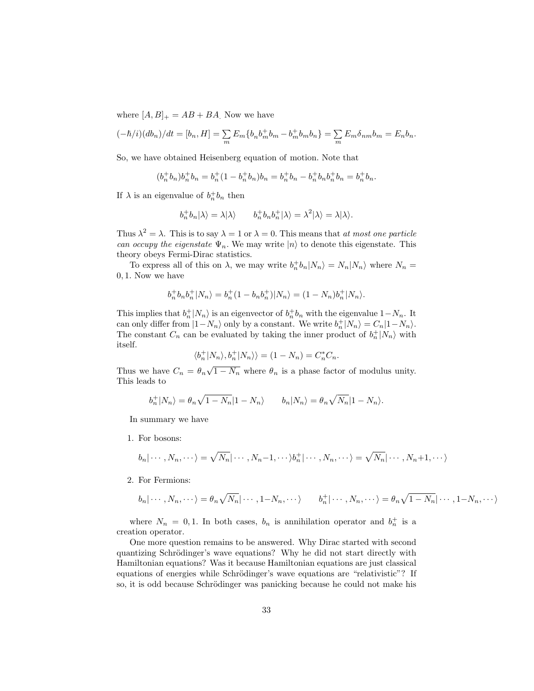where  $[A, B]_+ = AB + BA$ . Now we have

$$
(-\hbar/i)(db_n)/dt = [b_n, H] = \sum_m E_m \{b_n b_m^+ b_m - b_m^+ b_m b_n\} = \sum_m E_m \delta_{nm} b_m = E_n b_n.
$$

So, we have obtained Heisenberg equation of motion. Note that

$$
(b_n^+b_n)b_n^+b_n = b_n^+(1 - b_n^+b_n)b_n = b_n^+b_n - b_n^+b_nb_n^+b_n = b_n^+b_n.
$$

If  $\lambda$  is an eigenvalue of  $b_n^+ b_n$  then

$$
b_n^+b_n|\lambda\rangle=\lambda|\lambda\rangle\qquad b_n^+b_nb_n^+|\lambda\rangle=\lambda^2|\lambda\rangle=\lambda|\lambda\rangle.
$$

Thus  $\lambda^2 = \lambda$ . This is to say  $\lambda = 1$  or  $\lambda = 0$ . This means that *at most one particle* can occupy the eigenstate  $\Psi_n$ . We may write  $|n\rangle$  to denote this eigenstate. This theory obeys Fermi-Dirac statistics.

To express all of this on  $\lambda$ , we may write  $b_n^+ b_n |N_n\rangle = N_n |N_n\rangle$  where  $N_n =$ 0, 1. Now we have

$$
b_n^+b_nb_n^+|N_n\rangle=b_n^+(1-b_nb_n^+)|N_n\rangle=(1-N_n)b_n^+|N_n\rangle.
$$

This implies that  $b_n^+|N_n\rangle$  is an eigenvector of  $b_n^+b_n$  with the eigenvalue  $1-N_n$ . It can only differ from  $|1-N_n\rangle$  only by a constant. We write  $b_n^+|N_n\rangle = C_n|1-N_n\rangle$ . The constant  $C_n$  can be evaluated by taking the inner product of  $b_n^+|N_n\rangle$  with itself.

$$
\langle b_n^+|N_n\rangle, b_n^+|N_n\rangle\rangle = (1-N_n) = C_n^*C_n.
$$

Thus we have  $C_n = \theta_n \sqrt{1 - N_n}$  where  $\theta_n$  is a phase factor of modulus unity. This leads to

$$
b_n^+|N_n\rangle = \theta_n \sqrt{1 - N_n}|1 - N_n\rangle \qquad b_n|N_n\rangle = \theta_n \sqrt{N_n}|1 - N_n\rangle.
$$

In summary we have

1. For bosons:

$$
b_n|\cdots,N_n,\cdots\rangle=\sqrt{N_n}|\cdots,N_n-1,\cdots\rangle b_n^+|\cdots,N_n,\cdots\rangle=\sqrt{N_n}|\cdots,N_n+1,\cdots\rangle
$$

2. For Fermions:

$$
b_n|\cdots,N_n,\cdots\rangle=\theta_n\sqrt{N_n}|\cdots,1-N_n,\cdots\rangle\qquad b_n^+|\cdots,N_n,\cdots\rangle=\theta_n\sqrt{1-N_n}|\cdots,1-N_n,\cdots\rangle
$$

where  $N_n = 0, 1$ . In both cases,  $b_n$  is annihilation operator and  $b_n^+$  is a creation operator.

One more question remains to be answered. Why Dirac started with second quantizing Schrödinger's wave equations? Why he did not start directly with Hamiltonian equations? Was it because Hamiltonian equations are just classical equations of energies while Schrödinger's wave equations are "relativistic"? If so, it is odd because Schrödinger was panicking because he could not make his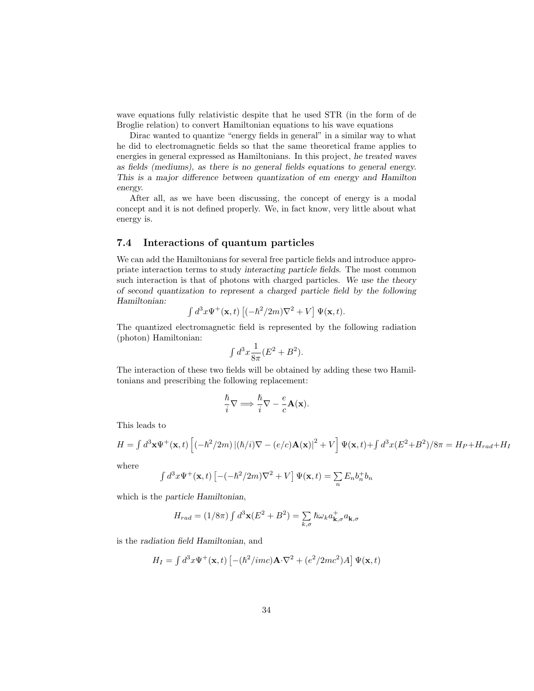wave equations fully relativistic despite that he used STR (in the form of de Broglie relation) to convert Hamiltonian equations to his wave equations

Dirac wanted to quantize "energy fields in general" in a similar way to what he did to electromagnetic fields so that the same theoretical frame applies to energies in general expressed as Hamiltonians. In this project, he treated waves as fields (mediums), as there is no general fields equations to general energy. This is a major difference between quantization of em energy and Hamilton energy.

After all, as we have been discussing, the concept of energy is a modal concept and it is not defined properly. We, in fact know, very little about what energy is.

# 7.4 Interactions of quantum particles

We can add the Hamiltonians for several free particle fields and introduce appropriate interaction terms to study interacting particle fields. The most common such interaction is that of photons with charged particles. We use the theory of second quantization to represent a charged particle field by the following Hamiltonian:

$$
\int d^3x \Psi^+(\mathbf{x},t) \left[ (-\hbar^2/2m)\nabla^2 + V \right] \Psi(\mathbf{x},t).
$$

The quantized electromagnetic field is represented by the following radiation (photon) Hamiltonian:

$$
\int d^3x \frac{1}{8\pi} (E^2 + B^2).
$$

The interaction of these two fields will be obtained by adding these two Hamiltonians and prescribing the following replacement:

$$
\frac{\hslash}{i}\nabla \Longrightarrow \frac{\hslash}{i}\nabla - \frac{e}{c}\mathbf{A}(\mathbf{x}).
$$

This leads to

$$
H = \int d^3 \mathbf{x} \Psi^+(\mathbf{x},t) \left[ (-\hbar^2/2m) \left| (\hbar/i) \nabla - (e/c) \mathbf{A}(\mathbf{x}) \right|^2 + V \right] \Psi(\mathbf{x},t) + \int d^3 x (E^2 + B^2) / 8\pi = H_P + H_{rad} + H_I
$$

where

$$
\int d^3x \Psi^+(\mathbf{x},t) \left[ -(-\hbar^2/2m)\nabla^2 + V \right] \Psi(\mathbf{x},t) = \sum_n E_n b_n^+ b_n
$$

which is the particle Hamiltonian,

$$
H_{rad} = (1/8\pi) \int d^3\mathbf{x} (E^2 + B^2) = \sum_{k,\sigma} \hbar \omega_k a_{\mathbf{k},\sigma}^+ a_{\mathbf{k},\sigma}
$$

is the radiation field Hamiltonian, and

$$
H_I = \int d^3x \Psi^+(\mathbf{x},t) \left[ -(\hbar^2 /imc)\mathbf{A}\cdot\nabla^2 + (e^2/2mc^2)A \right] \Psi(\mathbf{x},t)
$$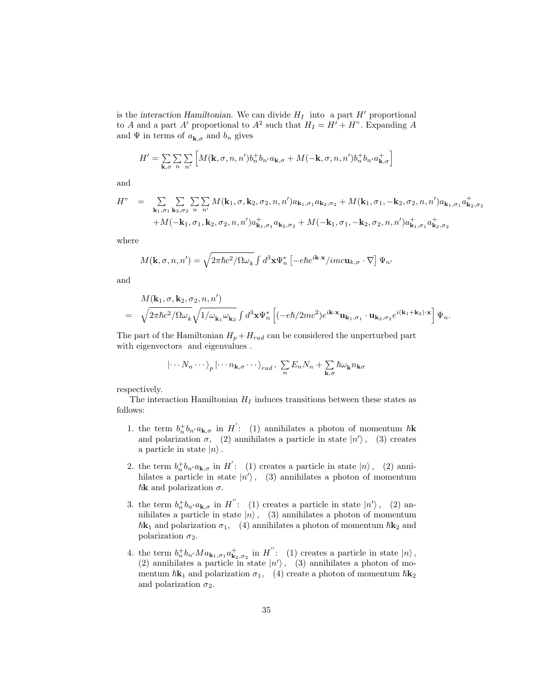is the interaction Hamiltonian. We can divide  $H_I$  into a part  $H'$  proportional to A and a part A' proportional to  $A^2$  such that  $H_I = H' + H$ ". Expanding A and  $\Psi$  in terms of  $a_{\mathbf{k},\sigma}$  and  $b_n$  gives

$$
H' = \sum_{\mathbf{k},\sigma} \sum_{n} \sum_{n'} \left[ M(\mathbf{k}, \sigma, n, n') b_n^+ b_{n'} a_{\mathbf{k},\sigma} + M(-\mathbf{k}, \sigma, n, n') b_n^+ b_{n'} a_{\mathbf{k},\sigma}^+ \right]
$$

and

$$
H'' = \sum_{\mathbf{k}_1, \sigma_1} \sum_{\mathbf{k}_2, \sigma_2} \sum_{n} \sum_{n'} M(\mathbf{k}_1, \sigma, \mathbf{k}_2, \sigma_2, n, n') a_{\mathbf{k}_1, \sigma_1} a_{\mathbf{k}_2, \sigma_2} + M(\mathbf{k}_1, \sigma_1, -\mathbf{k}_2, \sigma_2, n, n') a_{\mathbf{k}_1, \sigma_1} a_{\mathbf{k}_2, \sigma_2}^+
$$
  
+  $M(-\mathbf{k}_1, \sigma_1, \mathbf{k}_2, \sigma_2, n, n') a_{\mathbf{k}_1, \sigma_1}^+ a_{\mathbf{k}_2, \sigma_2}^+ + M(-\mathbf{k}_1, \sigma_1, -\mathbf{k}_2, \sigma_2, n, n') a_{\mathbf{k}_1, \sigma_1}^+ a_{\mathbf{k}_2, \sigma_2}^+$ 

where

$$
M(\mathbf{k}, \sigma, n, n') = \sqrt{2\pi\hbar c^2/\Omega\omega_k} \int d^3 \mathbf{x} \Psi_n^* \left[ -e\hbar e^{i\mathbf{k}\cdot\mathbf{x}}/imc\mathbf{u}_{k,\sigma} \cdot \nabla \right] \Psi_n
$$

and

$$
\begin{array}{lll} &&M(\mathbf{k}_1,\sigma,\mathbf{k}_2,\sigma_2,n,n')\\&=&\sqrt{2\pi\hbar c^2/\Omega\omega_k}\sqrt{1/\omega_{\mathbf{k}_1}\omega_{\mathbf{k}_2}}\int d^3\mathbf{x}\Psi_n^*\left[(-e\hbar/2mc^2)e^{i\mathbf{k}\cdot\mathbf{x}}\mathbf{u}_{\mathbf{k}_1,\sigma_1}\cdot\mathbf{u}_{\mathbf{k}_2,\sigma_2}e^{i(\mathbf{k}_1+\mathbf{k}_2)\cdot\mathbf{x}}\right]\Psi_n.\end{array}
$$

The part of the Hamiltonian  $H_p + H_{rad}$  can be considered the unperturbed part with eigenvectors and eigenvalues .

$$
|\cdots N_n \cdots \rangle_p |\cdots n_{\mathbf{k},\sigma} \cdots \rangle_{rad}, \sum_n E_n N_n + \sum_{\mathbf{k},\sigma} \hbar \omega_{\mathbf{k}} n_{\mathbf{k}\sigma}
$$

respectively.

The interaction Hamiltonian  $H_I$  induces transitions between these states as follows:

- 1. the term  $b_n^+b_{n'}a_{\mathbf{k},\sigma}$  in  $H'$ : (1) annihilates a photon of momentum  $\hbar \mathbf{k}$ and polarization  $\sigma$ , (2) annihilates a particle in state  $|n'\rangle$ , (3) creates a particle in state  $|n\rangle$ .
- 2. the term  $b_n^+ b_{n'} a_{\mathbf{k},\sigma}$  in  $H'$ : (1) creates a particle in state  $|n\rangle$ , (2) annihilates a particle in state  $|n'\rangle$ , (3) annihilates a photon of momentum  $\hbar$ **k** and polarization  $\sigma$ .
- 3. the term  $b_n^+b_{n'}a_{\mathbf{k},\sigma}$  in  $H''$ : (1) creates a particle in state  $|n'\rangle$ , (2) annihilates a particle in state  $|n\rangle$ , (3) annihilates a photon of momentum  $\hbar \mathbf{k}_1$  and polarization  $\sigma_1$ , (4) annihilates a photon of momentum  $\hbar \mathbf{k}_2$  and polarization  $\sigma_2$ .
- 4. the term  $b_n^+b_{n'}Ma_{\mathbf{k}_1,\sigma_1}a_{\mathbf{k}_2,\sigma_2}^+$  in  $H''$ : (1) creates a particle in state  $|n\rangle$ , (2) annihilates a particle in state  $|n'\rangle$ , (3) annihilates a photon of momentum  $\hbar \mathbf{k}_1$  and polarization  $\sigma_1$ , (4) create a photon of momentum  $\hbar \mathbf{k}_2$ and polarization  $\sigma_2$ .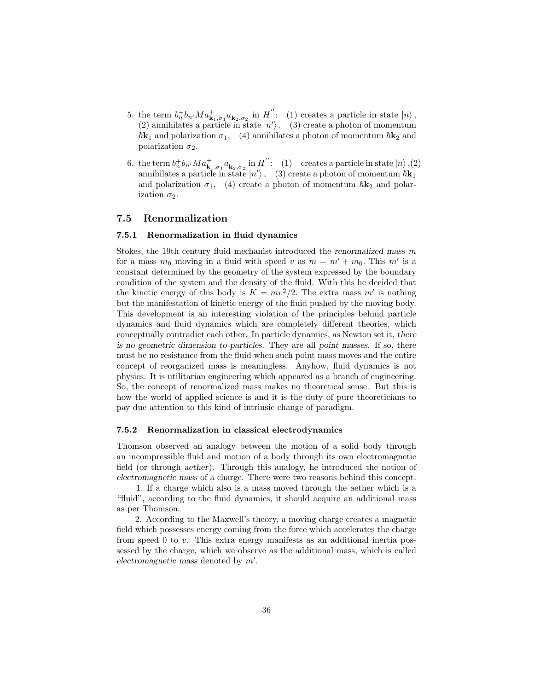- 5. the term  $b_n^+b_{n'}Ma^+_{\mathbf{k}_1,\sigma_1}a_{\mathbf{k}_2,\sigma_2}$  in  $H''$ : (1) creates a particle in state  $|n\rangle$ , (2) annihilates a particle in state  $|n'\rangle$ , (3) create a photon of momentum  $\hbar \mathbf{k}_1$  and polarization  $\sigma_1$ , (4) annihilates a photon of momentum  $\hbar \mathbf{k}_2$  and polarization  $\sigma_2$ .
- 6. the term  $b_n^+b_{n'}Ma^+_{\mathbf{k}_1,\sigma_1}a_{\mathbf{k}_2,\sigma_2}$  in  $H^{''}:$  (1) creates a particle in state  $|n\rangle$ ,(2) annihilates a particle in state  $|n'\rangle$ , (3) create a photon of momentum  $\hbar \mathbf{k}_1$ and polarization  $\sigma_1$ , (4) create a photon of momentum  $\hbar \mathbf{k}_2$  and polarization  $\sigma_2$ .

### 7.5 Renormalization

#### 7.5.1 Renormalization in fluid dynamics

Stokes, the 19th century fluid mechanist introduced the renormalized mass m for a mass  $m_0$  moving in a fluid with speed v as  $m = m' + m_0$ . This m' is a constant determined by the geometry of the system expressed by the boundary condition of the system and the density of the fluid. With this he decided that the kinetic energy of this body is  $K = mv^2/2$ . The extra mass m' is nothing but the manifestation of kinetic energy of the fluid pushed by the moving body. This development is an interesting violation of the principles behind particle dynamics and fluid dynamics which are completely different theories, which conceptually contradict each other. In particle dynamics, as Newton set it, there is no geometric dimension to particles. They are all point masses. If so, there must be no resistance from the fluid when such point mass moves and the entire concept of reorganized mass is meaningless. Anyhow, fluid dynamics is not physics. It is utilitarian engineering which appeared as a branch of engineering. So, the concept of renormalized mass makes no theoretical sense. But this is how the world of applied science is and it is the duty of pure theoreticians to pay due attention to this kind of intrinsic change of paradigm.

#### 7.5.2 Renormalization in classical electrodynamics

Thomson observed an analogy between the motion of a solid body through an incompressible fluid and motion of a body through its own electromagnetic field (or through aether). Through this analogy, he introduced the notion of electromagnetic mass of a charge. There were two reasons behind this concept.

1. If a charge which also is a mass moved through the aether which is a "fluid", according to the fluid dynamics, it should acquire an additional mass as per Thomson.

2. According to the Maxwell's theory, a moving charge creates a magnetic field which possesses energy coming from the force which accelerates the charge from speed 0 to v. This extra energy manifests as an additional inertia possessed by the charge, which we observe as the additional mass, which is called electromagnetic mass denoted by  $m'$ .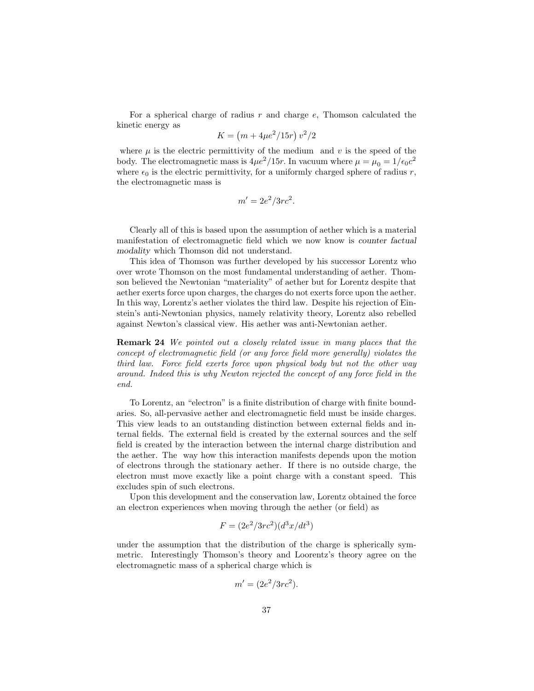For a spherical charge of radius  $r$  and charge  $e$ , Thomson calculated the kinetic energy as

$$
K = (m + 4\mu e^2 / 15r) v^2 / 2
$$

where  $\mu$  is the electric permittivity of the medium and  $v$  is the speed of the body. The electromagnetic mass is  $4\mu e^2/15r$ . In vacuum where  $\mu = \mu_0 = 1/\epsilon_0 c^2$ where  $\epsilon_0$  is the electric permittivity, for a uniformly charged sphere of radius r, the electromagnetic mass is

$$
m' = 2e^2/3rc^2.
$$

Clearly all of this is based upon the assumption of aether which is a material manifestation of electromagnetic field which we now know is counter factual modality which Thomson did not understand.

This idea of Thomson was further developed by his successor Lorentz who over wrote Thomson on the most fundamental understanding of aether. Thomson believed the Newtonian "materiality" of aether but for Lorentz despite that aether exerts force upon charges, the charges do not exerts force upon the aether. In this way, Lorentz's aether violates the third law. Despite his rejection of Einstein's anti-Newtonian physics, namely relativity theory, Lorentz also rebelled against Newton's classical view. His aether was anti-Newtonian aether.

Remark 24 We pointed out a closely related issue in many places that the concept of electromagnetic field (or any force field more generally) violates the third law. Force field exerts force upon physical body but not the other way around. Indeed this is why Newton rejected the concept of any force field in the end.

To Lorentz, an "electron" is a finite distribution of charge with finite boundaries. So, all-pervasive aether and electromagnetic field must be inside charges. This view leads to an outstanding distinction between external fields and internal fields. The external field is created by the external sources and the self field is created by the interaction between the internal charge distribution and the aether. The way how this interaction manifests depends upon the motion of electrons through the stationary aether. If there is no outside charge, the electron must move exactly like a point charge with a constant speed. This excludes spin of such electrons.

Upon this development and the conservation law, Lorentz obtained the force an electron experiences when moving through the aether (or field) as

$$
F = (2e^2/3rc^2)(d^3x/dt^3)
$$

under the assumption that the distribution of the charge is spherically symmetric. Interestingly Thomson's theory and Loorentz's theory agree on the electromagnetic mass of a spherical charge which is

$$
m' = (2e^2/3rc^2).
$$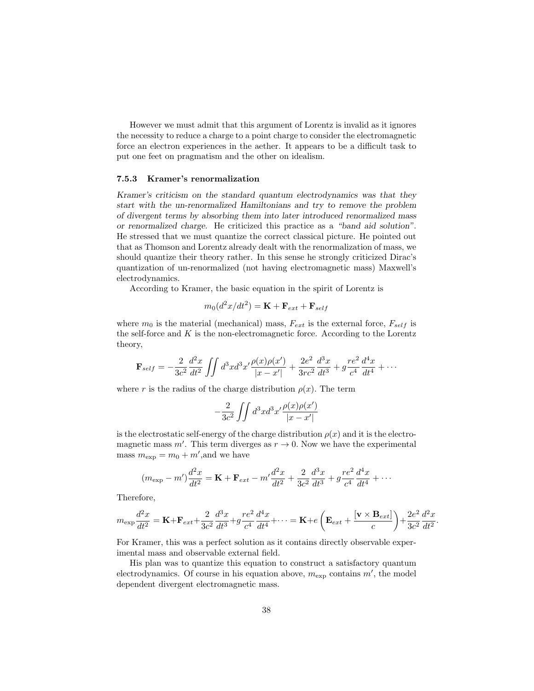However we must admit that this argument of Lorentz is invalid as it ignores the necessity to reduce a charge to a point charge to consider the electromagnetic force an electron experiences in the aether. It appears to be a difficult task to put one feet on pragmatism and the other on idealism.

#### 7.5.3 Kramer's renormalization

Kramer's criticism on the standard quantum electrodynamics was that they start with the un-renormalized Hamiltonians and try to remove the problem of divergent terms by absorbing them into later introduced renormalized mass or renormalized charge. He criticized this practice as a "band aid solution". He stressed that we must quantize the correct classical picture. He pointed out that as Thomson and Lorentz already dealt with the renormalization of mass, we should quantize their theory rather. In this sense he strongly criticized Dirac's quantization of un-renormalized (not having electromagnetic mass) Maxwell's electrodynamics.

According to Kramer, the basic equation in the spirit of Lorentz is

$$
m_0(d^2x/dt^2) = \mathbf{K} + \mathbf{F}_{ext} + \mathbf{F}_{self}
$$

where  $m_0$  is the material (mechanical) mass,  $F_{ext}$  is the external force,  $F_{self}$  is the self-force and  $K$  is the non-electromagnetic force. According to the Lorentz theory,

$$
\mathbf{F}_{self} = -\frac{2}{3c^2} \frac{d^2x}{dt^2} \iint d^3x d^3x' \frac{\rho(x)\rho(x')}{|x-x'|} + \frac{2e^2}{3rc^2} \frac{d^3x}{dt^3} + g\frac{re^2}{c^4} \frac{d^4x}{dt^4} + \cdots
$$

where r is the radius of the charge distribution  $\rho(x)$ . The term

$$
-\frac{2}{3c^2}\int\int d^3xd^3x'\frac{\rho(x)\rho(x')}{|x-x'|}
$$

is the electrostatic self-energy of the charge distribution  $\rho(x)$  and it is the electromagnetic mass  $m'$ . This term diverges as  $r \to 0$ . Now we have the experimental mass  $m_{\text{exp}} = m_0 + m'$ , and we have

$$
(m_{\exp} - m')\frac{d^2x}{dt^2} = \mathbf{K} + \mathbf{F}_{ext} - m'\frac{d^2x}{dt^2} + \frac{2}{3c^2}\frac{d^3x}{dt^3} + g\frac{re^2}{c^4}\frac{d^4x}{dt^4} + \cdots
$$

Therefore,

$$
m_{\exp}\frac{d^2x}{dt^2} = \mathbf{K} + \mathbf{F}_{ext} + \frac{2}{3c^2}\frac{d^3x}{dt^3} + g\frac{re^2}{c^4}\frac{d^4x}{dt^4} + \cdots = \mathbf{K} + e\left(\mathbf{E}_{ext} + \frac{[\mathbf{v} \times \mathbf{B}_{ext}]}{c}\right) + \frac{2e^2}{3c^2}\frac{d^2x}{dt^2}.
$$

For Kramer, this was a perfect solution as it contains directly observable experimental mass and observable external field.

His plan was to quantize this equation to construct a satisfactory quantum electrodynamics. Of course in his equation above,  $m_{\text{exp}}$  contains  $m'$ , the model dependent divergent electromagnetic mass.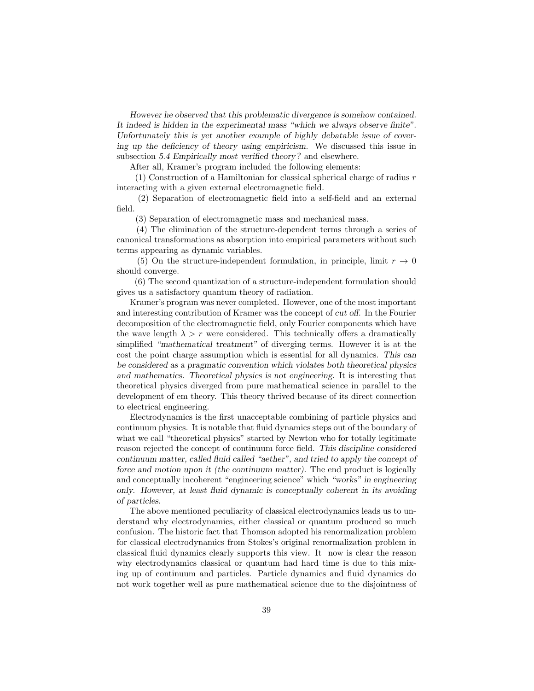However he observed that this problematic divergence is somehow contained. It indeed is hidden in the experimental mass "which we always observe finite". Unfortunately this is yet another example of highly debatable issue of covering up the deficiency of theory using empiricism. We discussed this issue in subsection 5.4 Empirically most verified theory? and elsewhere.

After all, Kramer's program included the following elements:

 $(1)$  Construction of a Hamiltonian for classical spherical charge of radius r interacting with a given external electromagnetic field.

(2) Separation of electromagnetic field into a self-field and an external field.

(3) Separation of electromagnetic mass and mechanical mass.

(4) The elimination of the structure-dependent terms through a series of canonical transformations as absorption into empirical parameters without such terms appearing as dynamic variables.

(5) On the structure-independent formulation, in principle, limit  $r \to 0$ should converge.

(6) The second quantization of a structure-independent formulation should gives us a satisfactory quantum theory of radiation.

Kramer's program was never completed. However, one of the most important and interesting contribution of Kramer was the concept of cut off. In the Fourier decomposition of the electromagnetic field, only Fourier components which have the wave length  $\lambda > r$  were considered. This technically offers a dramatically simplified "mathematical treatment" of diverging terms. However it is at the cost the point charge assumption which is essential for all dynamics. This can be considered as a pragmatic convention which violates both theoretical physics and mathematics. Theoretical physics is not engineering. It is interesting that theoretical physics diverged from pure mathematical science in parallel to the development of em theory. This theory thrived because of its direct connection to electrical engineering.

Electrodynamics is the first unacceptable combining of particle physics and continuum physics. It is notable that fluid dynamics steps out of the boundary of what we call "theoretical physics" started by Newton who for totally legitimate reason rejected the concept of continuum force field. This discipline considered continuum matter, called fluid called "aether", and tried to apply the concept of force and motion upon it (the continuum matter). The end product is logically and conceptually incoherent "engineering science" which "works" in engineering only. However, at least fluid dynamic is conceptually coherent in its avoiding of particles.

The above mentioned peculiarity of classical electrodynamics leads us to understand why electrodynamics, either classical or quantum produced so much confusion. The historic fact that Thomson adopted his renormalization problem for classical electrodynamics from Stokes's original renormalization problem in classical fluid dynamics clearly supports this view. It now is clear the reason why electrodynamics classical or quantum had hard time is due to this mixing up of continuum and particles. Particle dynamics and fluid dynamics do not work together well as pure mathematical science due to the disjointness of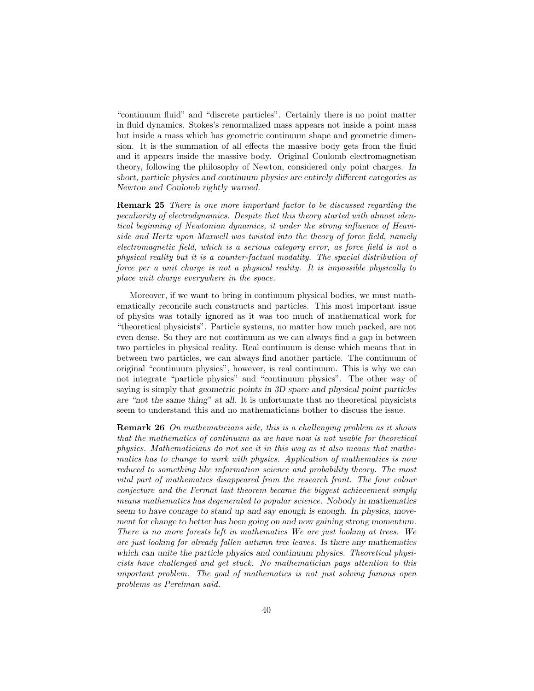"continuum fluid" and "discrete particles". Certainly there is no point matter in fluid dynamics. Stokes's renormalized mass appears not inside a point mass but inside a mass which has geometric continuum shape and geometric dimension. It is the summation of all effects the massive body gets from the fluid and it appears inside the massive body. Original Coulomb electromagnetism theory, following the philosophy of Newton, considered only point charges. In short, particle physics and continuum physics are entirely different categories as Newton and Coulomb rightly warned.

Remark 25 There is one more important factor to be discussed regarding the peculiarity of electrodynamics. Despite that this theory started with almost identical beginning of Newtonian dynamics, it under the strong influence of Heaviside and Hertz upon Maxwell was twisted into the theory of force field, namely electromagnetic field, which is a serious category error, as force field is not a physical reality but it is a counter-factual modality. The spacial distribution of force per a unit charge is not a physical reality. It is impossible physically to place unit charge everywhere in the space.

Moreover, if we want to bring in continuum physical bodies, we must mathematically reconcile such constructs and particles. This most important issue of physics was totally ignored as it was too much of mathematical work for "theoretical physicists". Particle systems, no matter how much packed, are not even dense. So they are not continuum as we can always find a gap in between two particles in physical reality. Real continuum is dense which means that in between two particles, we can always find another particle. The continuum of original "continuum physics", however, is real continuum. This is why we can not integrate "particle physics" and "continuum physics". The other way of saying is simply that geometric points in 3D space and physical point particles are "not the same thing" at all. It is unfortunate that no theoretical physicists seem to understand this and no mathematicians bother to discuss the issue.

Remark 26 On mathematicians side, this is a challenging problem as it shows that the mathematics of continuum as we have now is not usable for theoretical physics. Mathematicians do not see it in this way as it also means that mathematics has to change to work with physics. Application of mathematics is now reduced to something like information science and probability theory. The most vital part of mathematics disappeared from the research front. The four colour conjecture and the Fermat last theorem became the biggest achievement simply means mathematics has degenerated to popular science. Nobody in mathematics seem to have courage to stand up and say enough is enough. In physics, movement for change to better has been going on and now gaining strong momentum. There is no more forests left in mathematics We are just looking at trees. We are just looking for already fallen autumn tree leaves. Is there any mathematics which can unite the particle physics and continuum physics. Theoretical physicists have challenged and get stuck. No mathematician pays attention to this important problem. The goal of mathematics is not just solving famous open problems as Perelman said.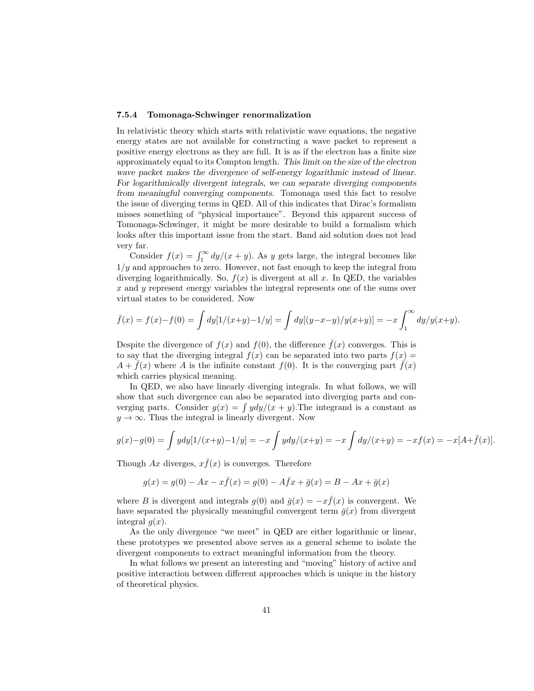#### 7.5.4 Tomonaga-Schwinger renormalization

In relativistic theory which starts with relativistic wave equations, the negative energy states are not available for constructing a wave packet to represent a positive energy electrons as they are full. It is as if the electron has a finite size approximately equal to its Compton length. This limit on the size of the electron wave packet makes the divergence of self-energy logarithmic instead of linear. For logarithmically divergent integrals, we can separate diverging components from meaningful converging components. Tomonaga used this fact to resolve the issue of diverging terms in QED. All of this indicates that Dirac's formalism misses something of "physical importance". Beyond this apparent success of Tomonaga-Schwinger, it might be more desirable to build a formalism which looks after this important issue from the start. Band aid solution does not lead very far.

Consider  $f(x) = \int_1^{\infty} dy/(x + y)$ . As y gets large, the integral becomes like  $1/y$  and approaches to zero. However, not fast enough to keep the integral from diverging logarithmically. So,  $f(x)$  is divergent at all x. In QED, the variables x and y represent energy variables the integral represents one of the sums over virtual states to be considered. Now

$$
\bar{f}(x) = f(x) - f(0) = \int dy [1/(x+y) - 1/y] = \int dy [(y-x-y)/y(x+y)] = -x \int_1^{\infty} dy/y(x+y).
$$

Despite the divergence of  $f(x)$  and  $f(0)$ , the difference  $\bar{f}(x)$  converges. This is to say that the diverging integral  $f(x)$  can be separated into two parts  $f(x) =$  $A + f(x)$  where A is the infinite constant  $f(0)$ . It is the converging part  $f(x)$ which carries physical meaning.

In QED, we also have linearly diverging integrals. In what follows, we will show that such divergence can also be separated into diverging parts and converging parts. Consider  $g(x) = \int y dy/(x + y)$ . The integrand is a constant as  $y \to \infty$ . Thus the integral is linearly divergent. Now

$$
g(x)-g(0) = \int ydy[1/(x+y)-1/y] = -x \int ydy/(x+y) = -x \int dy/(x+y) = -xf(x) = -x[A+\bar{f}(x)].
$$

Though Ax diverges,  $x\bar{f}(x)$  is converges. Therefore

$$
g(x) = g(0) - Ax - x\bar{f}(x) = g(0) - A\bar{f}x + \bar{g}(x) = B - Ax + \bar{g}(x)
$$

where B is divergent and integrals  $q(0)$  and  $\bar{q}(x) = -x \bar{f}(x)$  is convergent. We have separated the physically meaningful convergent term  $\bar{q}(x)$  from divergent integral  $q(x)$ .

As the only divergence "we meet" in QED are either logarithmic or linear, these prototypes we presented above serves as a general scheme to isolate the divergent components to extract meaningful information from the theory.

In what follows we present an interesting and "moving" history of active and positive interaction between different approaches which is unique in the history of theoretical physics.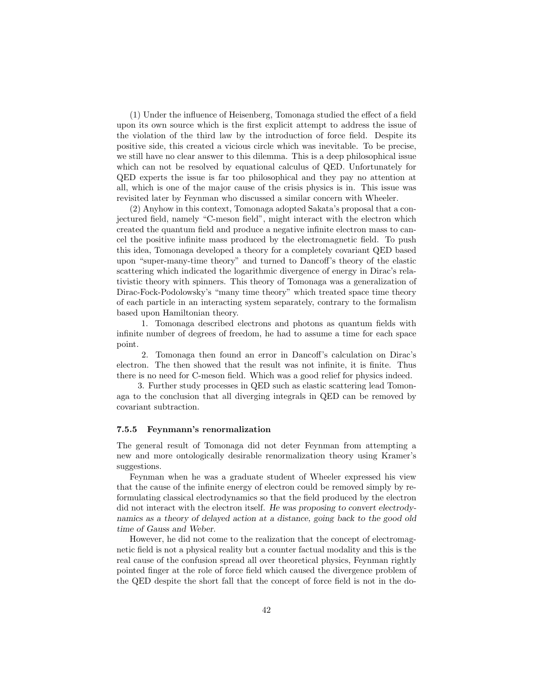(1) Under the influence of Heisenberg, Tomonaga studied the effect of a field upon its own source which is the first explicit attempt to address the issue of the violation of the third law by the introduction of force field. Despite its positive side, this created a vicious circle which was inevitable. To be precise, we still have no clear answer to this dilemma. This is a deep philosophical issue which can not be resolved by equational calculus of QED. Unfortunately for QED experts the issue is far too philosophical and they pay no attention at all, which is one of the major cause of the crisis physics is in. This issue was revisited later by Feynman who discussed a similar concern with Wheeler.

(2) Anyhow in this context, Tomonaga adopted Sakata's proposal that a conjectured field, namely "C-meson field", might interact with the electron which created the quantum field and produce a negative infinite electron mass to cancel the positive infinite mass produced by the electromagnetic field. To push this idea, Tomonaga developed a theory for a completely covariant QED based upon "super-many-time theory" and turned to Dancoff's theory of the elastic scattering which indicated the logarithmic divergence of energy in Dirac's relativistic theory with spinners. This theory of Tomonaga was a generalization of Dirac-Fock-Podolowsky's "many time theory" which treated space time theory of each particle in an interacting system separately, contrary to the formalism based upon Hamiltonian theory.

1. Tomonaga described electrons and photons as quantum fields with infinite number of degrees of freedom, he had to assume a time for each space point.

2. Tomonaga then found an error in Dancoff's calculation on Dirac's electron. The then showed that the result was not infinite, it is finite. Thus there is no need for C-meson field. Which was a good relief for physics indeed.

3. Further study processes in QED such as elastic scattering lead Tomonaga to the conclusion that all diverging integrals in QED can be removed by covariant subtraction.

#### 7.5.5 Feynmann's renormalization

The general result of Tomonaga did not deter Feynman from attempting a new and more ontologically desirable renormalization theory using Kramer's suggestions.

Feynman when he was a graduate student of Wheeler expressed his view that the cause of the infinite energy of electron could be removed simply by reformulating classical electrodynamics so that the field produced by the electron did not interact with the electron itself. He was proposing to convert electrodynamics as a theory of delayed action at a distance, going back to the good old time of Gauss and Weber.

However, he did not come to the realization that the concept of electromagnetic field is not a physical reality but a counter factual modality and this is the real cause of the confusion spread all over theoretical physics, Feynman rightly pointed finger at the role of force field which caused the divergence problem of the QED despite the short fall that the concept of force field is not in the do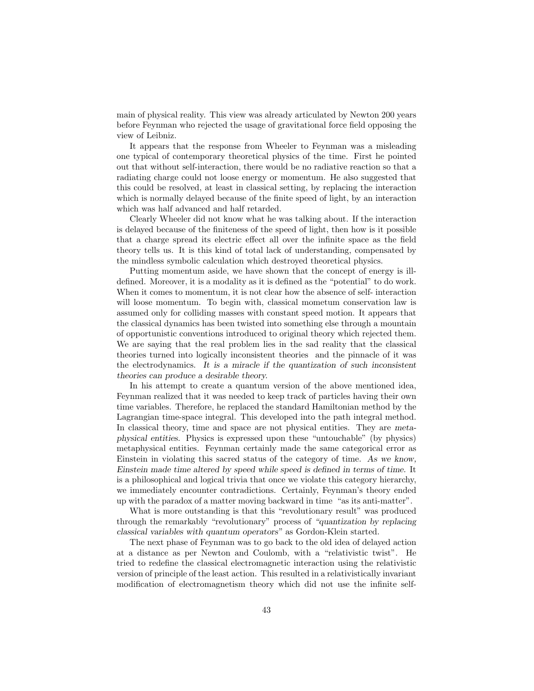main of physical reality. This view was already articulated by Newton 200 years before Feynman who rejected the usage of gravitational force field opposing the view of Leibniz.

It appears that the response from Wheeler to Feynman was a misleading one typical of contemporary theoretical physics of the time. First he pointed out that without self-interaction, there would be no radiative reaction so that a radiating charge could not loose energy or momentum. He also suggested that this could be resolved, at least in classical setting, by replacing the interaction which is normally delayed because of the finite speed of light, by an interaction which was half advanced and half retarded.

Clearly Wheeler did not know what he was talking about. If the interaction is delayed because of the finiteness of the speed of light, then how is it possible that a charge spread its electric effect all over the infinite space as the field theory tells us. It is this kind of total lack of understanding, compensated by the mindless symbolic calculation which destroyed theoretical physics.

Putting momentum aside, we have shown that the concept of energy is illdefined. Moreover, it is a modality as it is defined as the "potential" to do work. When it comes to momentum, it is not clear how the absence of self- interaction will loose momentum. To begin with, classical mometum conservation law is assumed only for colliding masses with constant speed motion. It appears that the classical dynamics has been twisted into something else through a mountain of opportunistic conventions introduced to original theory which rejected them. We are saying that the real problem lies in the sad reality that the classical theories turned into logically inconsistent theories and the pinnacle of it was the electrodynamics. It is a miracle if the quantization of such inconsistent theories can produce a desirable theory.

In his attempt to create a quantum version of the above mentioned idea, Feynman realized that it was needed to keep track of particles having their own time variables. Therefore, he replaced the standard Hamiltonian method by the Lagrangian time-space integral. This developed into the path integral method. In classical theory, time and space are not physical entities. They are metaphysical entities. Physics is expressed upon these "untouchable" (by physics) metaphysical entities. Feynman certainly made the same categorical error as Einstein in violating this sacred status of the category of time. As we know, Einstein made time altered by speed while speed is defined in terms of time. It is a philosophical and logical trivia that once we violate this category hierarchy, we immediately encounter contradictions. Certainly, Feynman's theory ended up with the paradox of a matter moving backward in time "as its anti-matter".

What is more outstanding is that this "revolutionary result" was produced through the remarkably "revolutionary" process of "quantization by replacing classical variables with quantum operators" as Gordon-Klein started.

The next phase of Feynman was to go back to the old idea of delayed action at a distance as per Newton and Coulomb, with a "relativistic twist". He tried to redefine the classical electromagnetic interaction using the relativistic version of principle of the least action. This resulted in a relativistically invariant modification of electromagnetism theory which did not use the infinite self-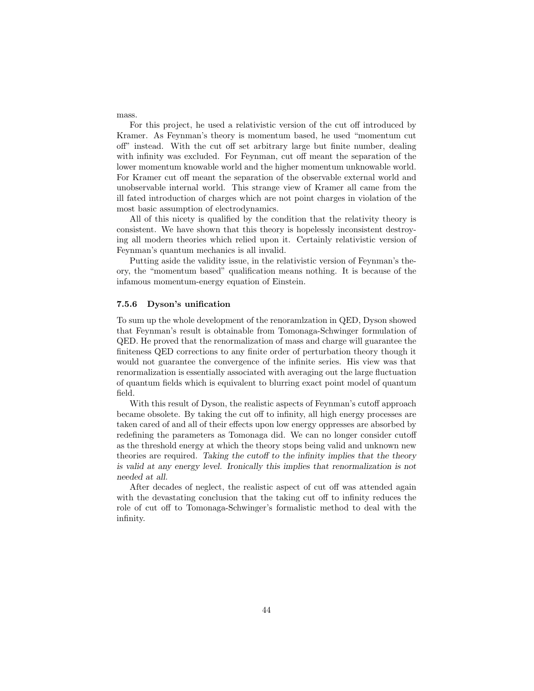For this project, he used a relativistic version of the cut off introduced by Kramer. As Feynman's theory is momentum based, he used "momentum cut off" instead. With the cut off set arbitrary large but finite number, dealing with infinity was excluded. For Feynman, cut off meant the separation of the lower momentum knowable world and the higher momentum unknowable world. For Kramer cut off meant the separation of the observable external world and unobservable internal world. This strange view of Kramer all came from the ill fated introduction of charges which are not point charges in violation of the most basic assumption of electrodynamics.

All of this nicety is qualified by the condition that the relativity theory is consistent. We have shown that this theory is hopelessly inconsistent destroying all modern theories which relied upon it. Certainly relativistic version of Feynman's quantum mechanics is all invalid.

Putting aside the validity issue, in the relativistic version of Feynman's theory, the "momentum based" qualification means nothing. It is because of the infamous momentum-energy equation of Einstein.

#### 7.5.6 Dyson's unification

To sum up the whole development of the renoramlzation in QED, Dyson showed that Feynman's result is obtainable from Tomonaga-Schwinger formulation of QED. He proved that the renormalization of mass and charge will guarantee the finiteness QED corrections to any finite order of perturbation theory though it would not guarantee the convergence of the infinite series. His view was that renormalization is essentially associated with averaging out the large fluctuation of quantum fields which is equivalent to blurring exact point model of quantum field.

With this result of Dyson, the realistic aspects of Feynman's cutoff approach became obsolete. By taking the cut off to infinity, all high energy processes are taken cared of and all of their effects upon low energy oppresses are absorbed by redefining the parameters as Tomonaga did. We can no longer consider cutoff as the threshold energy at which the theory stops being valid and unknown new theories are required. Taking the cutoff to the infinity implies that the theory is valid at any energy level. Ironically this implies that renormalization is not needed at all.

After decades of neglect, the realistic aspect of cut off was attended again with the devastating conclusion that the taking cut off to infinity reduces the role of cut off to Tomonaga-Schwinger's formalistic method to deal with the infinity.

mass.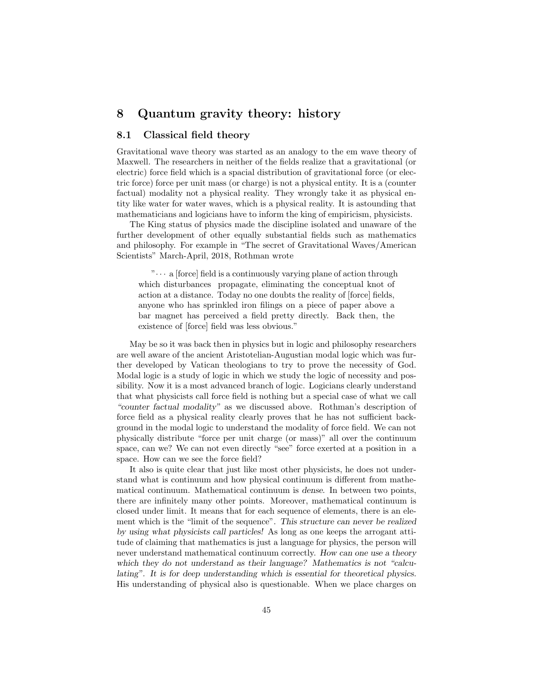# 8 Quantum gravity theory: history

### 8.1 Classical field theory

Gravitational wave theory was started as an analogy to the em wave theory of Maxwell. The researchers in neither of the fields realize that a gravitational (or electric) force field which is a spacial distribution of gravitational force (or electric force) force per unit mass (or charge) is not a physical entity. It is a (counter factual) modality not a physical reality. They wrongly take it as physical entity like water for water waves, which is a physical reality. It is astounding that mathematicians and logicians have to inform the king of empiricism, physicists.

The King status of physics made the discipline isolated and unaware of the further development of other equally substantial fields such as mathematics and philosophy. For example in "The secret of Gravitational Waves/American Scientists" March-April, 2018, Rothman wrote

 $\cdots$  a [force] field is a continuously varying plane of action through which disturbances propagate, eliminating the conceptual knot of action at a distance. Today no one doubts the reality of [force] fields, anyone who has sprinkled iron filings on a piece of paper above a bar magnet has perceived a field pretty directly. Back then, the existence of [force] field was less obvious."

May be so it was back then in physics but in logic and philosophy researchers are well aware of the ancient Aristotelian-Augustian modal logic which was further developed by Vatican theologians to try to prove the necessity of God. Modal logic is a study of logic in which we study the logic of necessity and possibility. Now it is a most advanced branch of logic. Logicians clearly understand that what physicists call force field is nothing but a special case of what we call "counter factual modality" as we discussed above. Rothman's description of force field as a physical reality clearly proves that he has not sufficient background in the modal logic to understand the modality of force field. We can not physically distribute "force per unit charge (or mass)" all over the continuum space, can we? We can not even directly "see" force exerted at a position in a space. How can we see the force field?

It also is quite clear that just like most other physicists, he does not understand what is continuum and how physical continuum is different from mathematical continuum. Mathematical continuum is dense. In between two points, there are infinitely many other points. Moreover, mathematical continuum is closed under limit. It means that for each sequence of elements, there is an element which is the "limit of the sequence". This structure can never be realized by using what physicists call particles! As long as one keeps the arrogant attitude of claiming that mathematics is just a language for physics, the person will never understand mathematical continuum correctly. How can one use a theory which they do not understand as their language? Mathematics is not "calculating". It is for deep understanding which is essential for theoretical physics. His understanding of physical also is questionable. When we place charges on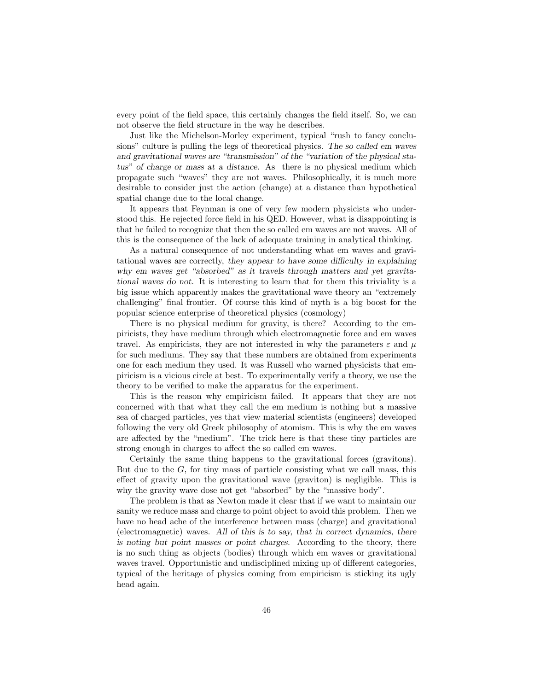every point of the field space, this certainly changes the field itself. So, we can not observe the field structure in the way he describes.

Just like the Michelson-Morley experiment, typical "rush to fancy conclusions" culture is pulling the legs of theoretical physics. The so called em waves and gravitational waves are "transmission" of the "variation of the physical status" of charge or mass at a distance. As there is no physical medium which propagate such "waves" they are not waves. Philosophically, it is much more desirable to consider just the action (change) at a distance than hypothetical spatial change due to the local change.

It appears that Feynman is one of very few modern physicists who understood this. He rejected force field in his QED. However, what is disappointing is that he failed to recognize that then the so called em waves are not waves. All of this is the consequence of the lack of adequate training in analytical thinking.

As a natural consequence of not understanding what em waves and gravitational waves are correctly, they appear to have some difficulty in explaining why em waves get "absorbed" as it travels through matters and yet gravitational waves do not. It is interesting to learn that for them this triviality is a big issue which apparently makes the gravitational wave theory an "extremely challenging" final frontier. Of course this kind of myth is a big boost for the popular science enterprise of theoretical physics (cosmology)

There is no physical medium for gravity, is there? According to the empiricists, they have medium through which electromagnetic force and em waves travel. As empiricists, they are not interested in why the parameters  $\varepsilon$  and  $\mu$ for such mediums. They say that these numbers are obtained from experiments one for each medium they used. It was Russell who warned physicists that empiricism is a vicious circle at best. To experimentally verify a theory, we use the theory to be verified to make the apparatus for the experiment.

This is the reason why empiricism failed. It appears that they are not concerned with that what they call the em medium is nothing but a massive sea of charged particles, yes that view material scientists (engineers) developed following the very old Greek philosophy of atomism. This is why the em waves are affected by the "medium". The trick here is that these tiny particles are strong enough in charges to affect the so called em waves.

Certainly the same thing happens to the gravitational forces (gravitons). But due to the  $G$ , for tiny mass of particle consisting what we call mass, this effect of gravity upon the gravitational wave (graviton) is negligible. This is why the gravity wave dose not get "absorbed" by the "massive body".

The problem is that as Newton made it clear that if we want to maintain our sanity we reduce mass and charge to point object to avoid this problem. Then we have no head ache of the interference between mass (charge) and gravitational (electromagnetic) waves. All of this is to say, that in correct dynamics, there is noting but point masses or point charges. According to the theory, there is no such thing as objects (bodies) through which em waves or gravitational waves travel. Opportunistic and undisciplined mixing up of different categories, typical of the heritage of physics coming from empiricism is sticking its ugly head again.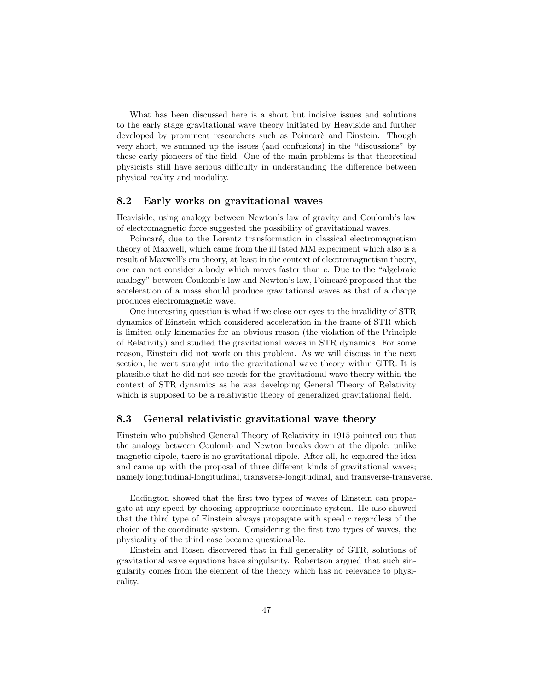What has been discussed here is a short but incisive issues and solutions to the early stage gravitational wave theory initiated by Heaviside and further developed by prominent researchers such as Poincaré and Einstein. Though very short, we summed up the issues (and confusions) in the "discussions" by these early pioneers of the field. One of the main problems is that theoretical physicists still have serious difficulty in understanding the difference between physical reality and modality.

## 8.2 Early works on gravitational waves

Heaviside, using analogy between Newton's law of gravity and Coulomb's law of electromagnetic force suggested the possibility of gravitational waves.

Poincaré, due to the Lorentz transformation in classical electromagnetism theory of Maxwell, which came from the ill fated MM experiment which also is a result of Maxwell's em theory, at least in the context of electromagnetism theory, one can not consider a body which moves faster than c. Due to the "algebraic analogy" between Coulomb's law and Newton's law, Poincaré proposed that the acceleration of a mass should produce gravitational waves as that of a charge produces electromagnetic wave.

One interesting question is what if we close our eyes to the invalidity of STR dynamics of Einstein which considered acceleration in the frame of STR which is limited only kinematics for an obvious reason (the violation of the Principle of Relativity) and studied the gravitational waves in STR dynamics. For some reason, Einstein did not work on this problem. As we will discuss in the next section, he went straight into the gravitational wave theory within GTR. It is plausible that he did not see needs for the gravitational wave theory within the context of STR dynamics as he was developing General Theory of Relativity which is supposed to be a relativistic theory of generalized gravitational field.

# 8.3 General relativistic gravitational wave theory

Einstein who published General Theory of Relativity in 1915 pointed out that the analogy between Coulomb and Newton breaks down at the dipole, unlike magnetic dipole, there is no gravitational dipole. After all, he explored the idea and came up with the proposal of three different kinds of gravitational waves; namely longitudinal-longitudinal, transverse-longitudinal, and transverse-transverse.

Eddington showed that the first two types of waves of Einstein can propagate at any speed by choosing appropriate coordinate system. He also showed that the third type of Einstein always propagate with speed  $c$  regardless of the choice of the coordinate system. Considering the first two types of waves, the physicality of the third case became questionable.

Einstein and Rosen discovered that in full generality of GTR, solutions of gravitational wave equations have singularity. Robertson argued that such singularity comes from the element of the theory which has no relevance to physicality.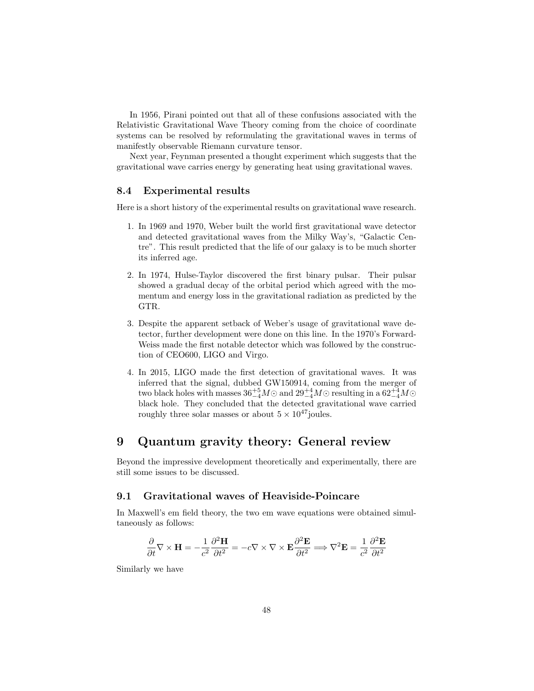In 1956, Pirani pointed out that all of these confusions associated with the Relativistic Gravitational Wave Theory coming from the choice of coordinate systems can be resolved by reformulating the gravitational waves in terms of manifestly observable Riemann curvature tensor.

Next year, Feynman presented a thought experiment which suggests that the gravitational wave carries energy by generating heat using gravitational waves.

# 8.4 Experimental results

Here is a short history of the experimental results on gravitational wave research.

- 1. In 1969 and 1970, Weber built the world first gravitational wave detector and detected gravitational waves from the Milky Way's, "Galactic Centre". This result predicted that the life of our galaxy is to be much shorter its inferred age.
- 2. In 1974, Hulse-Taylor discovered the first binary pulsar. Their pulsar showed a gradual decay of the orbital period which agreed with the momentum and energy loss in the gravitational radiation as predicted by the GTR.
- 3. Despite the apparent setback of Weber's usage of gravitational wave detector, further development were done on this line. In the 1970's Forward-Weiss made the first notable detector which was followed by the construction of CEO600, LIGO and Virgo.
- 4. In 2015, LIGO made the first detection of gravitational waves. It was inferred that the signal, dubbed GW150914, coming from the merger of two black holes with masses  $36^{+5}_{-4}M\odot$  and  $29^{+4}_{-4}M\odot$  resulting in a  $62^{+4}_{-4}M\odot$ black hole. They concluded that the detected gravitational wave carried roughly three solar masses or about  $5 \times 10^{47}$  joules.

# 9 Quantum gravity theory: General review

Beyond the impressive development theoretically and experimentally, there are still some issues to be discussed.

# 9.1 Gravitational waves of Heaviside-Poincare

In Maxwell's em field theory, the two em wave equations were obtained simultaneously as follows:

$$
\frac{\partial}{\partial t}\nabla \times \mathbf{H} = -\frac{1}{c^2} \frac{\partial^2 \mathbf{H}}{\partial t^2} = -c \nabla \times \nabla \times \mathbf{E} \frac{\partial^2 \mathbf{E}}{\partial t^2} \Longrightarrow \nabla^2 \mathbf{E} = \frac{1}{c^2} \frac{\partial^2 \mathbf{E}}{\partial t^2}
$$

Similarly we have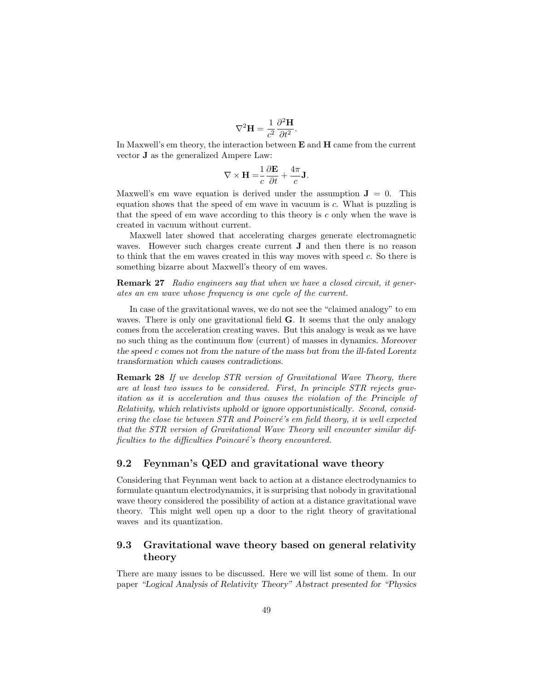$$
\nabla^2 \mathbf{H} = \frac{1}{c^2} \frac{\partial^2 \mathbf{H}}{\partial t^2}.
$$

In Maxwell's em theory, the interaction between  $E$  and  $H$  came from the current vector J as the generalized Ampere Law:

$$
\nabla \times \mathbf{H} = \frac{1}{c} \frac{\partial \mathbf{E}}{\partial t} + \frac{4\pi}{c} \mathbf{J}.
$$

Maxwell's em wave equation is derived under the assumption  $J = 0$ . This equation shows that the speed of em wave in vacuum is c. What is puzzling is that the speed of em wave according to this theory is  $c$  only when the wave is created in vacuum without current.

Maxwell later showed that accelerating charges generate electromagnetic waves. However such charges create current J and then there is no reason to think that the em waves created in this way moves with speed c. So there is something bizarre about Maxwell's theory of em waves.

Remark 27 Radio engineers say that when we have a closed circuit, it generates an em wave whose frequency is one cycle of the current.

In case of the gravitational waves, we do not see the "claimed analogy" to em waves. There is only one gravitational field **G**. It seems that the only analogy comes from the acceleration creating waves. But this analogy is weak as we have no such thing as the continuum flow (current) of masses in dynamics. Moreover the speed c comes not from the nature of the mass but from the ill-fated Lorentz transformation which causes contradictions.

Remark 28 If we develop STR version of Gravitational Wave Theory, there are at least two issues to be considered. First, In principle STR rejects gravitation as it is acceleration and thus causes the violation of the Principle of Relativity, which relativists uphold or ignore opportunistically. Second, considering the close tie between  $STR$  and  $Poincr\acute{e}$ 's em field theory, it is well expected that the STR version of Gravitational Wave Theory will encounter similar difficulties to the difficulties  $Poincaré's$  theory encountered.

### 9.2 Feynman's QED and gravitational wave theory

Considering that Feynman went back to action at a distance electrodynamics to formulate quantum electrodynamics, it is surprising that nobody in gravitational wave theory considered the possibility of action at a distance gravitational wave theory. This might well open up a door to the right theory of gravitational waves and its quantization.

# 9.3 Gravitational wave theory based on general relativity theory

There are many issues to be discussed. Here we will list some of them. In our paper "Logical Analysis of Relativity Theory" Abstract presented for "Physics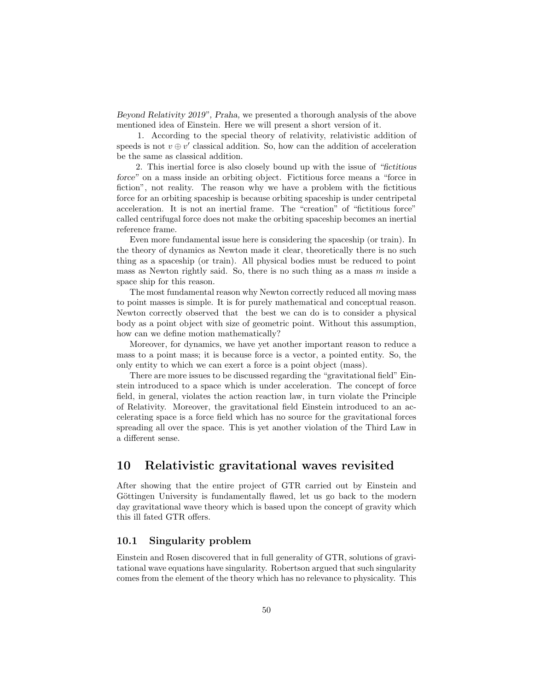Beyond Relativity 2019", Praha, we presented a thorough analysis of the above mentioned idea of Einstein. Here we will present a short version of it.

1. According to the special theory of relativity, relativistic addition of speeds is not  $v \oplus v'$  classical addition. So, how can the addition of acceleration be the same as classical addition.

2. This inertial force is also closely bound up with the issue of "fictitious force" on a mass inside an orbiting object. Fictitious force means a "force in fiction", not reality. The reason why we have a problem with the fictitious force for an orbiting spaceship is because orbiting spaceship is under centripetal acceleration. It is not an inertial frame. The "creation" of "fictitious force" called centrifugal force does not make the orbiting spaceship becomes an inertial reference frame.

Even more fundamental issue here is considering the spaceship (or train). In the theory of dynamics as Newton made it clear, theoretically there is no such thing as a spaceship (or train). All physical bodies must be reduced to point mass as Newton rightly said. So, there is no such thing as a mass  $m$  inside a space ship for this reason.

The most fundamental reason why Newton correctly reduced all moving mass to point masses is simple. It is for purely mathematical and conceptual reason. Newton correctly observed that the best we can do is to consider a physical body as a point object with size of geometric point. Without this assumption, how can we define motion mathematically?

Moreover, for dynamics, we have yet another important reason to reduce a mass to a point mass; it is because force is a vector, a pointed entity. So, the only entity to which we can exert a force is a point object (mass).

There are more issues to be discussed regarding the "gravitational field" Einstein introduced to a space which is under acceleration. The concept of force field, in general, violates the action reaction law, in turn violate the Principle of Relativity. Moreover, the gravitational field Einstein introduced to an accelerating space is a force field which has no source for the gravitational forces spreading all over the space. This is yet another violation of the Third Law in a different sense.

# 10 Relativistic gravitational waves revisited

After showing that the entire project of GTR carried out by Einstein and Göttingen University is fundamentally flawed, let us go back to the modern day gravitational wave theory which is based upon the concept of gravity which this ill fated GTR offers.

# 10.1 Singularity problem

Einstein and Rosen discovered that in full generality of GTR, solutions of gravitational wave equations have singularity. Robertson argued that such singularity comes from the element of the theory which has no relevance to physicality. This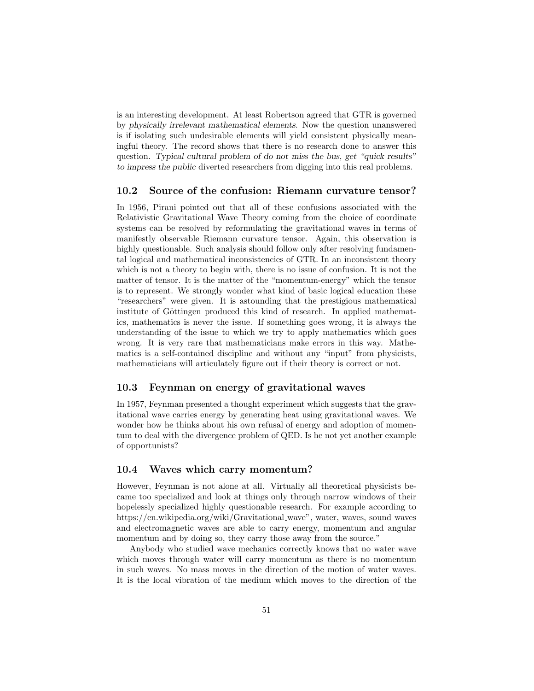is an interesting development. At least Robertson agreed that GTR is governed by physically irrelevant mathematical elements. Now the question unanswered is if isolating such undesirable elements will yield consistent physically meaningful theory. The record shows that there is no research done to answer this question. Typical cultural problem of do not miss the bus, get "quick results" to impress the public diverted researchers from digging into this real problems.

### 10.2 Source of the confusion: Riemann curvature tensor?

In 1956, Pirani pointed out that all of these confusions associated with the Relativistic Gravitational Wave Theory coming from the choice of coordinate systems can be resolved by reformulating the gravitational waves in terms of manifestly observable Riemann curvature tensor. Again, this observation is highly questionable. Such analysis should follow only after resolving fundamental logical and mathematical inconsistencies of GTR. In an inconsistent theory which is not a theory to begin with, there is no issue of confusion. It is not the matter of tensor. It is the matter of the "momentum-energy" which the tensor is to represent. We strongly wonder what kind of basic logical education these "researchers" were given. It is astounding that the prestigious mathematical institute of Göttingen produced this kind of research. In applied mathematics, mathematics is never the issue. If something goes wrong, it is always the understanding of the issue to which we try to apply mathematics which goes wrong. It is very rare that mathematicians make errors in this way. Mathematics is a self-contained discipline and without any "input" from physicists, mathematicians will articulately figure out if their theory is correct or not.

#### 10.3 Feynman on energy of gravitational waves

In 1957, Feynman presented a thought experiment which suggests that the gravitational wave carries energy by generating heat using gravitational waves. We wonder how he thinks about his own refusal of energy and adoption of momentum to deal with the divergence problem of QED. Is he not yet another example of opportunists?

### 10.4 Waves which carry momentum?

However, Feynman is not alone at all. Virtually all theoretical physicists became too specialized and look at things only through narrow windows of their hopelessly specialized highly questionable research. For example according to https://en.wikipedia.org/wiki/Gravitational wave", water, waves, sound waves and electromagnetic waves are able to carry energy, momentum and angular momentum and by doing so, they carry those away from the source."

Anybody who studied wave mechanics correctly knows that no water wave which moves through water will carry momentum as there is no momentum in such waves. No mass moves in the direction of the motion of water waves. It is the local vibration of the medium which moves to the direction of the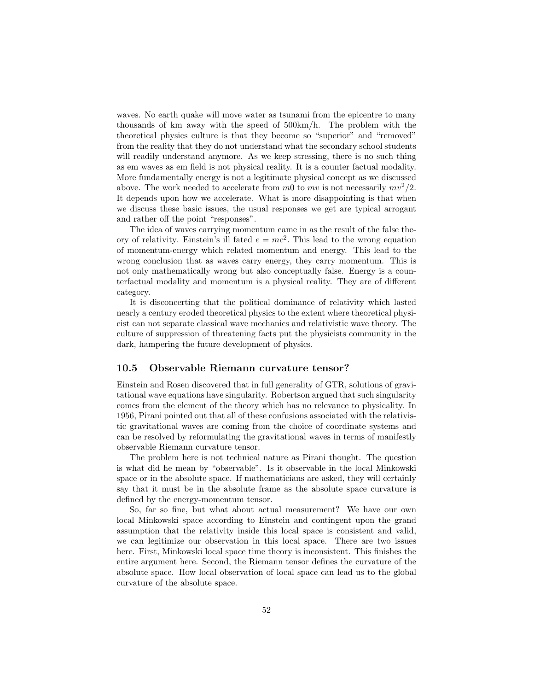waves. No earth quake will move water as tsunami from the epicentre to many thousands of km away with the speed of 500km/h. The problem with the theoretical physics culture is that they become so "superior" and "removed" from the reality that they do not understand what the secondary school students will readily understand anymore. As we keep stressing, there is no such thing as em waves as em field is not physical reality. It is a counter factual modality. More fundamentally energy is not a legitimate physical concept as we discussed above. The work needed to accelerate from m0 to mv is not necessarily  $mv^2/2$ . It depends upon how we accelerate. What is more disappointing is that when we discuss these basic issues, the usual responses we get are typical arrogant and rather off the point "responses".

The idea of waves carrying momentum came in as the result of the false theory of relativity. Einstein's ill fated  $e = mc^2$ . This lead to the wrong equation of momentum-energy which related momentum and energy. This lead to the wrong conclusion that as waves carry energy, they carry momentum. This is not only mathematically wrong but also conceptually false. Energy is a counterfactual modality and momentum is a physical reality. They are of different category.

It is disconcerting that the political dominance of relativity which lasted nearly a century eroded theoretical physics to the extent where theoretical physicist can not separate classical wave mechanics and relativistic wave theory. The culture of suppression of threatening facts put the physicists community in the dark, hampering the future development of physics.

#### 10.5 Observable Riemann curvature tensor?

Einstein and Rosen discovered that in full generality of GTR, solutions of gravitational wave equations have singularity. Robertson argued that such singularity comes from the element of the theory which has no relevance to physicality. In 1956, Pirani pointed out that all of these confusions associated with the relativistic gravitational waves are coming from the choice of coordinate systems and can be resolved by reformulating the gravitational waves in terms of manifestly observable Riemann curvature tensor.

The problem here is not technical nature as Pirani thought. The question is what did he mean by "observable". Is it observable in the local Minkowski space or in the absolute space. If mathematicians are asked, they will certainly say that it must be in the absolute frame as the absolute space curvature is defined by the energy-momentum tensor.

So, far so fine, but what about actual measurement? We have our own local Minkowski space according to Einstein and contingent upon the grand assumption that the relativity inside this local space is consistent and valid, we can legitimize our observation in this local space. There are two issues here. First, Minkowski local space time theory is inconsistent. This finishes the entire argument here. Second, the Riemann tensor defines the curvature of the absolute space. How local observation of local space can lead us to the global curvature of the absolute space.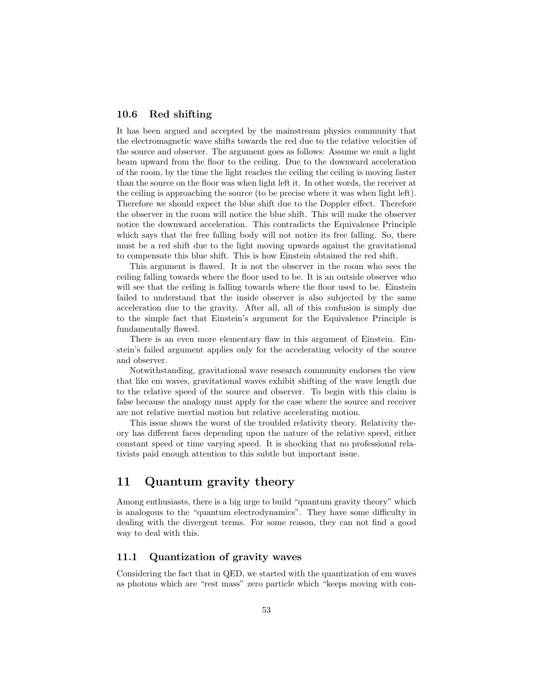# 10.6 Red shifting

It has been argued and accepted by the mainstream physics community that the electromagnetic wave shifts towards the red due to the relative velocities of the source and observer. The argument goes as follows: Assume we emit a light beam upward from the floor to the ceiling. Due to the downward acceleration of the room, by the time the light reaches the ceiling the ceiling is moving faster than the source on the floor was when light left it. In other words, the receiver at the ceiling is approaching the source (to be precise where it was when light left). Therefore we should expect the blue shift due to the Doppler effect. Therefore the observer in the room will notice the blue shift. This will make the observer notice the downward acceleration. This contradicts the Equivalence Principle which says that the free falling body will not notice its free falling. So, there must be a red shift due to the light moving upwards against the gravitational to compensate this blue shift. This is how Einstein obtained the red shift.

This argument is flawed. It is not the observer in the room who sees the ceiling falling towards where the floor used to be. It is an outside observer who will see that the ceiling is falling towards where the floor used to be. Einstein failed to understand that the inside observer is also subjected by the same acceleration due to the gravity. After all, all of this confusion is simply due to the simple fact that Einstein's argument for the Equivalence Principle is fundamentally flawed.

There is an even more elementary flaw in this argument of Einstein. Einstein's failed argument applies only for the accelerating velocity of the source and observer.

Notwithstanding, gravitational wave research community endorses the view that like em waves, gravitational waves exhibit shifting of the wave length due to the relative speed of the source and observer. To begin with this claim is false because the analogy must apply for the case where the source and receiver are not relative inertial motion but relative accelerating motion.

This issue shows the worst of the troubled relativity theory. Relativity theory has different faces depending upon the nature of the relative speed, either constant speed or time varying speed. It is shocking that no professional relativists paid enough attention to this subtle but important issue.

# 11 Quantum gravity theory

Among enthusiasts, there is a big urge to build "quantum gravity theory" which is analogous to the "quantum electrodynamics". They have some difficulty in dealing with the divergent terms. For some reason, they can not find a good way to deal with this.

# 11.1 Quantization of gravity waves

Considering the fact that in QED, we started with the quantization of em waves as photons which are "rest mass" zero particle which "keeps moving with con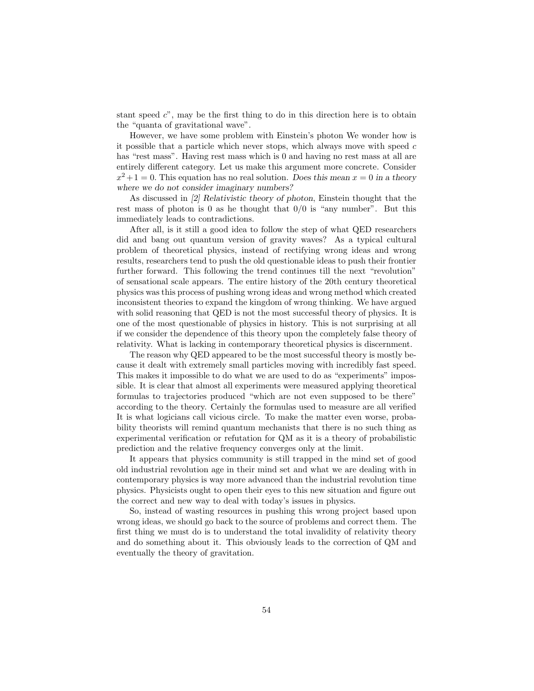stant speed  $c$ ", may be the first thing to do in this direction here is to obtain the "quanta of gravitational wave".

However, we have some problem with Einstein's photon We wonder how is it possible that a particle which never stops, which always move with speed  $c$ has "rest mass". Having rest mass which is 0 and having no rest mass at all are entirely different category. Let us make this argument more concrete. Consider  $x^2+1=0$ . This equation has no real solution. Does this mean  $x=0$  in a theory where we do not consider imaginary numbers?

As discussed in [2] Relativistic theory of photon, Einstein thought that the rest mass of photon is 0 as he thought that  $0/0$  is "any number". But this immediately leads to contradictions.

After all, is it still a good idea to follow the step of what QED researchers did and bang out quantum version of gravity waves? As a typical cultural problem of theoretical physics, instead of rectifying wrong ideas and wrong results, researchers tend to push the old questionable ideas to push their frontier further forward. This following the trend continues till the next "revolution" of sensational scale appears. The entire history of the 20th century theoretical physics was this process of pushing wrong ideas and wrong method which created inconsistent theories to expand the kingdom of wrong thinking. We have argued with solid reasoning that QED is not the most successful theory of physics. It is one of the most questionable of physics in history. This is not surprising at all if we consider the dependence of this theory upon the completely false theory of relativity. What is lacking in contemporary theoretical physics is discernment.

The reason why QED appeared to be the most successful theory is mostly because it dealt with extremely small particles moving with incredibly fast speed. This makes it impossible to do what we are used to do as "experiments" impossible. It is clear that almost all experiments were measured applying theoretical formulas to trajectories produced "which are not even supposed to be there" according to the theory. Certainly the formulas used to measure are all verified It is what logicians call vicious circle. To make the matter even worse, probability theorists will remind quantum mechanists that there is no such thing as experimental verification or refutation for QM as it is a theory of probabilistic prediction and the relative frequency converges only at the limit.

It appears that physics community is still trapped in the mind set of good old industrial revolution age in their mind set and what we are dealing with in contemporary physics is way more advanced than the industrial revolution time physics. Physicists ought to open their eyes to this new situation and figure out the correct and new way to deal with today's issues in physics.

So, instead of wasting resources in pushing this wrong project based upon wrong ideas, we should go back to the source of problems and correct them. The first thing we must do is to understand the total invalidity of relativity theory and do something about it. This obviously leads to the correction of QM and eventually the theory of gravitation.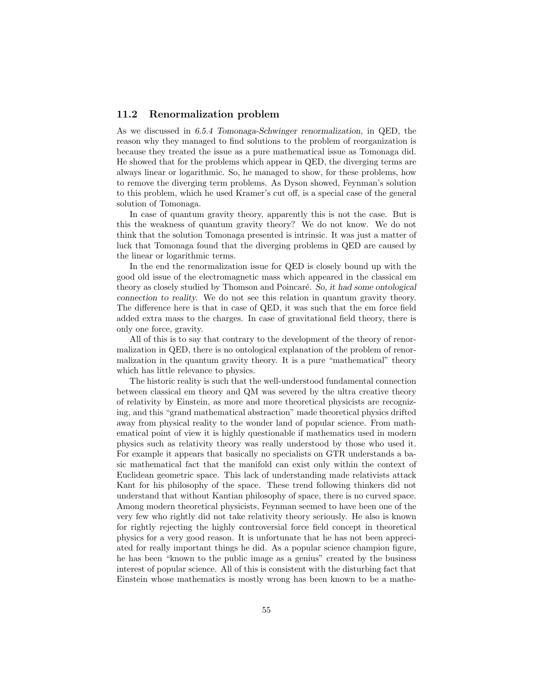## 11.2 Renormalization problem

As we discussed in 6.5.4 Tomonaga-Schwinger renormalization, in QED, the reason why they managed to find solutions to the problem of reorganization is because they treated the issue as a pure mathematical issue as Tomonaga did. He showed that for the problems which appear in QED, the diverging terms are always linear or logarithmic. So, he managed to show, for these problems, how to remove the diverging term problems. As Dyson showed, Feynman's solution to this problem, which he used Kramer's cut off, is a special case of the general solution of Tomonaga.

In case of quantum gravity theory, apparently this is not the case. But is this the weakness of quantum gravity theory? We do not know. We do not think that the solution Tomonaga presented is intrinsic. It was just a matter of luck that Tomonaga found that the diverging problems in QED are caused by the linear or logarithmic terms.

In the end the renormalization issue for QED is closely bound up with the good old issue of the electromagnetic mass which appeared in the classical em theory as closely studied by Thomson and Poincaré. So, it had some ontological connection to reality. We do not see this relation in quantum gravity theory. The difference here is that in case of QED, it was such that the em force field added extra mass to the charges. In case of gravitational field theory, there is only one force, gravity.

All of this is to say that contrary to the development of the theory of renormalization in QED, there is no ontological explanation of the problem of renormalization in the quantum gravity theory. It is a pure "mathematical" theory which has little relevance to physics.

The historic reality is such that the well-understood fundamental connection between classical em theory and QM was severed by the ultra creative theory of relativity by Einstein, as more and more theoretical physicists are recognizing, and this "grand mathematical abstraction" made theoretical physics drifted away from physical reality to the wonder land of popular science. From mathematical point of view it is highly questionable if mathematics used in modern physics such as relativity theory was really understood by those who used it. For example it appears that basically no specialists on GTR understands a basic mathematical fact that the manifold can exist only within the context of Euclidean geometric space. This lack of understanding made relativists attack Kant for his philosophy of the space. These trend following thinkers did not understand that without Kantian philosophy of space, there is no curved space. Among modern theoretical physicists, Feynman seemed to have been one of the very few who rightly did not take relativity theory seriously. He also is known for rightly rejecting the highly controversial force field concept in theoretical physics for a very good reason. It is unfortunate that he has not been appreciated for really important things he did. As a popular science champion figure, he has been "known to the public image as a genius" created by the business interest of popular science. All of this is consistent with the disturbing fact that Einstein whose mathematics is mostly wrong has been known to be a mathe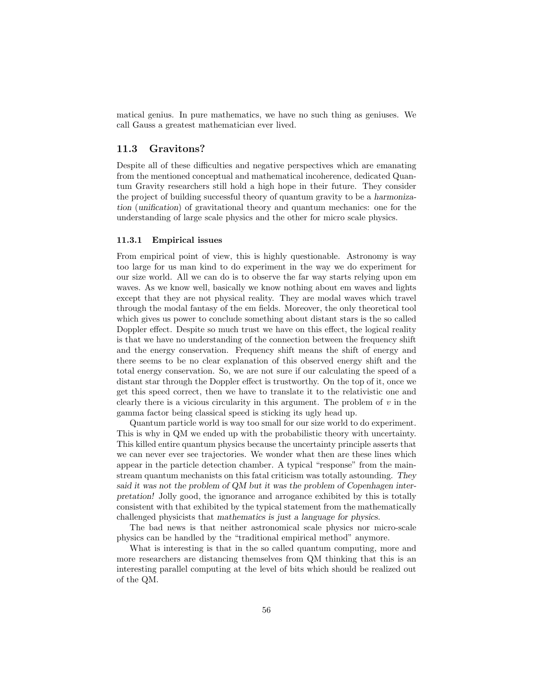matical genius. In pure mathematics, we have no such thing as geniuses. We call Gauss a greatest mathematician ever lived.

# 11.3 Gravitons?

Despite all of these difficulties and negative perspectives which are emanating from the mentioned conceptual and mathematical incoherence, dedicated Quantum Gravity researchers still hold a high hope in their future. They consider the project of building successful theory of quantum gravity to be a harmonization (unification) of gravitational theory and quantum mechanics: one for the understanding of large scale physics and the other for micro scale physics.

#### 11.3.1 Empirical issues

From empirical point of view, this is highly questionable. Astronomy is way too large for us man kind to do experiment in the way we do experiment for our size world. All we can do is to observe the far way starts relying upon em waves. As we know well, basically we know nothing about em waves and lights except that they are not physical reality. They are modal waves which travel through the modal fantasy of the em fields. Moreover, the only theoretical tool which gives us power to conclude something about distant stars is the so called Doppler effect. Despite so much trust we have on this effect, the logical reality is that we have no understanding of the connection between the frequency shift and the energy conservation. Frequency shift means the shift of energy and there seems to be no clear explanation of this observed energy shift and the total energy conservation. So, we are not sure if our calculating the speed of a distant star through the Doppler effect is trustworthy. On the top of it, once we get this speed correct, then we have to translate it to the relativistic one and clearly there is a vicious circularity in this argument. The problem of  $v$  in the gamma factor being classical speed is sticking its ugly head up.

Quantum particle world is way too small for our size world to do experiment. This is why in QM we ended up with the probabilistic theory with uncertainty. This killed entire quantum physics because the uncertainty principle asserts that we can never ever see trajectories. We wonder what then are these lines which appear in the particle detection chamber. A typical "response" from the mainstream quantum mechanists on this fatal criticism was totally astounding. They said it was not the problem of QM but it was the problem of Copenhagen interpretation! Jolly good, the ignorance and arrogance exhibited by this is totally consistent with that exhibited by the typical statement from the mathematically challenged physicists that mathematics is just a language for physics.

The bad news is that neither astronomical scale physics nor micro-scale physics can be handled by the "traditional empirical method" anymore.

What is interesting is that in the so called quantum computing, more and more researchers are distancing themselves from QM thinking that this is an interesting parallel computing at the level of bits which should be realized out of the QM.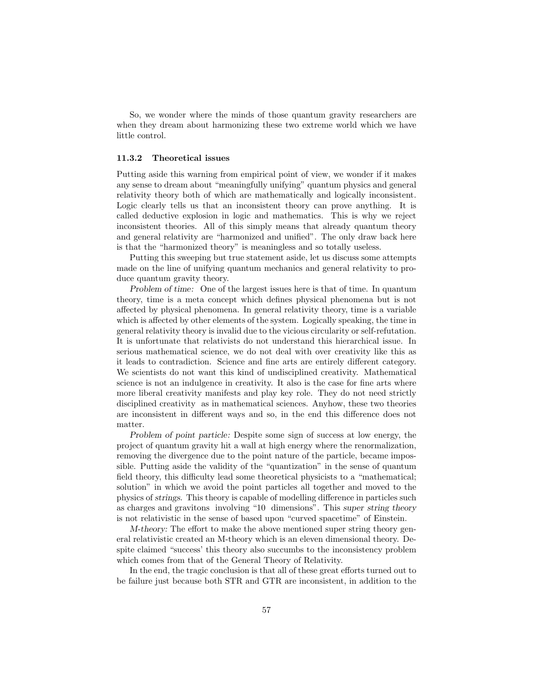So, we wonder where the minds of those quantum gravity researchers are when they dream about harmonizing these two extreme world which we have little control.

#### 11.3.2 Theoretical issues

Putting aside this warning from empirical point of view, we wonder if it makes any sense to dream about "meaningfully unifying" quantum physics and general relativity theory both of which are mathematically and logically inconsistent. Logic clearly tells us that an inconsistent theory can prove anything. It is called deductive explosion in logic and mathematics. This is why we reject inconsistent theories. All of this simply means that already quantum theory and general relativity are "harmonized and unified". The only draw back here is that the "harmonized theory" is meaningless and so totally useless.

Putting this sweeping but true statement aside, let us discuss some attempts made on the line of unifying quantum mechanics and general relativity to produce quantum gravity theory.

Problem of time: One of the largest issues here is that of time. In quantum theory, time is a meta concept which defines physical phenomena but is not affected by physical phenomena. In general relativity theory, time is a variable which is affected by other elements of the system. Logically speaking, the time in general relativity theory is invalid due to the vicious circularity or self-refutation. It is unfortunate that relativists do not understand this hierarchical issue. In serious mathematical science, we do not deal with over creativity like this as it leads to contradiction. Science and fine arts are entirely different category. We scientists do not want this kind of undisciplined creativity. Mathematical science is not an indulgence in creativity. It also is the case for fine arts where more liberal creativity manifests and play key role. They do not need strictly disciplined creativity as in mathematical sciences. Anyhow, these two theories are inconsistent in different ways and so, in the end this difference does not matter.

Problem of point particle: Despite some sign of success at low energy, the project of quantum gravity hit a wall at high energy where the renormalization, removing the divergence due to the point nature of the particle, became impossible. Putting aside the validity of the "quantization" in the sense of quantum field theory, this difficulty lead some theoretical physicists to a "mathematical; solution" in which we avoid the point particles all together and moved to the physics of strings. This theory is capable of modelling difference in particles such as charges and gravitons involving "10 dimensions". This super string theory is not relativistic in the sense of based upon "curved spacetime" of Einstein.

M-theory: The effort to make the above mentioned super string theory general relativistic created an M-theory which is an eleven dimensional theory. Despite claimed "success' this theory also succumbs to the inconsistency problem which comes from that of the General Theory of Relativity.

In the end, the tragic conclusion is that all of these great efforts turned out to be failure just because both STR and GTR are inconsistent, in addition to the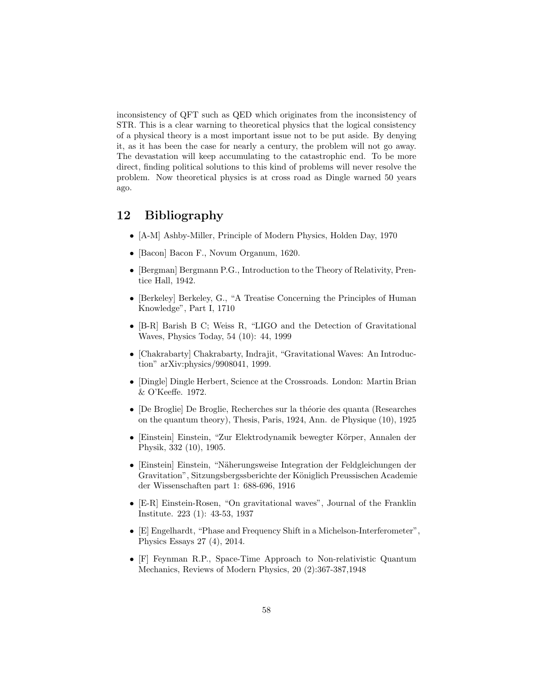inconsistency of QFT such as QED which originates from the inconsistency of STR. This is a clear warning to theoretical physics that the logical consistency of a physical theory is a most important issue not to be put aside. By denying it, as it has been the case for nearly a century, the problem will not go away. The devastation will keep accumulating to the catastrophic end. To be more direct, finding political solutions to this kind of problems will never resolve the problem. Now theoretical physics is at cross road as Dingle warned 50 years ago.

# 12 Bibliography

- [A-M] Ashby-Miller, Principle of Modern Physics, Holden Day, 1970
- [Bacon] Bacon F., Novum Organum, 1620.
- [Bergman] Bergmann P.G., Introduction to the Theory of Relativity, Prentice Hall, 1942.
- [Berkeley] Berkeley, G., "A Treatise Concerning the Principles of Human Knowledge", Part I, 1710
- [B-R] Barish B C; Weiss R, "LIGO and the Detection of Gravitational Waves, Physics Today, 54 (10): 44, 1999
- [Chakrabarty] Chakrabarty, Indrajit, "Gravitational Waves: An Introduction" arXiv:physics/9908041, 1999.
- [Dingle] Dingle Herbert, Science at the Crossroads. London: Martin Brian & O'Keeffe. 1972.
- [De Broglie] De Broglie, Recherches sur la théorie des quanta (Researches on the quantum theory), Thesis, Paris, 1924, Ann. de Physique (10), 1925
- [Einstein] Einstein, "Zur Elektrodynamik bewegter Körper, Annalen der Physik, 332 (10), 1905.
- [Einstein] Einstein, "Näherungsweise Integration der Feldgleichungen der Gravitation", Sitzungsbergssberichte der Königlich Preussischen Academie der Wissenschaften part 1: 688-696, 1916
- [E-R] Einstein-Rosen, "On gravitational waves", Journal of the Franklin Institute. 223 (1): 43-53, 1937
- [E] Engelhardt, "Phase and Frequency Shift in a Michelson-Interferometer", Physics Essays 27 (4), 2014.
- [F] Feynman R.P., Space-Time Approach to Non-relativistic Quantum Mechanics, Reviews of Modern Physics, 20 (2):367-387,1948